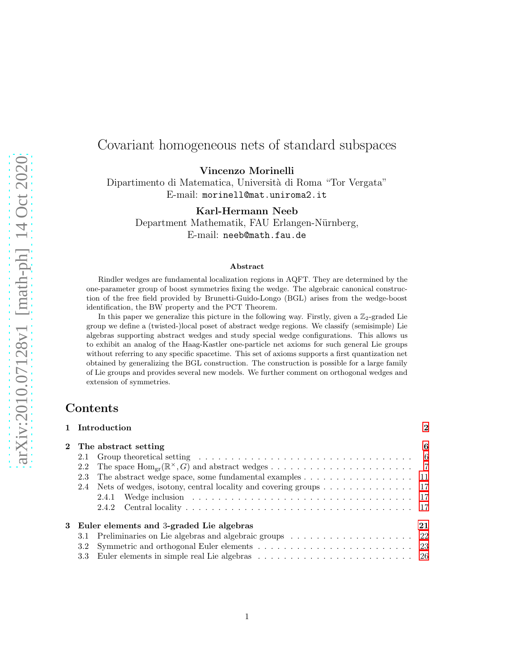# Covariant homogeneous nets of standard subspaces

Vincenzo Morinelli

Dipartimento di Matematica, Università di Roma "Tor Vergata" E-mail: morinell@mat.uniroma2.it

Karl-Hermann Neeb

Department Mathematik, FAU Erlangen-Nürnberg, E-mail: neeb@math.fau.de

#### Abstract

Rindler wedges are fundamental localization regions in AQFT. They are determined by the one-parameter group of boost symmetries fixing the wedge. The algebraic canonical construction of the free field provided by Brunetti-Guido-Longo (BGL) arises from the wedge-boost identification, the BW property and the PCT Theorem.

In this paper we generalize this picture in the following way. Firstly, given a  $\mathbb{Z}_2$ -graded Lie group we define a (twisted-)local poset of abstract wedge regions. We classify (semisimple) Lie algebras supporting abstract wedges and study special wedge configurations. This allows us to exhibit an analog of the Haag-Kastler one-particle net axioms for such general Lie groups without referring to any specific spacetime. This set of axioms supports a first quantization net obtained by generalizing the BGL construction. The construction is possible for a large family of Lie groups and provides several new models. We further comment on orthogonal wedges and extension of symmetries.

### Contents

| 1 Introduction                                                                                         | $\mathbf{2}$ |
|--------------------------------------------------------------------------------------------------------|--------------|
| 2 The abstract setting                                                                                 | 6            |
| 2.1                                                                                                    |              |
| 2.2                                                                                                    |              |
| The abstract wedge space, some fundamental examples $\dots \dots \dots \dots \dots \dots \dots$<br>2.3 |              |
| 2.4 Nets of wedges, isotony, central locality and covering groups 17                                   |              |
|                                                                                                        |              |
|                                                                                                        |              |
| 3 Euler elements and 3-graded Lie algebras                                                             | 21           |
| 3.1                                                                                                    |              |
| $3.2\phantom{0}$                                                                                       |              |
|                                                                                                        |              |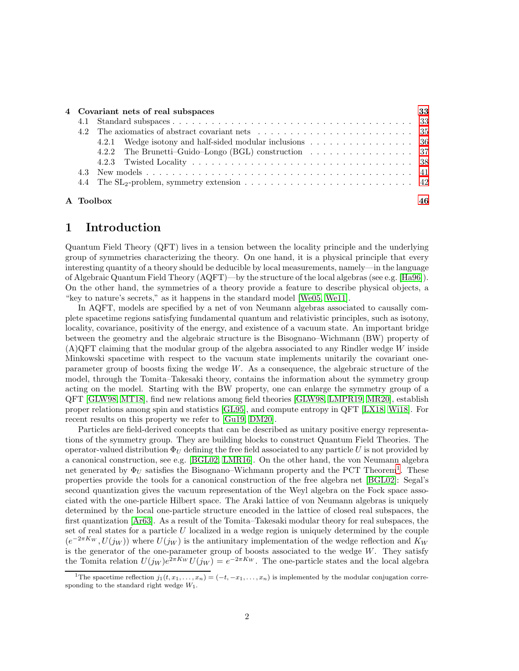|  |           | 4 Covariant nets of real subspaces                                                        | 33 |  |
|--|-----------|-------------------------------------------------------------------------------------------|----|--|
|  |           |                                                                                           |    |  |
|  |           |                                                                                           |    |  |
|  |           |                                                                                           |    |  |
|  |           | 4.2.2 The Brunetti-Guido-Longo (BGL) construction $\ldots \ldots \ldots \ldots \ldots$ 37 |    |  |
|  |           |                                                                                           |    |  |
|  |           |                                                                                           |    |  |
|  |           |                                                                                           |    |  |
|  |           |                                                                                           |    |  |
|  | A Toolbox |                                                                                           |    |  |

# <span id="page-1-0"></span>1 Introduction

Quantum Field Theory (QFT) lives in a tension between the locality principle and the underlying group of symmetries characterizing the theory. On one hand, it is a physical principle that every interesting quantity of a theory should be deducible by local measurements, namely—in the language of Algebraic Quantum Field Theory (AQFT)—by the structure of the local algebras (see e.g. [\[Ha96\]](#page-46-0)). On the other hand, the symmetries of a theory provide a feature to describe physical objects, a "key to nature's secrets," as it happens in the standard model [\[We05,](#page-48-0) [We11\]](#page-48-1).

In AQFT, models are specified by a net of von Neumann algebras associated to causally complete spacetime regions satisfying fundamental quantum and relativistic principles, such as isotony, locality, covariance, positivity of the energy, and existence of a vacuum state. An important bridge between the geometry and the algebraic structure is the Bisognano–Wichmann (BW) property of  $(A)QFT$  claiming that the modular group of the algebra associated to any Rindler wedge W inside Minkowski spacetime with respect to the vacuum state implements unitarily the covariant oneparameter group of boosts fixing the wedge  $W$ . As a consequence, the algebraic structure of the model, through the Tomita–Takesaki theory, contains the information about the symmetry group acting on the model. Starting with the BW property, one can enlarge the symmetry group of a QFT [\[GLW98,](#page-46-1) [MT18\]](#page-47-0), find new relations among field theories [\[GLW98,](#page-46-1) [LMPR19,](#page-47-1) [MR20\]](#page-47-2), establish proper relations among spin and statistics [\[GL95\]](#page-46-2), and compute entropy in QFT [\[LX18,](#page-47-3) [Wi18\]](#page-48-2). For recent results on this property we refer to [\[Gu19,](#page-46-3) [DM20\]](#page-46-4).

Particles are field-derived concepts that can be described as unitary positive energy representations of the symmetry group. They are building blocks to construct Quantum Field Theories. The operator-valued distribution  $\Phi_U$  defining the free field associated to any particle U is not provided by a canonical construction, see e.g. [\[BGL02,](#page-46-5) [LMR16\]](#page-47-4). On the other hand, the von Neumann algebra net generated by  $\Phi_U$  satisfies the Bisognano–Wichmann property and the PCT Theorem<sup>[1](#page-1-1)</sup>. These properties provide the tools for a canonical construction of the free algebra net [\[BGL02\]](#page-46-5): Segal's second quantization gives the vacuum representation of the Weyl algebra on the Fock space associated with the one-particle Hilbert space. The Araki lattice of von Neumann algebras is uniquely determined by the local one-particle structure encoded in the lattice of closed real subspaces, the first quantization [\[Ar63\]](#page-45-1). As a result of the Tomita–Takesaki modular theory for real subspaces, the set of real states for a particle  $U$  localized in a wedge region is uniquely determined by the couple  $(e^{-2\pi K_W}, U(j_W))$  where  $U(j_W)$  is the antiunitary implementation of the wedge reflection and  $K_W$ is the generator of the one-parameter group of boosts associated to the wedge  $W$ . They satisfy the Tomita relation  $U(j_W)e^{2\pi K_W}U(j_W) = e^{-2\pi K_W}$ . The one-particle states and the local algebra

<span id="page-1-1"></span><sup>&</sup>lt;sup>1</sup>The spacetime reflection  $j_1(t, x_1, \ldots, x_n) = (-t, -x_1, \ldots, x_n)$  is implemented by the modular conjugation corresponding to the standard right wedge  $W_1$ .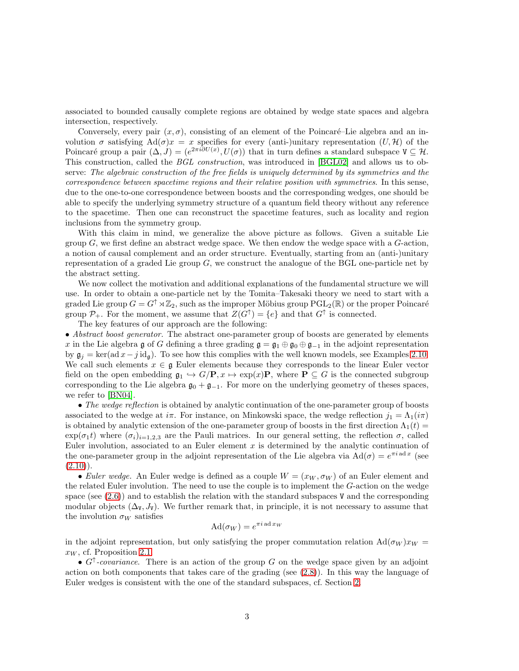associated to bounded causally complete regions are obtained by wedge state spaces and algebra intersection, respectively.

Conversely, every pair  $(x, \sigma)$ , consisting of an element of the Poincaré–Lie algebra and an involution  $\sigma$  satisfying Ad( $\sigma$ )x = x specifies for every (anti-)unitary representation  $(U, \mathcal{H})$  of the Poincaré group a pair  $(\Delta, J) = (e^{2\pi i \partial U(x)}, U(\sigma))$  that in turn defines a standard subspace  $V \subseteq H$ . This construction, called the *BGL construction*, was introduced in [\[BGL02\]](#page-46-5) and allows us to observe: The algebraic construction of the free fields is uniquely determined by its symmetries and the correspondence between spacetime regions and their relative position with symmetries. In this sense, due to the one-to-one correspondence between boosts and the corresponding wedges, one should be able to specify the underlying symmetry structure of a quantum field theory without any reference to the spacetime. Then one can reconstruct the spacetime features, such as locality and region inclusions from the symmetry group.

With this claim in mind, we generalize the above picture as follows. Given a suitable Lie group  $G$ , we first define an abstract wedge space. We then endow the wedge space with a  $G$ -action, a notion of causal complement and an order structure. Eventually, starting from an (anti-)unitary representation of a graded Lie group  $G$ , we construct the analogue of the BGL one-particle net by the abstract setting.

We now collect the motivation and additional explanations of the fundamental structure we will use. In order to obtain a one-particle net by the Tomita–Takesaki theory we need to start with a graded Lie group  $G = G^{\uparrow} \rtimes \mathbb{Z}_2$ , such as the improper Möbius group  $PGL_2(\mathbb{R})$  or the proper Poincaré group  $\mathcal{P}_+$ . For the moment, we assume that  $Z(G^{\uparrow}) = \{e\}$  and that  $G^{\uparrow}$  is connected.

The key features of our approach are the following:

• Abstract boost generator. The abstract one-parameter group of boosts are generated by elements x in the Lie algebra g of G defining a three grading  $\mathfrak{g} = \mathfrak{g}_1 \oplus \mathfrak{g}_0 \oplus \mathfrak{g}_{-1}$  in the adjoint representation by  $\mathfrak{g}_i = \ker(\text{ad }x - j \text{ id}_\mathfrak{g})$ . To see how this complies with the well known models, see Examples [2.10.](#page-10-1) We call such elements  $x \in \mathfrak{g}$  Euler elements because they corresponds to the linear Euler vector field on the open embedding  $\mathfrak{g}_1 \hookrightarrow G/\mathbf{P}, x \mapsto \exp(x)\mathbf{P}$ , where  $\mathbf{P} \subseteq G$  is the connected subgroup corresponding to the Lie algebra  $\mathfrak{g}_0 + \mathfrak{g}_{-1}$ . For more on the underlying geometry of theses spaces, we refer to [\[BN04\]](#page-45-2).

• The wedge reflection is obtained by analytic continuation of the one-parameter group of boosts associated to the wedge at  $i\pi$ . For instance, on Minkowski space, the wedge reflection  $j_1 = \Lambda_1(i\pi)$ is obtained by analytic extension of the one-parameter group of boosts in the first direction  $\Lambda_1(t)$  $\exp(\sigma_1 t)$  where  $(\sigma_i)_{i=1,2,3}$  are the Pauli matrices. In our general setting, the reflection  $\sigma$ , called Euler involution, associated to an Euler element  $x$  is determined by the analytic continuation of the one-parameter group in the adjoint representation of the Lie algebra via  $\text{Ad}(\sigma) = e^{\pi i \text{ ad }x}$  (see  $(2.10)$ .

• Euler wedge. An Euler wedge is defined as a couple  $W = (x_W, \sigma_W)$  of an Euler element and the related Euler involution. The need to use the couple is to implement the G-action on the wedge space (see  $(2.6)$ ) and to establish the relation with the standard subspaces V and the corresponding modular objects  $(\Delta_{\mathbf{V}}, J_{\mathbf{V}})$ . We further remark that, in principle, it is not necessary to assume that the involution  $\sigma_W$  satisfies

$$
\mathrm{Ad}(\sigma_W) = e^{\pi i \mathrm{ad} x_W}
$$

in the adjoint representation, but only satisfying the proper commutation relation  $\text{Ad}(\sigma_W) x_W =$  $x_W$ , cf. Proposition [2.1.](#page-6-2)

•  $G^{\uparrow}$ -covariance. There is an action of the group G on the wedge space given by an adjoint action on both components that takes care of the grading (see  $(2.8)$ ). In this way the language of Euler wedges is consistent with the one of the standard subspaces, cf. Section [2.](#page-5-0)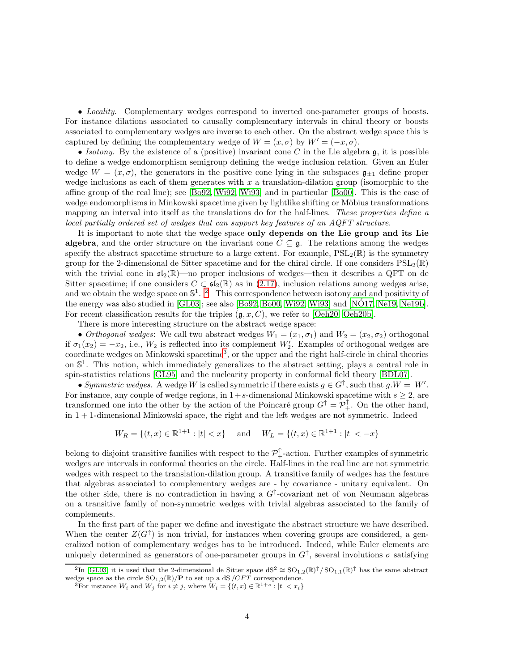• Locality. Complementary wedges correspond to inverted one-parameter groups of boosts. For instance dilations associated to causally complementary intervals in chiral theory or boosts associated to complementary wedges are inverse to each other. On the abstract wedge space this is captured by defining the complementary wedge of  $W = (x, \sigma)$  by  $W' = (-x, \sigma)$ .

• Isotony. By the existence of a (positive) invariant cone C in the Lie algebra  $\mathfrak{g}$ , it is possible to define a wedge endomorphism semigroup defining the wedge inclusion relation. Given an Euler wedge  $W = (x, \sigma)$ , the generators in the positive cone lying in the subspaces  $\mathfrak{g}_{+1}$  define proper wedge inclusions as each of them generates with  $x$  a translation-dilation group (isomorphic to the affine group of the real line); see [\[Bo92,](#page-46-6) [Wi92,](#page-48-3) [Wi93\]](#page-48-4) and in particular [\[Bo00\]](#page-46-7). This is the case of wedge endomorphisms in Minkowski spacetime given by lightlike shifting or Möbius transformations mapping an interval into itself as the translations do for the half-lines. These properties define a local partially ordered set of wedges that can support key features of an AQFT structure.

It is important to note that the wedge space only depends on the Lie group and its Lie algebra, and the order structure on the invariant cone  $C \subseteq \mathfrak{g}$ . The relations among the wedges specify the abstract spacetime structure to a large extent. For example,  $PSL_2(\mathbb{R})$  is the symmetry group for the 2-dimensional de Sitter spacetime and for the chiral circle. If one considers  $PSL_2(\mathbb{R})$ with the trivial cone in  $\mathfrak{sl}_2(\mathbb{R})$ —no proper inclusions of wedges—then it describes a QFT on de Sitter spacetime; if one considers  $C \subset \mathfrak{sl}_2(\mathbb{R})$  as in  $(2.17)$ , inclusion relations among wedges arise, and we obtain the wedge space on  $\mathbb{S}^1$ . <sup>[2](#page-3-0)</sup> This correspondence between isotony and and positivity of the energy was also studied in [\[GL03\]](#page-46-8); see also [\[Bo92,](#page-46-6) [Bo00,](#page-46-7) [Wi92,](#page-48-3) [Wi93\]](#page-48-4) and [\[NO17,](#page-48-5) [Ne19,](#page-48-6) [Ne19b\]](#page-48-7). ´ For recent classification results for the triples  $(g, x, C)$ , we refer to [\[Oeh20,](#page-48-8) [Oeh20b\]](#page-48-9).

There is more interesting structure on the abstract wedge space:

• Orthogonal wedges: We call two abstract wedges  $W_1 = (x_1, \sigma_1)$  and  $W_2 = (x_2, \sigma_2)$  orthogonal if  $\sigma_1(x_2) = -x_2$ , i.e.,  $W_2$  is reflected into its complement  $W'_2$ . Examples of orthogonal wedges are coordinate wedges on Minkowski spacetime<sup>[3](#page-3-1)</sup>, or the upper and the right half-circle in chiral theories on S 1 . This notion, which immediately generalizes to the abstract setting, plays a central role in spin-statistics relations [\[GL95\]](#page-46-2) and the nuclearity property in conformal field theory [\[BDL07\]](#page-46-9).

• Symmetric wedges. A wedge W is called symmetric if there exists  $g \in G^{\uparrow}$ , such that  $g.W = W'$ . For instance, any couple of wedge regions, in  $1+s$ -dimensional Minkowski spacetime with  $s \geq 2$ , are transformed one into the other by the action of the Poincaré group  $G^{\uparrow} = \mathcal{P}_{+}^{\uparrow}$ . On the other hand,  $\ln 1 + 1$ -dimensional Minkowski space, the right and the left wedges are not symmetric. Indeed

$$
W_R = \{(t, x) \in \mathbb{R}^{1+1} : |t| < x\} \quad \text{and} \quad W_L = \{(t, x) \in \mathbb{R}^{1+1} : |t| < -x\}
$$

belong to disjoint transitive families with respect to the  $\mathcal{P}_+^{\uparrow}$ -action. Further examples of symmetric wedges are intervals in conformal theories on the circle. Half-lines in the real line are not symmetric wedges with respect to the translation-dilation group. A transitive family of wedges has the feature that algebras associated to complementary wedges are - by covariance - unitary equivalent. On the other side, there is no contradiction in having a  $G<sup>†</sup>$ -covariant net of von Neumann algebras on a transitive family of non-symmetric wedges with trivial algebras associated to the family of complements.

In the first part of the paper we define and investigate the abstract structure we have described. When the center  $Z(G^{\uparrow})$  is non trivial, for instances when covering groups are considered, a generalized notion of complementary wedges has to be introduced. Indeed, while Euler elements are uniquely determined as generators of one-parameter groups in  $G^{\uparrow}$ , several involutions  $\sigma$  satisfying

<sup>&</sup>lt;sup>2</sup>In [\[GL03\]](#page-46-8) it is used that the 2-dimensional de Sitter space  $dS^2 \cong SO_{1,2}(\mathbb{R})^{\uparrow}/SO_{1,1}(\mathbb{R})^{\uparrow}$  has the same abstract wedge space as the circle  $SO_{1,2}(\mathbb{R})/P$  to set up a dS  $/CFT$  correspondence.

<span id="page-3-1"></span><span id="page-3-0"></span><sup>&</sup>lt;sup>3</sup>For instance  $W_i$  and  $W_j$  for  $i \neq j$ , where  $W_i = \{(t, x) \in \mathbb{R}^{1+s} : |t| < x_i\}$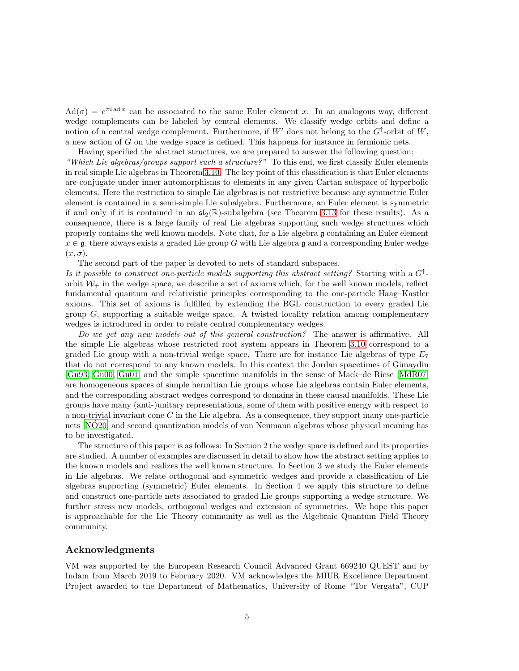$\text{Ad}(\sigma) = e^{\pi i \text{ad} x}$  can be associated to the same Euler element x. In an analogous way, different wedge complements can be labeled by central elements. We classify wedge orbits and define a notion of a central wedge complement. Furthermore, if  $W'$  does not belong to the  $G^{\uparrow}$ -orbit of  $W$ , a new action of G on the wedge space is defined. This happens for instance in fermionic nets.

Having specified the abstract structures, we are prepared to answer the following question: "Which Lie algebras/groups support such a structure?" To this end, we first classify Euler elements in real simple Lie algebras in Theorem [3.10.](#page-27-0) The key point of this classification is that Euler elements are conjugate under inner automorphisms to elements in any given Cartan subspace of hyperbolic elements. Here the restriction to simple Lie algebras is not restrictive because any symmetric Euler element is contained in a semi-simple Lie subalgebra. Furthermore, an Euler element is symmetric if and only if it is contained in an  $\mathfrak{sl}_2(\mathbb{R})$ -subalgebra (see Theorem [3.13](#page-30-0) for these results). As a consequence, there is a large family of real Lie algebras supporting such wedge structures which properly contains the well known models. Note that, for a Lie algebra g containing an Euler element  $x \in \mathfrak{g}$ , there always exists a graded Lie group G with Lie algebra g and a corresponding Euler wedge  $(x, \sigma)$ .

The second part of the paper is devoted to nets of standard subspaces.

Is it possible to construct one-particle models supporting this abstract setting? Starting with a  $G^{\uparrow}$ orbit  $W_{+}$  in the wedge space, we describe a set of axioms which, for the well known models, reflect fundamental quantum and relativistic principles corresponding to the one-particle Haag–Kastler axioms. This set of axioms is fulfilled by extending the BGL construction to every graded Lie group  $G$ , supporting a suitable wedge space. A twisted locality relation among complementary wedges is introduced in order to relate central complementary wedges.

Do we get any new models out of this general construction? The answer is affirmative. All the simple Lie algebras whose restricted root system appears in Theorem [3.10](#page-27-0) correspond to a graded Lie group with a non-trivial wedge space. There are for instance Lie algebras of type  $E_7$ that do not correspond to any known models. In this context the Jordan spacetimes of Günaydin [\[Gu93,](#page-46-10) [Gu00,](#page-46-11) [Gu01\]](#page-46-12) and the simple spacetime manifolds in the sense of Mack–de Riese [\[MdR07\]](#page-47-5) are homogeneous spaces of simple hermitian Lie groups whose Lie algebras contain Euler elements, and the corresponding abstract wedges correspond to domains in these causal manifolds. These Lie groups have many (anti-)unitary representations, some of them with positive energy with respect to a non-trivial invariant cone  $C$  in the Lie algebra. As a consequence, they support many one-particle nets  $\overline{N}$ O20] and second quantization models of von Neumann algebras whose physical meaning has to be investigated.

The structure of this paper is as follows: In Section 2 the wedge space is defined and its properties are studied. A number of examples are discussed in detail to show how the abstract setting applies to the known models and realizes the well known structure. In Section 3 we study the Euler elements in Lie algebras. We relate orthogonal and symmetric wedges and provide a classification of Lie algebras supporting (symmetric) Euler elements. In Section 4 we apply this structure to define and construct one-particle nets associated to graded Lie groups supporting a wedge structure. We further stress new models, orthogonal wedges and extension of symmetries. We hope this paper is approachable for the Lie Theory community as well as the Algebraic Quantum Field Theory community.

#### Acknowledgments

VM was supported by the European Research Council Advanced Grant 669240 QUEST and by Indam from March 2019 to February 2020. VM acknowledges the MIUR Excellence Department Project awarded to the Department of Mathematics, University of Rome "Tor Vergata", CUP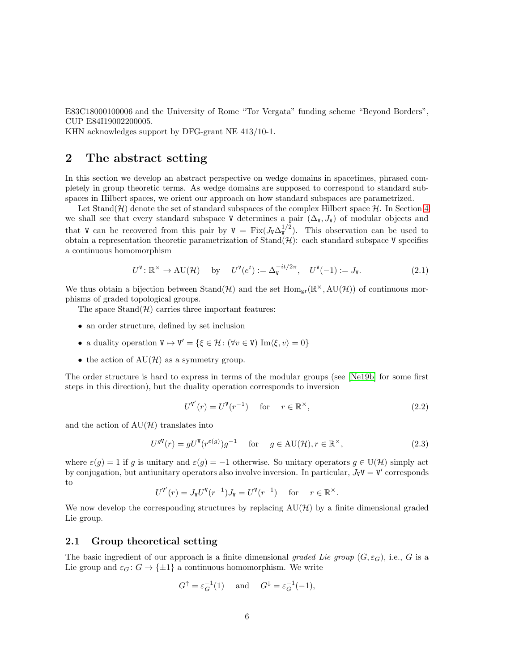E83C18000100006 and the University of Rome "Tor Vergata" funding scheme "Beyond Borders", CUP E84I19002200005.

KHN acknowledges support by DFG-grant NE 413/10-1.

# <span id="page-5-0"></span>2 The abstract setting

In this section we develop an abstract perspective on wedge domains in spacetimes, phrased completely in group theoretic terms. As wedge domains are supposed to correspond to standard subspaces in Hilbert spaces, we orient our approach on how standard subspaces are parametrized.

Let Stand( $\mathcal{H}$ ) denote the set of standard subspaces of the complex Hilbert space  $\mathcal{H}$ . In Section [4](#page-32-0) we shall see that every standard subspace V determines a pair  $(\Delta_{V}, J_{V})$  of modular objects and that V can be recovered from this pair by  $V = Fix(J_V \Delta_V^{1/2})$ . This observation can be used to obtain a representation theoretic parametrization of  $\text{Stand}(\mathcal{H})$ : each standard subspace V specifies a continuous homomorphism

$$
U^{\mathbf{V}}: \mathbb{R}^{\times} \to \mathrm{AU}(\mathcal{H}) \quad \text{by} \quad U^{\mathbf{V}}(e^{t}) := \Delta_{\mathbf{V}}^{-it/2\pi}, \quad U^{\mathbf{V}}(-1) := J_{\mathbf{V}}.
$$
 (2.1)

We thus obtain a bijection between  $\text{Stand}(\mathcal{H})$  and the set  $\text{Hom}_{gr}(\mathbb{R}^{\times}, \text{AU}(\mathcal{H}))$  of continuous morphisms of graded topological groups.

The space  $\text{Stand}(\mathcal{H})$  carries three important features:

- an order structure, defined by set inclusion
- a duality operation  $V \mapsto V' = \{ \xi \in \mathcal{H} : (\forall v \in V) \text{ Im}\langle \xi, v \rangle = 0 \}$
- the action of  $AU(\mathcal{H})$  as a symmetry group.

The order structure is hard to express in terms of the modular groups (see [\[Ne19b\]](#page-48-7) for some first steps in this direction), but the duality operation corresponds to inversion

<span id="page-5-3"></span><span id="page-5-2"></span>
$$
U^{\mathbf{V}'}(r) = U^{\mathbf{V}}(r^{-1}) \quad \text{for} \quad r \in \mathbb{R}^{\times}, \tag{2.2}
$$

and the action of  $AU(\mathcal{H})$  translates into

$$
U^{g\mathsf{V}}(r) = gU^{\mathsf{V}}(r^{\varepsilon(g)})g^{-1} \quad \text{for} \quad g \in \mathrm{AU}(\mathcal{H}), r \in \mathbb{R}^{\times}, \tag{2.3}
$$

where  $\varepsilon(g) = 1$  if g is unitary and  $\varepsilon(g) = -1$  otherwise. So unitary operators  $g \in U(\mathcal{H})$  simply act by conjugation, but antiunitary operators also involve inversion. In particular,  $J_{\mathbf{V}}\mathbf{V} = \mathbf{V}'$  corresponds to

$$
U^{\mathbf{V}'}(r) = J_{\mathbf{V}} U^{\mathbf{V}}(r^{-1}) J_{\mathbf{V}} = U^{\mathbf{V}}(r^{-1}) \quad \text{ for } \quad r \in \mathbb{R}^{\times}.
$$

We now develop the corresponding structures by replacing  $AU(\mathcal{H})$  by a finite dimensional graded Lie group.

#### <span id="page-5-1"></span>2.1 Group theoretical setting

The basic ingredient of our approach is a finite dimensional graded Lie group  $(G, \varepsilon_G)$ , i.e., G is a Lie group and  $\varepsilon_G : G \to \{\pm 1\}$  a continuous homomorphism. We write

$$
G^{\uparrow} = \varepsilon_G^{-1}(1)
$$
 and  $G^{\downarrow} = \varepsilon_G^{-1}(-1)$ ,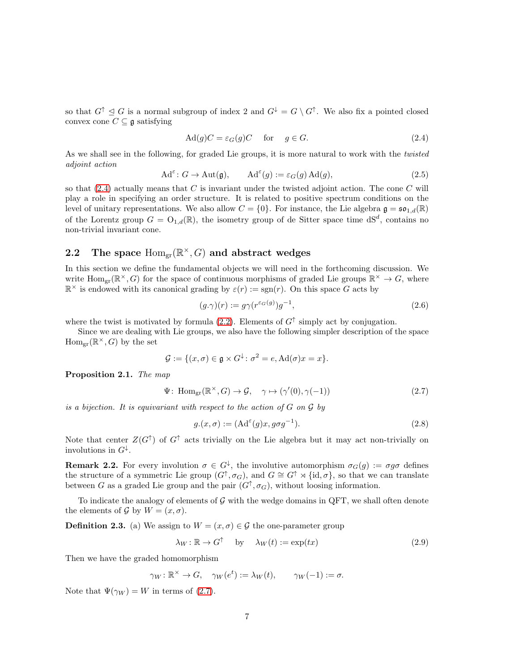so that  $G^{\dagger} \subseteq G$  is a normal subgroup of index 2 and  $G^{\downarrow} = G \setminus G^{\dagger}$ . We also fix a pointed closed convex cone  $C \subseteq \mathfrak{g}$  satisfying

<span id="page-6-4"></span>
$$
Ad(g)C = \varepsilon_G(g)C \quad \text{for} \quad g \in G. \tag{2.4}
$$

As we shall see in the following, for graded Lie groups, it is more natural to work with the *twisted* adjoint action

$$
\mathrm{Ad}^{\varepsilon} : G \to \mathrm{Aut}(\mathfrak{g}), \qquad \mathrm{Ad}^{\varepsilon}(g) := \varepsilon_G(g) \, \mathrm{Ad}(g), \tag{2.5}
$$

so that  $(2.4)$  actually means that C is invariant under the twisted adjoint action. The cone C will play a role in specifying an order structure. It is related to positive spectrum conditions on the level of unitary representations. We also allow  $C = \{0\}$ . For instance, the Lie algebra  $\mathfrak{g} = \mathfrak{so}_{1,d}(\mathbb{R})$ of the Lorentz group  $G = O_{1,d}(\mathbb{R})$ , the isometry group of de Sitter space time  $dS^d$ , contains no non-trivial invariant cone.

# <span id="page-6-0"></span>2.2 The space  $\text{Hom}_{\text{gr}}(\mathbb{R}^{\times}, G)$  and abstract wedges

In this section we define the fundamental objects we will need in the forthcoming discussion. We write  $\text{Hom}_{gr}(\mathbb{R}^{\times}, G)$  for the space of continuous morphisms of graded Lie groups  $\mathbb{R}^{\times} \to G$ , where  $\mathbb{R}^{\times}$  is endowed with its canonical grading by  $\varepsilon(r) := \text{sgn}(r)$ . On this space G acts by

<span id="page-6-1"></span>
$$
(g.\gamma)(r) := g\gamma(r^{\varepsilon_G(g)})g^{-1},\tag{2.6}
$$

where the twist is motivated by formula  $(2.2)$ . Elements of  $G^{\uparrow}$  simply act by conjugation.

Since we are dealing with Lie groups, we also have the following simpler description of the space  $\mathrm{Hom}_{\mathrm{gr}}(\mathbb{R}^{\times}, G)$  by the set

<span id="page-6-5"></span>
$$
\mathcal{G} := \{ (x, \sigma) \in \mathfrak{g} \times G^{\downarrow} \colon \sigma^2 = e, \mathrm{Ad}(\sigma)x = x \}.
$$

<span id="page-6-2"></span>Proposition 2.1. The map

$$
\Psi\colon \operatorname{Hom}_{\mathrm{gr}}(\mathbb{R}^{\times}, G) \to \mathcal{G}, \quad \gamma \mapsto (\gamma'(0), \gamma(-1)) \tag{2.7}
$$

is a bijection. It is equivariant with respect to the action of  $G$  on  $\mathcal G$  by

<span id="page-6-3"></span>
$$
g.(x, \sigma) := (\mathrm{Ad}^{\varepsilon}(g)x, g\sigma g^{-1}).\tag{2.8}
$$

Note that center  $Z(G^{\uparrow})$  of  $G^{\uparrow}$  acts trivially on the Lie algebra but it may act non-trivially on involutions in  $G^{\downarrow}$ .

<span id="page-6-6"></span>**Remark 2.2.** For every involution  $\sigma \in G^{\downarrow}$ , the involutive automorphism  $\sigma_G(g) := \sigma g \sigma$  defines the structure of a symmetric Lie group  $(G^{\uparrow}, \sigma_G)$ , and  $G \cong G^{\uparrow} \rtimes {\text{id}, \sigma}$ , so that we can translate between G as a graded Lie group and the pair  $(G^{\uparrow}, \sigma_G)$ , without loosing information.

To indicate the analogy of elements of  $\mathcal G$  with the wedge domains in QFT, we shall often denote the elements of G by  $W = (x, \sigma)$ .

<span id="page-6-7"></span>**Definition 2.3.** (a) We assign to  $W = (x, \sigma) \in \mathcal{G}$  the one-parameter group

$$
\lambda_W : \mathbb{R} \to G^\uparrow \quad \text{by} \quad \lambda_W(t) := \exp(tx) \tag{2.9}
$$

Then we have the graded homomorphism

$$
\gamma_W \colon \mathbb{R}^\times \to G, \quad \gamma_W(e^t) := \lambda_W(t), \qquad \gamma_W(-1) := \sigma.
$$

Note that  $\Psi(\gamma_W) = W$  in terms of [\(2.7\)](#page-6-5).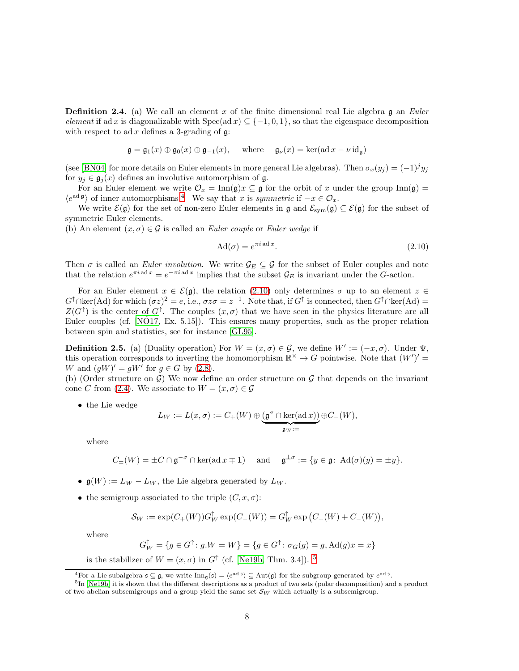<span id="page-7-4"></span>**Definition 2.4.** (a) We call an element x of the finite dimensional real Lie algebra g an Euler element if ad x is diagonalizable with  $Spec(ad x) \subseteq \{-1,0,1\}$ , so that the eigenspace decomposition with respect to ad x defines a 3-grading of  $\mathfrak{g}$ :

$$
\mathfrak{g} = \mathfrak{g}_1(x) \oplus \mathfrak{g}_0(x) \oplus \mathfrak{g}_{-1}(x), \quad \text{where} \quad \mathfrak{g}_{\nu}(x) = \ker(\text{ad }x - \nu \text{id}_{\mathfrak{g}})
$$

(see [\[BN04\]](#page-45-2) for more details on Euler elements in more general Lie algebras). Then  $\sigma_x(y_j) = (-1)^j y_j$ for  $y_i \in \mathfrak{g}_i(x)$  defines an involutive automorphism of  $\mathfrak{g}$ .

For an Euler element we write  $\mathcal{O}_x = \text{Inn}(\mathfrak{g})x \subseteq \mathfrak{g}$  for the orbit of x under the group  $\text{Inn}(\mathfrak{g}) =$  $\langle e^{ad \mathfrak{g}} \rangle$  of inner automorphisms.<sup>[4](#page-7-1)</sup> We say that x is symmetric if  $-x \in \mathcal{O}_x$ .

We write  $\mathcal{E}(\mathfrak{g})$  for the set of non-zero Euler elements in  $\mathfrak{g}$  and  $\mathcal{E}_{sym}(\mathfrak{g}) \subseteq \mathcal{E}(\mathfrak{g})$  for the subset of symmetric Euler elements.

(b) An element  $(x, \sigma) \in \mathcal{G}$  is called an *Euler couple* or *Euler wedge* if

<span id="page-7-0"></span>
$$
\text{Ad}(\sigma) = e^{\pi i \operatorname{ad} x}.\tag{2.10}
$$

Then  $\sigma$  is called an *Euler involution*. We write  $\mathcal{G}_E \subseteq \mathcal{G}$  for the subset of Euler couples and note that the relation  $e^{\pi i \mathbf{a} \cdot \mathbf{c}} = e^{-\pi i \mathbf{a} \cdot \mathbf{c}}$  implies that the subset  $\mathcal{G}_E$  is invariant under the G-action.

For an Euler element  $x \in \mathcal{E}(\mathfrak{g})$ , the relation [\(2.10\)](#page-7-0) only determines  $\sigma$  up to an element  $z \in \mathcal{E}(\mathfrak{g})$  $G^{\uparrow} \cap \text{ker}(\text{Ad})$  for which  $(\sigma z)^2 = e$ , i.e.,  $\sigma z \sigma = z^{-1}$ . Note that, if  $G^{\uparrow}$  is connected, then  $G^{\uparrow} \cap \text{ker}(\text{Ad}) =$  $Z(G^{\uparrow})$  is the center of  $G^{\uparrow}$ . The couples  $(x, \sigma)$  that we have seen in the physics literature are all Euler couples (cf.  $[NO17, Ex. 5.15]$ ). This ensures many properties, such as the proper relation between spin and statistics, see for instance [\[GL95\]](#page-46-2).

<span id="page-7-3"></span>**Definition 2.5.** (a) (Duality operation) For  $W = (x, \sigma) \in \mathcal{G}$ , we define  $W' := (-x, \sigma)$ . Under  $\Psi$ , this operation corresponds to inverting the homomorphism  $\mathbb{R}^{\times} \to G$  pointwise. Note that  $(W')' =$ W and  $(gW)' = gW'$  for  $g \in G$  by [\(2.8\)](#page-6-3).

(b) (Order structure on  $\mathcal{G}$ ) We now define an order structure on  $\mathcal{G}$  that depends on the invariant cone C from [\(2.4\)](#page-6-4). We associate to  $W = (x, \sigma) \in \mathcal{G}$ 

• the Lie wedge

$$
L_W:=L(x,\sigma):=C_+(W)\oplus \underbrace{(\mathfrak{g}^\sigma\cap\ker(\operatorname{ad} x))}_{\mathfrak{g}_W:=}\oplus C_-(W),
$$

where

$$
C_{\pm}(W) = \pm C \cap \mathfrak{g}^{-\sigma} \cap \ker(\operatorname{ad} x \mp 1) \quad \text{ and } \quad \mathfrak{g}^{\pm \sigma} := \{ y \in \mathfrak{g} \colon \operatorname{Ad}(\sigma)(y) = \pm y \}.
$$

- $\mathfrak{g}(W) := L_W L_W$ , the Lie algebra generated by  $L_W$ .
- the semigroup associated to the triple  $(C, x, \sigma)$ :

$$
\mathcal{S}_W:=\exp(C_+(W))G_W^\uparrow\exp(C_-(W))=G_W^\uparrow\exp\big(C_+(W)+C_-(W)\big),
$$

where

$$
G_W^\uparrow=\{g\in G^\uparrow\colon g.W=W\}=\{g\in G^\uparrow\colon \sigma_G(g)=g, \mathrm{Ad}(g)x=x\}
$$

is the stabilizer of  $W = (x, \sigma)$  in  $G^{\uparrow}$  (cf. [\[Ne19b,](#page-48-7) Thm. 3.4]). <sup>[5](#page-7-2)</sup>

<span id="page-7-1"></span><sup>&</sup>lt;sup>4</sup>For a Lie subalgebra  $\mathfrak{s} \subseteq \mathfrak{g}$ , we write  $\text{Inn}_{\mathfrak{g}}(\mathfrak{s}) = \langle e^{ad \mathfrak{s}} \rangle \subseteq \text{Aut}(\mathfrak{g})$  for the subgroup generated by  $e^{ad \mathfrak{s}}$ .

<span id="page-7-2"></span><sup>&</sup>lt;sup>5</sup>In [\[Ne19b\]](#page-48-7) it is shown that the different descriptions as a product of two sets (polar decomposition) and a product of two abelian subsemigroups and a group yield the same set  $\mathcal{S}_W$  which actually is a subsemigroup.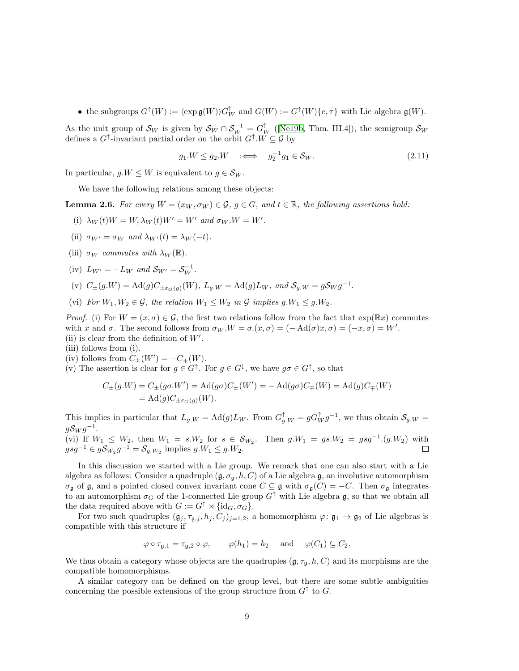• the subgroups  $G^{\uparrow}(W) := \langle \exp \mathfrak{g}(W) \rangle G_W^{\uparrow}$  and  $G(W) := G^{\uparrow}(W) \{e, \tau\}$  with Lie algebra  $\mathfrak{g}(W)$ .

As the unit group of  $\mathcal{S}_W$  is given by  $\mathcal{S}_W \cap \mathcal{S}_W^{-1} = G_W^{\uparrow}$  ([\[Ne19b,](#page-48-7) Thm. III.4]), the semigroup  $\mathcal{S}_W$ defines a  $G^{\uparrow}$ -invariant partial order on the orbit  $G^{\uparrow}$ .  $W \subseteq \mathcal{G}$  by

$$
g_1.W \le g_2.W \quad \Longleftrightarrow \quad g_2^{-1}g_1 \in \mathcal{S}_W. \tag{2.11}
$$

In particular,  $g.W \leq W$  is equivalent to  $g \in \mathcal{S}_W$ .

We have the following relations among these objects:

**Lemma 2.6.** For every  $W = (x_W, \sigma_W) \in \mathcal{G}$ ,  $q \in G$ , and  $t \in \mathbb{R}$ , the following assertions hold:

- (i)  $\lambda_W(t)W = W, \lambda_W(t)W' = W'$  and  $\sigma_W.W = W'$ .
- (ii)  $\sigma_{W'} = \sigma_W$  and  $\lambda_{W'}(t) = \lambda_W(-t)$ .
- (iii)  $\sigma_W$  commutes with  $\lambda_W(\mathbb{R})$ .
- (iv)  $L_{W'} = -L_W$  and  $S_{W'} = S_W^{-1}$ .
- (v)  $C_{\pm}(g.W) = \text{Ad}(g)C_{\pm \varepsilon_G(g)}(W)$ ,  $L_{g.W} = \text{Ad}(g)L_W$ , and  $S_{g.W} = gS_W g^{-1}$ .
- (vi) For  $W_1, W_2 \in \mathcal{G}$ , the relation  $W_1 \leq W_2$  in  $\mathcal{G}$  implies  $g.W_1 \leq g.W_2$ .

*Proof.* (i) For  $W = (x, \sigma) \in \mathcal{G}$ , the first two relations follow from the fact that  $\exp(\mathbb{R}x)$  commutes with x and  $\sigma$ . The second follows from  $\sigma_W W = \sigma(x, \sigma) = (-\text{Ad}(\sigma)x, \sigma) = (-x, \sigma) = W'$ . (ii) is clear from the definition of  $W'$ .

- (iii) follows from (i).
- (iv) follows from  $C_{\pm}(W') = -C_{\mp}(W)$ .
- (v) The assertion is clear for  $g \in G^{\uparrow}$ . For  $g \in G^{\downarrow}$ , we have  $g\sigma \in G^{\uparrow}$ , so that

$$
C_{\pm}(g.W) = C_{\pm}(g\sigma.W') = \text{Ad}(g\sigma)C_{\pm}(W') = -\text{Ad}(g\sigma)C_{\mp}(W) = \text{Ad}(g)C_{\mp}(W)
$$
  
= 
$$
\text{Ad}(g)C_{\pm\varepsilon_G(g)}(W).
$$

This implies in particular that  $L_{g,W} = \text{Ad}(g) L_W$ . From  $G_{g,W}^{\uparrow} = g G_W^{\uparrow} g^{-1}$ , we thus obtain  $\mathcal{S}_{g,W} =$  $gS_Wg^{-1}$ .

(vi) If  $W_1 \leq W_2$ , then  $W_1 = s.W_2$  for  $s \in S_{W_2}$ . Then  $g.W_1 = gs.W_2 = gsg^{-1}(g.W_2)$  with  $gsg^{-1} \in g\mathcal{S}_{W_2}g^{-1} = \mathcal{S}_{g,W_2}$  implies  $g.W_1 \leq g.W_2$ .

In this discussion we started with a Lie group. We remark that one can also start with a Lie algebra as follows: Consider a quadruple  $(\mathfrak{g}, \sigma_{\mathfrak{g}}, h, C)$  of a Lie algebra  $\mathfrak{g}$ , an involutive automorphism  $\sigma_{\mathfrak{g}}$  of  $\mathfrak{g}$ , and a pointed closed convex invariant cone  $C \subseteq \mathfrak{g}$  with  $\sigma_{\mathfrak{g}}(C) = -C$ . Then  $\sigma_{\mathfrak{g}}$  integrates to an automorphism  $\sigma_G$  of the 1-connected Lie group  $G^{\uparrow}$  with Lie algebra g, so that we obtain all the data required above with  $G := G^{\uparrow} \rtimes {\{\rm id}_G, \sigma_G\}.$ 

For two such quadruples  $(\mathfrak{g}_j, \tau_{\mathfrak{g},j}, h_j, C_j)_{j=1,2}$ , a homomorphism  $\varphi: \mathfrak{g}_1 \to \mathfrak{g}_2$  of Lie algebras is compatible with this structure if

$$
\varphi \circ \tau_{\mathfrak{g},1} = \tau_{\mathfrak{g},2} \circ \varphi, \qquad \varphi(h_1) = h_2 \quad \text{and} \quad \varphi(C_1) \subseteq C_2.
$$

We thus obtain a category whose objects are the quadruples  $(\mathfrak{g}, \tau_{\mathfrak{g}}, h, C)$  and its morphisms are the compatible homomorphisms.

A similar category can be defined on the group level, but there are some subtle ambiguities concerning the possible extensions of the group structure from  $G^{\uparrow}$  to G.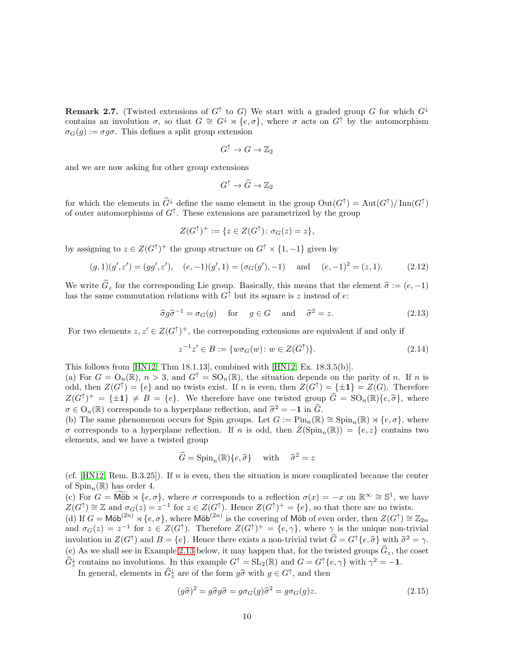<span id="page-9-1"></span>**Remark 2.7.** (Twisted extensions of  $G^{\uparrow}$  to G) We start with a graded group G for which  $G^{\downarrow}$ contains an involution  $\sigma$ , so that  $G \cong G^{\downarrow} \rtimes \{e,\sigma\}$ , where  $\sigma$  acts on  $G^{\uparrow}$  by the automorphism  $\sigma_G(g) := \sigma g \sigma$ . This defines a split group extension

$$
G^{\uparrow} \to G \to \mathbb{Z}_2
$$

and we are now asking for other group extensions

$$
G^{\uparrow} \to \widehat{G} \to \mathbb{Z}_2
$$

for which the elements in  $\widehat{G}^{\downarrow}$  define the same element in the group  $\mathrm{Out}(G^{\uparrow}) = \mathrm{Aut}(G^{\uparrow})/\mathrm{Inn}(G^{\uparrow})$ of outer automorphisms of  $G^{\uparrow}$ . These extensions are parametrized by the group

$$
Z(G^{\uparrow})^{+} := \{ z \in Z(G^{\uparrow}) \colon \sigma_G(z) = z \},
$$

by assigning to  $z \in Z(G^{\uparrow})^+$  the group structure on  $G^{\uparrow} \times \{1, -1\}$  given by

$$
(g, 1)(g', \varepsilon') = (gg', \varepsilon'), \quad (e, -1)(g', 1) = (\sigma_G(g'), -1) \quad \text{and} \quad (e, -1)^2 = (z, 1).
$$
 (2.12)

We write  $\hat{G}_z$  for the corresponding Lie group. Basically, this means that the element  $\hat{\sigma} := (e, -1)$ has the same commutation relations with  $G^{\uparrow}$  but its square is z instead of e:

$$
\hat{\sigma}g\hat{\sigma}^{-1} = \sigma_G(g) \quad \text{for} \quad g \in G \quad \text{and} \quad \hat{\sigma}^2 = z. \tag{2.13}
$$

For two elements  $z, z' \in Z(G^{\uparrow})^+$ , the corresponding extensions are equivalent if and only if

$$
z^{-1}z' \in B := \{ w\sigma_G(w) \colon w \in Z(G^{\uparrow}) \}.
$$
\n(2.14)

This follows from [\[HN12,](#page-46-13) Thm 18.1.13], combined with [\[HN12,](#page-46-13) Ex. 18.3.5(b)].

(a) For  $G = O_n(\mathbb{R})$ ,  $n > 3$ , and  $G^{\uparrow} = SO_n(\mathbb{R})$ , the situation depends on the parity of n. If n is odd, then  $Z(G^{\uparrow}) = \{e\}$  and no twists exist. If n is even, then  $Z(G^{\uparrow}) = \{\pm 1\} = Z(G)$ . Therefore  $Z(G^{\uparrow})^+ = {\pm 1} \neq B = \{e\}.$  We therefore have one twisted group  $\hat{G} = SO_n(\mathbb{R})\{e, \hat{\sigma}\}\$ , where  $\sigma \in O_n(\mathbb{R})$  corresponds to a hyperplane reflection, and  $\hat{\sigma}^2 = -1$  in  $\hat{G}_{\sigma}$ .

(b) The same phenomenon occurs for Spin groups. Let  $G := \text{Pin}_n(\mathbb{R}) \cong \text{Spin}_n(\mathbb{R}) \rtimes \{e, \sigma\}$ , where  $\sigma$  corresponds to a hyperplane reflection. If n is odd, then  $Z(Spin_n(\mathbb{R})) = \{e, z\}$  contains two elements, and we have a twisted group

$$
\widehat{G} = \text{Spin}_n(\mathbb{R})\{e, \widehat{\sigma}\} \quad \text{with} \quad \widehat{\sigma}^2 = z
$$

(cf.  $[HN12, Rem. B.3.25]$ ). If *n* is even, then the situation is more complicated because the center of  $\text{Spin}_n(\mathbb{R})$  has order 4.

(c) For  $G = \widetilde{\text{M\"ob}} \rtimes \{e, \sigma\}$ , where  $\sigma$  corresponds to a reflection  $\sigma(x) = -x$  on  $\mathbb{R}^{\infty} \cong \mathbb{S}^1$ , we have  $Z(G^{\uparrow}) \cong \mathbb{Z}$  and  $\sigma_G(z) = z^{-1}$  for  $z \in Z(G^{\uparrow})$ . Hence  $Z(G^{\uparrow})^+ = \{e\}$ , so that there are no twists. (d) If  $G = \mathsf{M\ddot{o}b}^{(2n)} \rtimes \{e, \sigma\}$ , where  $\mathsf{M\ddot{o}b}^{(2n)}$  is the covering of  $\mathsf{M\ddot{o}b}$  of even order, then  $Z(G^{\uparrow}) \cong \mathbb{Z}_{2n}$ and  $\sigma_G(z) = z^{-1}$  for  $z \in Z(G^{\uparrow})$ . Therefore  $Z(G^{\uparrow})^+ = \{e, \gamma\}$ , where  $\gamma$  is the unique non-trivial involution in  $Z(G^{\uparrow})$  and  $B = \{e\}$ . Hence there exists a non-trivial twist  $\widehat{G} = G^{\uparrow}\{e, \widehat{\sigma}\}$  with  $\widehat{\sigma}^2 = \gamma$ . (e) As we shall see in Example [2.13](#page-17-0) below, it may happen that, for the twisted groups  $\hat{G}_z$ , the coset  $\widehat{G}_{z}^{\downarrow}$  contains no involutions. In this example  $G^{\uparrow} = SL_2(\mathbb{R})$  and  $G = G^{\uparrow}\lbrace e, \gamma \rbrace$  with  $\gamma^2 = -1$ .

In general, elements in  $\hat{G}_z^{\downarrow}$  are of the form  $g\hat{\sigma}$  with  $g \in G^{\uparrow}$ , and then

<span id="page-9-0"></span>
$$
(g\hat{\sigma})^2 = g\hat{\sigma}g\hat{\sigma} = g\sigma_G(g)\hat{\sigma}^2 = g\sigma_G(g)z.
$$
\n(2.15)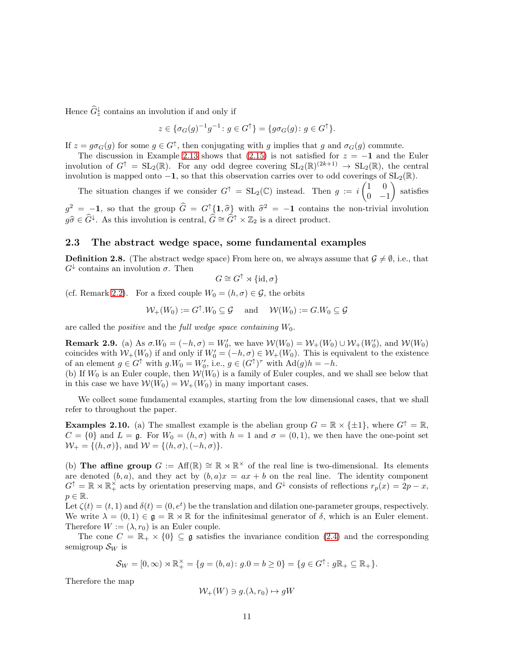Hence  $\widehat{G}_z^{\downarrow}$  contains an involution if and only if

$$
z \in \{\sigma_G(g)^{-1}g^{-1} \colon g \in G^{\uparrow}\} = \{g\sigma_G(g) \colon g \in G^{\uparrow}\}.
$$

If  $z = g \sigma_G(g)$  for some  $g \in G^{\uparrow}$ , then conjugating with g implies that g and  $\sigma_G(g)$  commute.

The discussion in Example [2.13](#page-17-0) shows that [\(2.15\)](#page-9-0) is not satisfied for  $z = -1$  and the Euler involution of  $G^{\uparrow} = SL_2(\mathbb{R})$ . For any odd degree covering  $SL_2(\mathbb{R})^{(2k+1)} \to SL_2(\mathbb{R})$ , the central involution is mapped onto  $-1$ , so that this observation carries over to odd coverings of  $SL_2(\mathbb{R})$ .

The situation changes if we consider  $G^{\uparrow} = SL_2(\mathbb{C})$  instead. Then  $g := i \begin{pmatrix} 1 & 0 \\ 0 & 1 \end{pmatrix}$  $0 -1$  $\setminus$ satisfies

 $g^2 = -1$ , so that the group  $\hat{G} = G^{\dagger} \{1, \hat{\sigma}\}$  with  $\hat{\sigma}^2 = -1$  contains the non-trivial involution  $g\widehat{\sigma} \in \widehat{G}^{\downarrow}$ . As this involution is central,  $\widehat{G} \cong \widehat{G}^{\uparrow} \times \mathbb{Z}_2$  is a direct product.

#### <span id="page-10-0"></span>2.3 The abstract wedge space, some fundamental examples

**Definition 2.8.** (The abstract wedge space) From here on, we always assume that  $\mathcal{G} \neq \emptyset$ , i.e., that  $G^{\downarrow}$  contains an involution  $\sigma$ . Then

 $G \cong G^{\uparrow} \rtimes {\text{id}, \sigma}$ 

(cf. Remark [2.2\)](#page-6-6). For a fixed couple  $W_0 = (h, \sigma) \in \mathcal{G}$ , the orbits

$$
\mathcal{W}_+(W_0) := G^{\uparrow}.W_0 \subseteq \mathcal{G} \quad \text{ and } \quad \mathcal{W}(W_0) := G.W_0 \subseteq \mathcal{G}
$$

are called the *positive* and the *full wedge space containing*  $W_0$ .

**Remark 2.9.** (a) As  $\sigma W_0 = (-h, \sigma) = W'_0$ , we have  $W(W_0) = W_+(W_0) \cup W_+(W'_0)$ , and  $W(W_0)$ coincides with  $W_+(W_0)$  if and only if  $W'_0 = (-h, \sigma) \in W_+(W_0)$ . This is equivalent to the existence of an element  $g \in G^{\uparrow}$  with  $g.W_0 = W'_0$ , i.e.,  $g \in (G^{\uparrow})^{\tau}$  with  $Ad(g)h = -h$ .

(b) If  $W_0$  is an Euler couple, then  $\mathcal{W}(W_0)$  is a family of Euler couples, and we shall see below that in this case we have  $W(W_0) = W_+(W_0)$  in many important cases.

We collect some fundamental examples, starting from the low dimensional cases, that we shall refer to throughout the paper.

<span id="page-10-1"></span>**Examples 2.10.** (a) The smallest example is the abelian group  $G = \mathbb{R} \times \{\pm 1\}$ , where  $G^{\dagger} = \mathbb{R}$ ,  $C = \{0\}$  and  $L = \mathfrak{g}$ . For  $W_0 = (h, \sigma)$  with  $h = 1$  and  $\sigma = (0, 1)$ , we then have the one-point set  $W_+ = \{(h, \sigma)\}\,$  and  $W = \{(h, \sigma), (-h, \sigma)\}.$ 

(b) The affine group  $G := Aff(\mathbb{R}) \cong \mathbb{R} \rtimes \mathbb{R}^{\times}$  of the real line is two-dimensional. Its elements are denoted  $(b, a)$ , and they act by  $(b, a)x = ax + b$  on the real line. The identity component  $G^{\uparrow} = \mathbb{R} \rtimes \mathbb{R}_{+}^{\times}$  acts by orientation preserving maps, and  $G^{\downarrow}$  consists of reflections  $r_p(x) = 2p - x$ ,  $p \in \mathbb{R}$ .

Let  $\zeta(t) = (t, 1)$  and  $\delta(t) = (0, e^t)$  be the translation and dilation one-parameter groups, respectively. We write  $\lambda = (0, 1) \in \mathfrak{g} = \mathbb{R} \rtimes \mathbb{R}$  for the infinitesimal generator of  $\delta$ , which is an Euler element. Therefore  $W := (\lambda, r_0)$  is an Euler couple.

The cone  $C = \mathbb{R}_+ \times \{0\} \subseteq \mathfrak{g}$  satisfies the invariance condition [\(2.4\)](#page-6-4) and the corresponding semigroup  $\mathcal{S}_W$  is

$$
\mathcal{S}_W=[0,\infty)\rtimes \mathbb{R}_+^{\times}=\{g=(b,a)\colon g.0=b\geq 0\}=\{g\in G^{\uparrow}\colon g\mathbb{R}_+\subseteq \mathbb{R}_+\}.
$$

Therefore the map

$$
\mathcal{W}_+(W) \ni g.(\lambda, r_0) \mapsto gW
$$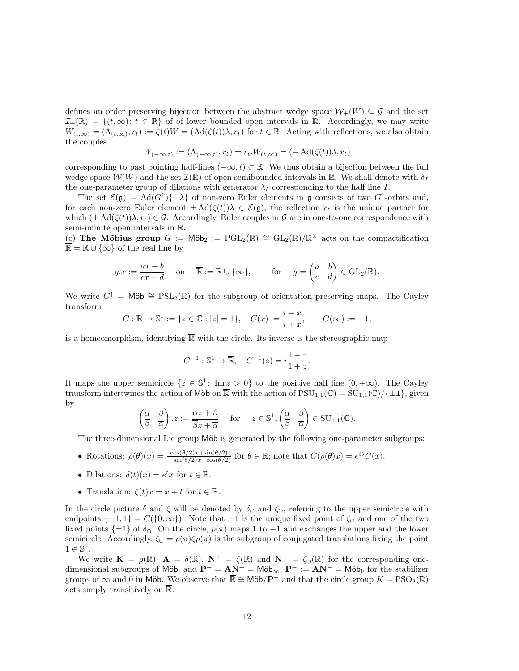defines an order preserving bijection between the abstract wedge space  $\mathcal{W}_+(W) \subseteq \mathcal{G}$  and the set  $\mathcal{I}_+(\mathbb{R}) = \{(t, \infty): t \in \mathbb{R}\}\$  of of lower bounded open intervals in R. Accordingly, we may write  $W_{(t,\infty)} = (\Lambda_{(t,\infty)}, r_t) := \zeta(t)W = (\mathrm{Ad}(\zeta(t))\lambda, r_t)$  for  $t \in \mathbb{R}$ . Acting with reflections, we also obtain the couples

$$
W_{(-\infty,t)} := (\Lambda_{(-\infty,t)}, r_t) = r_t \cdot W_{(t,\infty)} = (-\operatorname{Ad}(\zeta(t))\lambda, r_t)
$$

corresponding to past pointing half-lines  $(-\infty, t) \subset \mathbb{R}$ . We thus obtain a bijection between the full wedge space  $\mathcal{W}(W)$  and the set  $\mathcal{I}(\mathbb{R})$  of open semibounded intervals in  $\mathbb{R}$ . We shall denote with  $\delta_I$ the one-parameter group of dilations with generator  $\lambda_I$  corresponding to the half line I.

The set  $\mathcal{E}(\mathfrak{g}) = \text{Ad}(G^{\uparrow})\{\pm \lambda\}$  of non-zero Euler elements in  $\mathfrak{g}$  consists of two  $G^{\uparrow}$ -orbits and, for each non-zero Euler element  $\pm \text{Ad}(\zeta(t))\lambda \in \mathcal{E}(\mathfrak{g})$ , the reflection  $r_t$  is the unique partner for which  $(\pm \text{Ad}(\zeta(t))\lambda, r_t) \in \mathcal{G}$ . Accordingly, Euler couples in  $\mathcal{G}$  are in one-to-one correspondence with semi-infinite open intervals in R.

(c) The Möbius group  $G := \text{M\"ob}_2 := \text{PGL}_2(\mathbb{R}) \cong GL_2(\mathbb{R})/\mathbb{R}^\times$  acts on the compactification  $\overline{\mathbb{R}} = \mathbb{R} \cup {\infty}$  of the real line by

$$
g \cdot x := \frac{ax+b}{cx+d}
$$
 on  $\overline{\mathbb{R}} := \mathbb{R} \cup \{\infty\}$ , for  $g = \begin{pmatrix} a & b \\ c & d \end{pmatrix} \in GL_2(\mathbb{R})$ .

We write  $G^{\dagger} = M\ddot{\omega} \cong PSL_2(\mathbb{R})$  for the subgroup of orientation preserving maps. The Cayley transform

$$
C: \overline{\mathbb{R}} \to \mathbb{S}^1 := \{ z \in \mathbb{C} : |z| = 1 \}, \quad C(x) := \frac{i - x}{i + x}, \qquad C(\infty) := -1,
$$

is a homeomorphism, identifying  $\overline{\mathbb{R}}$  with the circle. Its inverse is the stereographic map

$$
C^{-1}: \mathbb{S}^1 \to \overline{\mathbb{R}}, \quad C^{-1}(z) = i \frac{1-z}{1+z}.
$$

It maps the upper semicircle  $\{z \in \mathbb{S}^1 : \text{Im } z > 0\}$  to the positive half line  $(0, +\infty)$ . The Cayley transform intertwines the action of Möb on  $\overline{\mathbb{R}}$  with the action of  $PSU_{1,1}(\mathbb{C}) = SU_{1,1}(\mathbb{C})/\{\pm 1\}$ , given by

$$
\begin{pmatrix} \alpha & \beta \\ \overline{\beta} & \overline{\alpha} \end{pmatrix} . z := \frac{\alpha z + \beta}{\overline{\beta} z + \overline{\alpha}} \quad \text{for} \quad z \in \mathbb{S}^1, \begin{pmatrix} \alpha & \beta \\ \overline{\beta} & \overline{\alpha} \end{pmatrix} \in \text{SU}_{1,1}(\mathbb{C}).
$$

The three-dimensional Lie group Möb is generated by the following one-parameter subgroups:

- Rotations:  $\rho(\theta)(x) = \frac{\cos(\theta/2)x + \sin(\theta/2)}{-\sin(\theta/2)x + \cos(\theta/2)}$  for  $\theta \in \mathbb{R}$ ; note that  $C(\rho(\theta)x) = e^{i\theta}C(x)$ .
- Dilations:  $\delta(t)(x) = e^t x$  for  $t \in \mathbb{R}$ .
- Translation:  $\zeta(t)x = x + t$  for  $t \in \mathbb{R}$ .

In the circle picture  $\delta$  and  $\zeta$  will be denoted by  $\delta_{\cap}$  and  $\zeta_{\cap}$ , referring to the upper semicircle with endpoints  $\{-1,1\} = C(\{0,\infty\})$ . Note that  $-1$  is the unique fixed point of  $\zeta_0$  and one of the two fixed points  $\{\pm 1\}$  of  $\delta_{\cap}$ . On the circle,  $\rho(\pi)$  maps 1 to -1 and exchanges the upper and the lower semicircle. Accordingly,  $\zeta_{\cup} = \rho(\pi)\zeta\rho(\pi)$  is the subgroup of conjugated translations fixing the point  $1 \in \mathbb{S}^1$ .

We write  $\mathbf{K} = \rho(\mathbb{R}), \ \mathbf{A} = \delta(\mathbb{R}), \ \mathbf{N}^+ = \zeta(\mathbb{R})$  and  $\mathbf{N}^- = \zeta(\mathbb{R})$  for the corresponding onedimensional subgroups of Möb, and  $\mathbf{P}^+ = \mathbf{A}\mathbf{N}^+ = \mathsf{M\ddot{o}b}_{\infty}$ ,  $\mathbf{P}^- := \mathbf{A}\mathbf{N}^- = \mathsf{M\ddot{o}b}_0$  for the stabilizer groups of ∞ and 0 in Möb. We observe that  $\overline{\mathbb{R}} \cong M\ddot{\circ}b/\mathbb{P}^-$  and that the circle group  $K = \text{PSO}_2(\mathbb{R})$ acts simply transitively on  $\overline{\mathbb{R}}$ .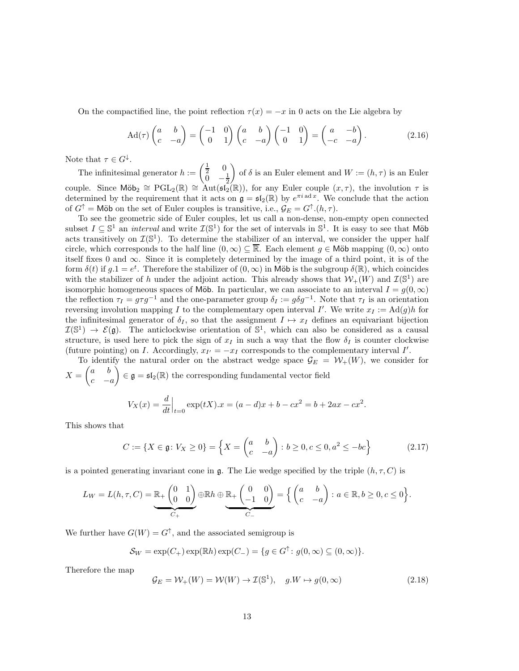On the compactified line, the point reflection  $\tau(x) = -x$  in 0 acts on the Lie algebra by

<span id="page-12-1"></span>
$$
\operatorname{Ad}(\tau) \begin{pmatrix} a & b \\ c & -a \end{pmatrix} = \begin{pmatrix} -1 & 0 \\ 0 & 1 \end{pmatrix} \begin{pmatrix} a & b \\ c & -a \end{pmatrix} \begin{pmatrix} -1 & 0 \\ 0 & 1 \end{pmatrix} = \begin{pmatrix} a & -b \\ -c & -a \end{pmatrix}.
$$
 (2.16)

Note that  $\tau \in G^{\downarrow}$ .

The infinitesimal generator  $h := \begin{pmatrix} \frac{1}{2} & 0 \\ 0 & 0 \end{pmatrix}$  $\overline{0}$   $-\frac{1}{2}$  $\overline{ }$ of  $\delta$  is an Euler element and  $W := (h, \tau)$  is an Euler couple. Since  $\text{M\"ob}_2 \cong \text{PGL}_2(\mathbb{R}) \cong \text{Aut}(\mathfrak{sl}_2(\mathbb{R}))$ , for any Euler couple  $(x, \tau)$ , the involution  $\tau$  is determined by the requirement that it acts on  $\mathfrak{g} = \mathfrak{sl}_2(\mathbb{R})$  by  $e^{\pi i \mathfrak{a} dx}$ . We conclude that the action of  $G^{\uparrow}$  = Möb on the set of Euler couples is transitive, i.e.,  $\mathcal{G}_E = G^{\uparrow}(h, \tau)$ .

To see the geometric side of Euler couples, let us call a non-dense, non-empty open connected subset  $I \subseteq \mathbb{S}^1$  an *interval* and write  $\mathcal{I}(\mathbb{S}^1)$  for the set of intervals in  $\mathbb{S}^1$ . It is easy to see that Möb acts transitively on  $\mathcal{I}(\mathbb{S}^1)$ . To determine the stabilizer of an interval, we consider the upper half circle, which corresponds to the half line  $(0, \infty) \subseteq \mathbb{R}$ . Each element  $g \in \mathsf{M\"ob}$  mapping  $(0, \infty)$  onto itself fixes 0 and  $\infty$ . Since it is completely determined by the image of a third point, it is of the form  $\delta(t)$  if  $g \cdot 1 = e^t$ . Therefore the stabilizer of  $(0, \infty)$  in Möb is the subgroup  $\delta(\mathbb{R})$ , which coincides with the stabilizer of h under the adjoint action. This already shows that  $\mathcal{W}_+(W)$  and  $\mathcal{I}(\mathbb{S}^1)$  are isomorphic homogeneous spaces of Möb. In particular, we can associate to an interval  $I = q(0, \infty)$ the reflection  $\tau_I = g\tau g^{-1}$  and the one-parameter group  $\delta_I := g\delta g^{-1}$ . Note that  $\tau_I$  is an orientation reversing involution mapping I to the complementary open interval I'. We write  $x_I := \text{Ad}(g)h$  for the infinitesimal generator of  $\delta_I$ , so that the assignment  $I \mapsto x_I$  defines an equivariant bijection  $\mathcal{I}(\mathbb{S}^1) \to \mathcal{E}(\mathfrak{g})$ . The anticlockwise orientation of  $\mathbb{S}^1$ , which can also be considered as a causal structure, is used here to pick the sign of  $x_I$  in such a way that the flow  $\delta_I$  is counter clockwise (future pointing) on *I*. Accordingly,  $x_{I'} = -x_I$  corresponds to the complementary interval *I'*.

To identify the natural order on the abstract wedge space  $\mathcal{G}_E = \mathcal{W}_+(W)$ , we consider for  $X =$  $\int a b$  $c - a$  $\left(\theta\right) \in \mathfrak{g} = \mathfrak{sl}_2(\mathbb{R})$  the corresponding fundamental vector field  $V_X(x) = \frac{d}{dt}$  $\Big|_{t=0} \exp(tX).x = (a-d)x + b - cx^2 = b + 2ax - cx^2.$ 

This shows that

<span id="page-12-0"></span>
$$
C := \{ X \in \mathfrak{g} \colon V_X \ge 0 \} = \left\{ X = \begin{pmatrix} a & b \\ c & -a \end{pmatrix} \colon b \ge 0, c \le 0, a^2 \le -bc \right\}
$$
(2.17)

is a pointed generating invariant cone in g. The Lie wedge specified by the triple  $(h, \tau, C)$  is

$$
L_W = L(h, \tau, C) = \underbrace{\mathbb{R}_+ \begin{pmatrix} 0 & 1 \\ 0 & 0 \end{pmatrix}}_{C_+} \oplus \underbrace{\mathbb{R}_+ \begin{pmatrix} 0 & 0 \\ -1 & 0 \end{pmatrix}}_{C_-} = \left\{ \begin{pmatrix} a & b \\ c & -a \end{pmatrix} : a \in \mathbb{R}, b \ge 0, c \le 0 \right\}.
$$

We further have  $G(W) = G^{\uparrow}$ , and the associated semigroup is

$$
\mathcal{S}_W = \exp(C_+) \exp(\mathbb{R}h) \exp(C_-) = \{ g \in G^{\uparrow} : g(0, \infty) \subseteq (0, \infty) \}.
$$

Therefore the map

$$
\mathcal{G}_E = \mathcal{W}_+(W) = \mathcal{W}(W) \to \mathcal{I}(\mathbb{S}^1), \quad g \cdot W \mapsto g(0, \infty) \tag{2.18}
$$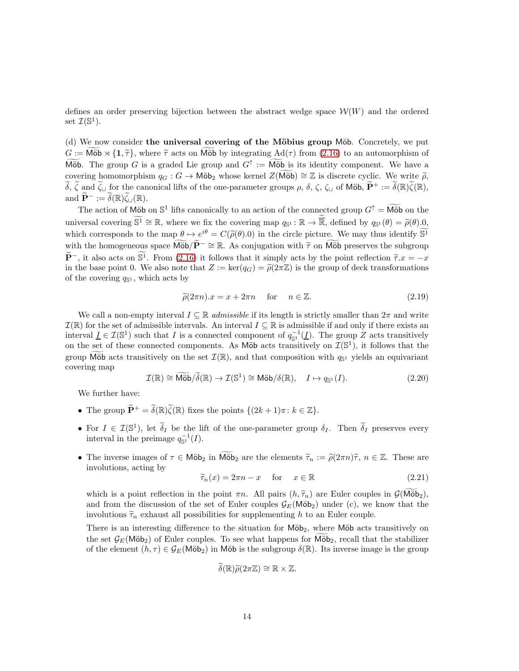defines an order preserving bijection between the abstract wedge space  $W(W)$  and the ordered set  $\mathcal{I}(\mathbb{S}^1)$ .

(d) We now consider the universal covering of the Möbius group Möb. Concretely, we put  $G := \text{Möb} \rtimes \{1, \tilde{\tau}\}\$ , where  $\tilde{\tau}$  acts on Möb by integrating  $\text{Ad}(\tau)$  from [\(2.16\)](#page-12-1) to an automorphism of Möb. The group G is a graded Lie group and  $G^{\uparrow} := \widetilde{\text{M\"ob}}$  is its identity component. We have a covering homomorphism  $q_G : G \to \mathsf{M\ddot{o}b}_2$  whose kernel  $Z(\mathsf{M\ddot{o}b}) \cong \mathbb{Z}$  is discrete cyclic. We write  $\tilde{\rho}$ ,  $\widetilde{\delta}, \widetilde{\zeta}$  and  $\widetilde{\zeta}_\cup$  for the canonical lifts of the one-parameter groups  $\rho$ ,  $\delta$ ,  $\zeta$ ,  $\zeta_\cup$  of Möb,  $\widetilde{P}^+ := \widetilde{\delta}(\mathbb{R})\widetilde{\zeta}(\mathbb{R}),$ and  $\widetilde{\mathbf{P}}^- := \widetilde{\delta}(\mathbb{R}) \widetilde{\zeta}_{\cup}(\mathbb{R}).$ 

The action of M<sub>O</sub>b on  $\mathbb{S}^1$  lifts canonically to an action of the connected group  $G^{\uparrow} = \widetilde{\text{M\"ob}}$  on the universal covering  $\mathbb{S}^1 \cong \mathbb{R}$ , where we fix the covering map  $q_{\mathbb{S}^1} : \mathbb{R} \to \overline{\mathbb{R}}$ , defined by  $q_{\mathbb{S}^1}(\theta) = \tilde{\rho}(\theta) \cdot 0$ , which corresponds to the map  $\theta \mapsto e^{i\theta} = C(\tilde{\rho}(\theta).0)$  in the circle picture. We may thus identify  $\tilde{S}^1$ with the homogeneous space  $\widehat{\text{M\"ob}}(\widetilde{P}^{-} \cong \mathbb{R}$ . As conjugation with  $\widetilde{\tau}$  on  $\widehat{\text{M\"ob}}$  preserves the subgroup  $\widetilde{\mathbf{P}}^-$ , it also acts on  $\widetilde{\mathbb{S}}^1$ . From [\(2.16\)](#page-12-1) it follows that it simply acts by the point reflection  $\widetilde{\tau}.x = -x$ in the base point 0. We also note that  $Z := \ker(q_G) = \tilde{\rho}(2\pi\mathbb{Z})$  is the group of deck transformations of the covering  $q_{\mathbb{S}^1}$ , which acts by

$$
\tilde{\rho}(2\pi n).x = x + 2\pi n \quad \text{for} \quad n \in \mathbb{Z}.\tag{2.19}
$$

We call a non-empty interval  $I \subseteq \mathbb{R}$  admissible if its length is strictly smaller than  $2\pi$  and write  $\mathcal{I}(\mathbb{R})$  for the set of admissible intervals. An interval  $I \subseteq \mathbb{R}$  is admissible if and only if there exists an interval  $\underline{I} \in \mathcal{I}(\mathbb{S}^1)$  such that I is a connected component of  $q_{\mathbb{S}^1}^{-1}(\underline{I})$ . The group Z acts transitively on the set of these connected components. As Möb acts transitively on  $\mathcal{I}(\mathbb{S}^1)$ , it follows that the group M $\overline{\bullet}$  acts transitively on the set  $\mathcal{I}(\mathbb{R})$ , and that composition with  $q_{\mathbb{S}^1}$  yields an equivariant covering map

$$
\mathcal{I}(\mathbb{R}) \cong \widetilde{\text{M\"ob}}/\widetilde{\delta}(\mathbb{R}) \to \mathcal{I}(\mathbb{S}^1) \cong \text{M\"ob}/\delta(\mathbb{R}), \quad I \mapsto q_{\mathbb{S}^1}(I). \tag{2.20}
$$

We further have:

- The group  $\widetilde{\mathbf{P}}^+ = \widetilde{\delta}(\mathbb{R})\widetilde{\zeta}(\mathbb{R})$  fixes the points  $\{(2k+1)\pi : k \in \mathbb{Z}\}.$
- For  $I \in \mathcal{I}(\mathbb{S}^1)$ , let  $\widetilde{\delta}_I$  be the lift of the one-parameter group  $\delta_I$ . Then  $\widetilde{\delta}_I$  preserves every interval in the preimage  $q_{\mathbb{S}^1}^{-1}(I)$ .
- The inverse images of  $\tau \in M\ddot{\circ}b_2$  in  $M\ddot{\circ}b_2$  are the elements  $\widetilde{\tau}_n := \widetilde{\rho}(2\pi n)\widetilde{\tau}$ ,  $n \in \mathbb{Z}$ . These are involutions, acting by

$$
\widetilde{\tau}_n(x) = 2\pi n - x \quad \text{for} \quad x \in \mathbb{R} \tag{2.21}
$$

which is a point reflection in the point  $\pi n$ . All pairs  $(h, \tilde{\tau}_n)$  are Euler couples in  $\mathcal{G}(\overline{\mathsf{Mob}}_2)$ , and from the discussion of the set of Euler couples  $\mathcal{G}_E(\mathsf{M\ddot{o}b}_2)$  under (c), we know that the involutions  $\tilde{\tau}_n$  exhaust all possibilities for supplementing h to an Euler couple.

There is an interesting difference to the situation for  $M\ddot{\omega}b_2$ , where  $M\ddot{\omega}b$  acts transitively on the set  $\mathcal{G}_E(\text{M\"ob}_2)$  of Euler couples. To see what happens for  $\text{M\"ob}_2$ , recall that the stabilizer of the element  $(h, \tau) \in \mathcal{G}_E(\text{M\"ob}_2)$  in Möb is the subgroup  $\delta(\mathbb{R})$ . Its inverse image is the group

$$
\widetilde{\delta}(\mathbb{R})\widetilde{\rho}(2\pi\mathbb{Z})\cong\mathbb{R}\times\mathbb{Z}.
$$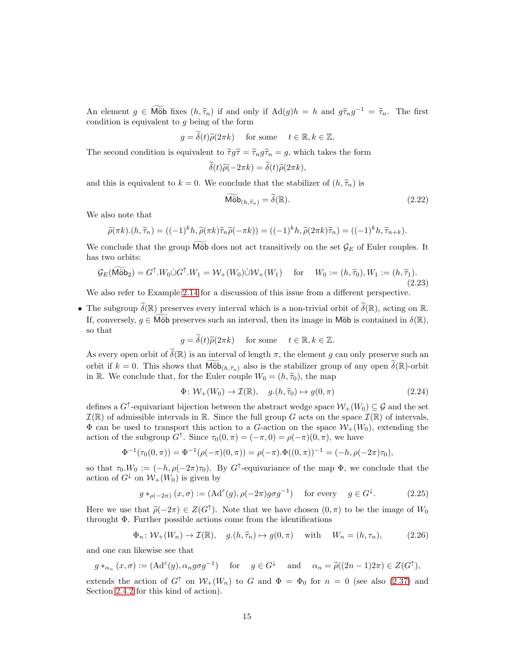An element  $g \in \widetilde{\text{M\"ob}}$  fixes  $(h, \widetilde{\tau}_n)$  if and only if  $\text{Ad}(g)h = h$  and  $g\widetilde{\tau}_n g^{-1} = \widetilde{\tau}_n$ . The first condition is equivalent to  $g$  being of the form

$$
g = \tilde{\delta}(t)\tilde{\rho}(2\pi k)
$$
 for some  $t \in \mathbb{R}, k \in \mathbb{Z}$ .

The second condition is equivalent to  $\tilde{\tau}g\tilde{\tau} = \tilde{\tau}_n g\tilde{\tau}_n = g$ , which takes the form

$$
\delta(t)\widetilde{\rho}(-2\pi k) = \delta(t)\widetilde{\rho}(2\pi k),
$$

and this is equivalent to  $k = 0$ . We conclude that the stabilizer of  $(h, \tilde{\tau}_n)$  is

$$
\widetilde{\text{M\"ob}}_{(h,\widetilde{\tau}_n)} = \widetilde{\delta}(\mathbb{R}).\tag{2.22}
$$

We also note that

$$
\widetilde{\rho}(\pi k)\cdot (h, \widetilde{\tau}_n) = ((-1)^k h, \widetilde{\rho}(\pi k) \widetilde{\tau}_n \widetilde{\rho}(-\pi k)) = ((-1)^k h, \widetilde{\rho}(2\pi k) \widetilde{\tau}_n) = ((-1)^k h, \widetilde{\tau}_{n+k}).
$$

We conclude that the group  $\widetilde{\text{M\"ob}}$  does not act transitively on the set  $\mathcal{G}_E$  of Euler couples. It has two orbits:

$$
\mathcal{G}_E(\widetilde{\text{M\"ob}}_2) = G^{\uparrow}.W_0 \dot{\cup} G^{\uparrow}.W_1 = \mathcal{W}_+(W_0) \dot{\cup} \mathcal{W}_+(W_1) \quad \text{for} \quad W_0 := (h, \widetilde{\tau}_0), W_1 := (h, \widetilde{\tau}_1). \tag{2.23}
$$

We also refer to Example [2.14](#page-18-0) for a discussion of this issue from a different perspective.

• The subgroup  $\widetilde{\delta}(\mathbb{R})$  preserves every interval which is a non-trivial orbit of  $\widetilde{\delta}(\mathbb{R})$ , acting on  $\mathbb{R}$ . If, conversely,  $g \in \widetilde{\text{M\"ob}}$  preserves such an interval, then its image in Möb is contained in  $\delta(\mathbb{R}),$ so that

$$
g = \tilde{\delta}(t)\tilde{\rho}(2\pi k)
$$
 for some  $t \in \mathbb{R}, k \in \mathbb{Z}$ .

As every open orbit of  $\tilde{\delta}(\mathbb{R})$  is an interval of length  $\pi$ , the element g can only preserve such an orbit if  $k = 0$ . This shows that  $\widetilde{\text{M\"ob}}_{(h, \widetilde{\tau}_n)}$  also is the stabilizer group of any open  $\widetilde{\delta}(\mathbb{R})$ -orbit in R. We conclude that, for the Euler couple  $W_0 = (h, \tilde{\tau}_0)$ , the map

$$
\Phi \colon \mathcal{W}_+(W_0) \to \mathcal{I}(\mathbb{R}), \quad g.(h, \widetilde{\tau}_0) \mapsto g(0, \pi) \tag{2.24}
$$

defines a  $G^{\uparrow}$ -equivariant bijection between the abstract wedge space  $\mathcal{W}_+(W_0) \subseteq \mathcal{G}$  and the set  $\mathcal{I}(\mathbb{R})$  of admissible intervals in  $\mathbb{R}$ . Since the full group G acts on the space  $\mathcal{I}(\mathbb{R})$  of intervals,  $\Phi$  can be used to transport this action to a G-action on the space  $W_+(W_0)$ , extending the action of the subgroup  $G^{\uparrow}$ . Since  $\tau_0(0, \pi) = (-\pi, 0) = \rho(-\pi)(0, \pi)$ , we have

$$
\Phi^{-1}(\tau_0(0,\pi)) = \Phi^{-1}(\rho(-\pi)(0,\pi)) = \rho(-\pi).\Phi((0,\pi))^{-1} = (-h, \rho(-2\pi)\tau_0),
$$

so that  $\tau_0.W_0 := (-h, \rho(-2\pi)\tau_0)$ . By G<sup>†</sup>-equivariance of the map  $\Phi$ , we conclude that the action of  $G^{\downarrow}$  on  $W_+(W_0)$  is given by

<span id="page-14-0"></span>
$$
g *_{\rho(-2\pi)} (x, \sigma) := (\mathrm{Ad}^{\varepsilon}(g), \rho(-2\pi) g \sigma g^{-1}) \quad \text{for every} \quad g \in G^{\downarrow}.
$$
 (2.25)

Here we use that  $\tilde{\rho}(-2\pi) \in Z(G^{\uparrow})$ . Note that we have chosen  $(0, \pi)$  to be the image of  $W_0$ throught Φ. Further possible actions come from the identifications

$$
\Phi_n \colon \mathcal{W}_+(W_n) \to \mathcal{I}(\mathbb{R}), \quad g.(h, \widetilde{\tau}_n) \mapsto g(0, \pi) \quad \text{ with } \quad W_n = (h, \tau_n), \tag{2.26}
$$

and one can likewise see that

$$
g *_{\alpha_n} (x, \sigma) := (Ad^{\varepsilon}(g), \alpha_n g \sigma g^{-1})
$$
 for  $g \in G^{\downarrow}$  and  $\alpha_n = \tilde{\rho}((2n-1)2\pi) \in Z(G^{\uparrow}),$ 

extends the action of  $G^{\uparrow}$  on  $W_{+}(W_{n})$  to G and  $\Phi = \Phi_{0}$  for  $n = 0$  (see also [\(2.37\)](#page-19-0) and Section [2.4.2](#page-16-2) for this kind of action).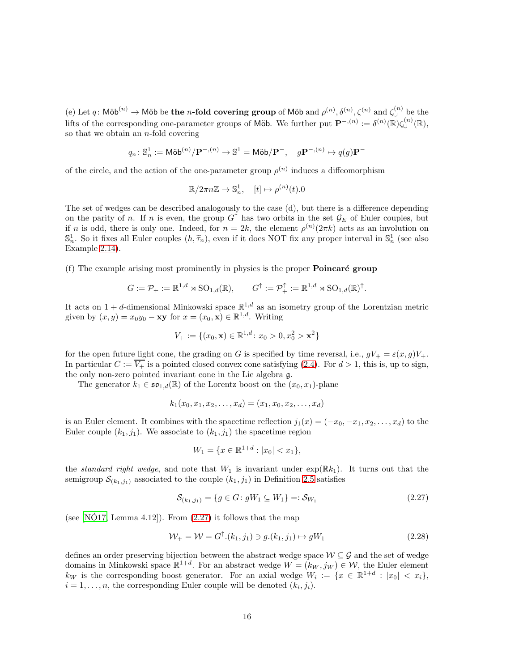(e) Let q: Möb<sup>(n)</sup>  $\to$  Möb be the n-fold covering group of Möb and  $\rho^{(n)}$ ,  $\delta^{(n)}$ ,  $\zeta^{(n)}$  and  $\zeta^{(n)}$  be the lifts of the corresponding one-parameter groups of Möb. We further put  $\mathbf{P}^{-,(n)} := \delta^{(n)}(\mathbb{R})\zeta_{\cup}^{(n)}(\mathbb{R}),$ so that we obtain an  $n$ -fold covering

$$
q_n\colon \mathbb{S}^1_n:=\text{M\"ob}^{(n)}/\mathbf{P}^{-,(n)}\to \mathbb{S}^1=\text{M\"ob}/\mathbf{P}^{-},\quad g\mathbf{P}^{-,(n)}\mapsto q(g)\mathbf{P}^{-}
$$

of the circle, and the action of the one-parameter group  $\rho^{(n)}$  induces a diffeomorphism

$$
\mathbb{R}/2\pi n\mathbb{Z} \to \mathbb{S}_n^1, \quad [t] \mapsto \rho^{(n)}(t).0
$$

The set of wedges can be described analogously to the case (d), but there is a difference depending on the parity of n. If n is even, the group  $G^{\uparrow}$  has two orbits in the set  $\mathcal{G}_E$  of Euler couples, but if n is odd, there is only one. Indeed, for  $n = 2k$ , the element  $\rho^{(n)}(2\pi k)$  acts as an involution on  $\mathbb{S}_n^1$ . So it fixes all Euler couples  $(h, \widetilde{\tau}_n)$ , even if it does NOT fix any proper interval in  $\mathbb{S}_n^1$  (see also Example [2.14\)](#page-18-0).

(f) The example arising most prominently in physics is the proper **Poincaré group** 

$$
G := \mathcal{P}_+ := \mathbb{R}^{1,d} \rtimes \mathrm{SO}_{1,d}(\mathbb{R}), \qquad G^\uparrow := \mathcal{P}_+^\uparrow := \mathbb{R}^{1,d} \rtimes \mathrm{SO}_{1,d}(\mathbb{R})^\uparrow.
$$

It acts on  $1 + d$ -dimensional Minkowski space  $\mathbb{R}^{1,d}$  as an isometry group of the Lorentzian metric given by  $(x, y) = x_0 y_0 - xy$  for  $x = (x_0, x) \in \mathbb{R}^{1,d}$ . Writing

$$
V_{+} := \{(x_0, \mathbf{x}) \in \mathbb{R}^{1,d} \colon x_0 > 0, x_0^2 > \mathbf{x}^2\}
$$

for the open future light cone, the grading on G is specified by time reversal, i.e.,  $gV_+ = \varepsilon(x, g)V_+$ . In particular  $C := \overline{V_+}$  is a pointed closed convex cone satisfying [\(2.4\)](#page-6-4). For  $d > 1$ , this is, up to sign, the only non-zero pointed invariant cone in the Lie algebra g.

The generator  $k_1 \in \mathfrak{so}_{1,d}(\mathbb{R})$  of the Lorentz boost on the  $(x_0, x_1)$ -plane

$$
k_1(x_0, x_1, x_2, \dots, x_d) = (x_1, x_0, x_2, \dots, x_d)
$$

is an Euler element. It combines with the spacetime reflection  $j_1(x) = (-x_0, -x_1, x_2, \dots, x_d)$  to the Euler couple  $(k_1, j_1)$ . We associate to  $(k_1, j_1)$  the spacetime region

<span id="page-15-1"></span><span id="page-15-0"></span>
$$
W_1 = \{ x \in \mathbb{R}^{1+d} : |x_0| < x_1 \},
$$

the *standard right wedge*, and note that  $W_1$  is invariant under  $\exp(\mathbb{R}k_1)$ . It turns out that the semigroup  $\mathcal{S}_{(k_1,j_1)}$  associated to the couple  $(k_1,j_1)$  in Definition [2.5](#page-7-3) satisfies

$$
\mathcal{S}_{(k_1,j_1)} = \{ g \in G \colon gW_1 \subseteq W_1 \} =: \mathcal{S}_{W_1} \tag{2.27}
$$

(see [\[NO17,](#page-48-5) Lemma 4.12]). From  $(2.27)$  it follows that the map

$$
\mathcal{W}_+ = \mathcal{W} = G^\uparrow.(k_1, j_1) \ni g.(k_1, j_1) \mapsto gW_1 \tag{2.28}
$$

defines an order preserving bijection between the abstract wedge space  $W \subseteq \mathcal{G}$  and the set of wedge domains in Minkowski space  $\mathbb{R}^{1+d}$ . For an abstract wedge  $W = (k_W, j_W) \in \mathcal{W}$ , the Euler element  $k_W$  is the corresponding boost generator. For an axial wedge  $W_i := \{x \in \mathbb{R}^{1+d} : |x_0| < x_i\},\$  $i = 1, \ldots, n$ , the corresponding Euler couple will be denoted  $(k_i, j_i)$ .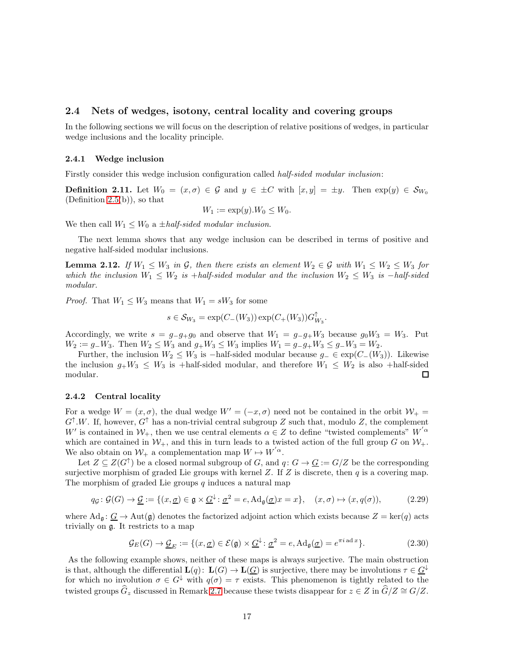#### <span id="page-16-0"></span>2.4 Nets of wedges, isotony, central locality and covering groups

In the following sections we will focus on the description of relative positions of wedges, in particular wedge inclusions and the locality principle.

#### <span id="page-16-1"></span>2.4.1 Wedge inclusion

Firstly consider this wedge inclusion configuration called half-sided modular inclusion:

**Definition 2.11.** Let  $W_0 = (x, \sigma) \in \mathcal{G}$  and  $y \in \pm C$  with  $[x, y] = \pm y$ . Then  $\exp(y) \in S_{W_0}$ (Definition [2.5\(](#page-7-3)b)), so that

$$
W_1 := \exp(y) . W_0 \leq W_0.
$$

We then call  $W_1 \leq W_0$  a  $\pm$ *half-sided modular inclusion.* 

The next lemma shows that any wedge inclusion can be described in terms of positive and negative half-sided modular inclusions.

**Lemma 2.12.** If  $W_1 \leq W_3$  in G, then there exists an element  $W_2 \in \mathcal{G}$  with  $W_1 \leq W_2 \leq W_3$  for which the inclusion  $W_1 \leq W_2$  is +half-sided modular and the inclusion  $W_2 \leq W_3$  is -half-sided modular.

*Proof.* That  $W_1 \leq W_3$  means that  $W_1 = sW_3$  for some

$$
s \in \mathcal{S}_{W_3} = \exp(C_-(W_3)) \exp(C_+(W_3)) G_{W_3}^{\uparrow}.
$$

Accordingly, we write  $s = g_{-}g_{+}g_0$  and observe that  $W_1 = g_{-}g_{+}W_3$  because  $g_0W_3 = W_3$ . Put  $W_2 := g_{-}W_3$ . Then  $W_2 \leq W_3$  and  $g_{+}W_3 \leq W_3$  implies  $W_1 = g_{-}g_{+}W_3 \leq g_{-}W_3 = W_2$ .

Further, the inclusion  $W_2 \leq W_3$  is -half-sided modular because  $g_-\in \exp(C_-(W_3))$ . Likewise the inclusion  $g_+W_3 \leq W_3$  is +half-sided modular, and therefore  $W_1 \leq W_2$  is also +half-sided modular.  $\Box$ 

#### <span id="page-16-2"></span>2.4.2 Central locality

For a wedge  $W = (x, \sigma)$ , the dual wedge  $W' = (-x, \sigma)$  need not be contained in the orbit  $\mathcal{W}_+$  $G^{\uparrow}.W$ . If, however,  $G^{\uparrow}$  has a non-trivial central subgroup Z such that, modulo Z, the complement W' is contained in  $W_+$ , then we use central elements  $\alpha \in Z$  to define "twisted complements"  $W^{'\alpha}$ which are contained in  $W_+$ , and this in turn leads to a twisted action of the full group G on  $W_+$ . We also obtain on  $W_+$  a complementation map  $W \mapsto W^{'\alpha}$ .

Let  $Z \subseteq Z(G^{\uparrow})$  be a closed normal subgroup of G, and  $q: G \to \underline{G} := G/Z$  be the corresponding surjective morphism of graded Lie groups with kernel  $Z$ . If  $Z$  is discrete, then  $q$  is a covering map. The morphism of graded Lie groups  $q$  induces a natural map

$$
q_{\mathcal{G}}\colon \mathcal{G}(G)\to \underline{\mathcal{G}}:=\{(x,\underline{\sigma})\in \mathfrak{g}\times \underline{G}^{\downarrow}\colon \underline{\sigma}^2=e, \mathrm{Ad}_{\mathfrak{g}}(\underline{\sigma})x=x\},\quad (x,\sigma)\mapsto (x,q(\sigma)),\tag{2.29}
$$

where  $\text{Ad}_\mathfrak{g}: \mathcal{G} \to \text{Aut}(\mathfrak{g})$  denotes the factorized adjoint action which exists because  $Z = \text{ker}(q)$  acts trivially on g. It restricts to a map

$$
\mathcal{G}_E(G) \to \underline{\mathcal{G}}_E := \{ (x, \underline{\sigma}) \in \mathcal{E}(\mathfrak{g}) \times \underline{G}^\downarrow : \underline{\sigma}^2 = e, \mathrm{Ad}_{\mathfrak{g}}(\underline{\sigma}) = e^{\pi i \operatorname{ad} x} \}. \tag{2.30}
$$

As the following example shows, neither of these maps is always surjective. The main obstruction is that, although the differential  $\mathbf{L}(q) \colon \mathbf{L}(G) \to \mathbf{L}(G)$  is surjective, there may be involutions  $\tau \in \mathcal{G}^{\downarrow}$ for which no involution  $\sigma \in G^{\downarrow}$  with  $q(\sigma) = \tau$  exists. This phenomenon is tightly related to the twisted groups  $\widehat{G}_z$  discussed in Remark [2.7](#page-9-1) because these twists disappear for  $z \in Z$  in  $\widehat{G}/Z \cong G/Z$ .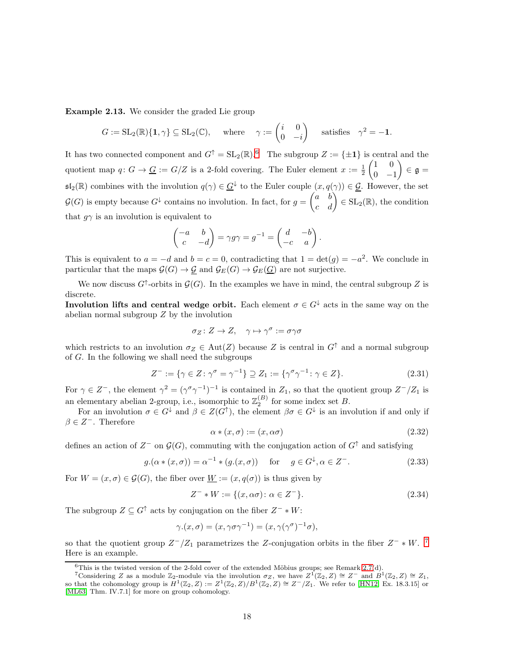<span id="page-17-0"></span>Example 2.13. We consider the graded Lie group

$$
G := SL_2(\mathbb{R})\{1, \gamma\} \subseteq SL_2(\mathbb{C}), \quad \text{where} \quad \gamma := \begin{pmatrix} i & 0 \\ 0 & -i \end{pmatrix} \quad \text{satisfies} \quad \gamma^2 = -1.
$$

It has two connected component and  $G^{\uparrow} = SL_2(\mathbb{R})$ .<sup>[6](#page-17-1)</sup> The subgroup  $Z := \{\pm 1\}$  is central and the quotient map  $q: G \to \underline{G} := G/Z$  is a 2-fold covering. The Euler element  $x := \frac{1}{2}$  $(1 \ 0)$  $0 -1$  $\overline{ }$  $\in \mathfrak{g} =$  $\mathfrak{sl}_2(\mathbb{R})$  combines with the involution  $q(\gamma) \in \underline{G}^{\downarrow}$  to the Euler couple  $(x, q(\gamma)) \in \underline{\mathcal{G}}$ . However, the set  $\mathcal{G}(G)$  is empty because  $G^{\downarrow}$  contains no involution. In fact, for  $g =$  $\begin{pmatrix} a & b \\ c & d \end{pmatrix} \in SL_2(\mathbb{R})$ , the condition that  $q\gamma$  is an involution is equivalent to

$$
\begin{pmatrix} -a & b \\ c & -d \end{pmatrix} = \gamma g \gamma = g^{-1} = \begin{pmatrix} d & -b \\ -c & a \end{pmatrix}.
$$

This is equivalent to  $a = -d$  and  $b = c = 0$ , contradicting that  $1 = det(g) = -a^2$ . We conclude in particular that the maps  $\mathcal{G}(G) \to \mathcal{G}$  and  $\mathcal{G}_E(G) \to \mathcal{G}_E(G)$  are not surjective.

We now discuss  $G^{\uparrow}$ -orbits in  $\mathcal{G}(G)$ . In the examples we have in mind, the central subgroup Z is discrete.

**Involution lifts and central wedge orbit.** Each element  $\sigma \in G^{\downarrow}$  acts in the same way on the abelian normal subgroup Z by the involution

$$
\sigma_Z \colon Z \to Z, \quad \gamma \mapsto \gamma^{\sigma} := \sigma \gamma \sigma
$$

which restricts to an involution  $\sigma_Z \in Aut(Z)$  because Z is central in  $G^{\uparrow}$  and a normal subgroup of G. In the following we shall need the subgroups

$$
Z^- := \{ \gamma \in Z \colon \gamma^{\sigma} = \gamma^{-1} \} \supseteq Z_1 := \{ \gamma^{\sigma} \gamma^{-1} \colon \gamma \in Z \}. \tag{2.31}
$$

For  $\gamma \in \mathbb{Z}^-$ , the element  $\gamma^2 = (\gamma^{\sigma} \gamma^{-1})^{-1}$  is contained in  $\mathbb{Z}_1$ , so that the quotient group  $\mathbb{Z}^-/\mathbb{Z}_1$  is an elementary abelian 2-group, i.e., isomorphic to  $\mathbb{Z}_2^{(B)}$  for some index set B.

For an involution  $\sigma \in G^{\downarrow}$  and  $\beta \in Z(G^{\uparrow})$ , the element  $\beta \sigma \in G^{\downarrow}$  is an involution if and only if  $\beta \in Z^-$ . Therefore

<span id="page-17-4"></span>
$$
\alpha * (x, \sigma) := (x, \alpha \sigma) \tag{2.32}
$$

defines an action of  $Z^-$  on  $\mathcal{G}(G)$ , commuting with the conjugation action of  $G^{\uparrow}$  and satisfying

<span id="page-17-3"></span>
$$
g.(\alpha * (x, \sigma)) = \alpha^{-1} * (g.(x, \sigma)) \quad \text{for} \quad g \in G^{\downarrow}, \alpha \in Z^{-}.
$$
 (2.33)

For  $W = (x, \sigma) \in \mathcal{G}(G)$ , the fiber over  $\underline{W} := (x, q(\sigma))$  is thus given by

$$
Z^{-} * W := \{ (x, \alpha \sigma) : \alpha \in Z^{-} \}.
$$
\n(2.34)

The subgroup  $Z \subseteq G^{\uparrow}$  acts by conjugation on the fiber  $Z^- * W$ :

$$
\gamma.(x,\sigma)=(x,\gamma\sigma\gamma^{-1})=(x,\gamma(\gamma^\sigma)^{-1}\sigma),
$$

so that the quotient group  $Z^-/Z_1$  parametrizes the Z-conjugation orbits in the fiber  $Z^- * W$ .<sup>[7](#page-17-2)</sup> Here is an example.

<span id="page-17-1"></span> ${}^{6}$ This is the twisted version of the 2-fold cover of the extended Möbius groups; see Remark [2.7\(](#page-9-1)d).

<span id="page-17-2"></span><sup>&</sup>lt;sup>7</sup>Considering Z as a module  $\mathbb{Z}_2$ -module via the involution  $\sigma_Z$ , we have  $Z^1(\mathbb{Z}_2, Z) \cong Z^-$  and  $B^1(\mathbb{Z}_2, Z) \cong Z_1$ , so that the cohomology group is  $H^1(\mathbb{Z}_2, Z) := Z^1(\mathbb{Z}_2, Z)/B^1(\mathbb{Z}_2, Z) \cong Z^-/Z_1$ . We refer to [\[HN12,](#page-46-13) Ex. 18.3.15] or [\[ML63,](#page-47-6) Thm. IV.7.1] for more on group cohomology.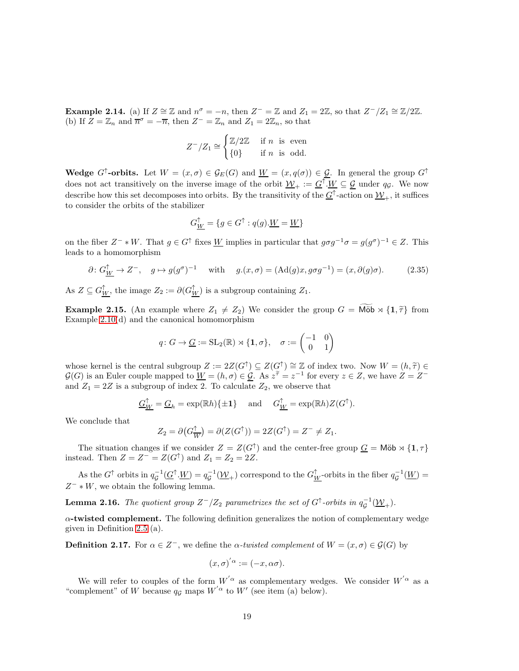<span id="page-18-0"></span>**Example 2.14.** (a) If  $Z \cong \mathbb{Z}$  and  $n^{\sigma} = -n$ , then  $Z^{-} = \mathbb{Z}$  and  $Z_1 = 2\mathbb{Z}$ , so that  $Z^{-}/Z_1 \cong \mathbb{Z}/2\mathbb{Z}$ . (b) If  $Z = \mathbb{Z}_n$  and  $\overline{n}^{\sigma} = -\overline{n}$ , then  $Z^{-} = \mathbb{Z}_n$  and  $Z_1 = 2\mathbb{Z}_n$ , so that

$$
Z^-/Z_1 \cong \begin{cases} \mathbb{Z}/2\mathbb{Z} & \text{if } n \text{ is even} \\ \{0\} & \text{if } n \text{ is odd.} \end{cases}
$$

Wedge G<sup>↑</sup>-orbits. Let  $W = (x, \sigma) \in \mathcal{G}_E(G)$  and  $\underline{W} = (x, q(\sigma)) \in \underline{\mathcal{G}}$ . In general the group  $G^{\uparrow}$ does not act transitively on the inverse image of the orbit  $\underline{\mathcal{W}}_+ := \underline{G}^{\uparrow} \cdot \underline{W} \subseteq \underline{\mathcal{G}}$  under  $q_{\mathcal{G}}$ . We now describe how this set decomposes into orbits. By the transitivity of the  $\underline{G}^{\uparrow}$ -action on  $\underline{\mathcal{W}}_{+}$ , it suffices to consider the orbits of the stabilizer

$$
G_{\underline{W}}^{\uparrow} = \{ g \in G^{\uparrow} : q(g).\underline{W} = \underline{W} \}
$$

on the fiber  $Z^- * W$ . That  $g \in G^{\uparrow}$  fixes  $\underline{W}$  implies in particular that  $g \sigma g^{-1} \sigma = g(g^{\sigma})^{-1} \in Z$ . This leads to a homomorphism

$$
\partial \colon G^{\uparrow}_{\underline{W}} \to Z^{-}, \quad g \mapsto g(g^{\sigma})^{-1} \quad \text{ with } \quad g.(x, \sigma) = (\text{Ad}(g)x, g\sigma g^{-1}) = (x, \partial(g)\sigma). \tag{2.35}
$$

As  $Z \subseteq G_{\underline{W}}^{\uparrow}$ , the image  $Z_2 := \partial(G_{\underline{W}}^{\uparrow})$  is a subgroup containing  $Z_1$ .

**Example 2.15.** (An example where  $Z_1 \neq Z_2$ ) We consider the group  $G = M\ddot{\omega} \times \{1, \tilde{\tau}\}\$  from Example [2.10\(](#page-10-1)d) and the canonical homomorphism

$$
q\colon G\to \underline{G}:=\mathrm{SL}_2(\mathbb{R})\rtimes \{1,\sigma\},\quad \sigma:=\begin{pmatrix} -1 & 0 \\ 0 & 1 \end{pmatrix}
$$

whose kernel is the central subgroup  $Z := 2Z(G^{\dagger}) \subseteq Z(G^{\dagger}) \cong \mathbb{Z}$  of index two. Now  $W = (h, \tilde{\tau}) \in$ <br> $C(G)$  is so Feder sound we see d to  $W = (h, \tilde{\tau}) \in \mathbb{Z}$ . As  $\tilde{\tau} = -1$  for seems  $\in \mathbb{Z}$  as here  $Z = -1$ .  $\mathcal{G}(G)$  is an Euler couple mapped to  $\underline{W} = (h,\sigma) \in \mathcal{G}$ . As  $z^{\widetilde{\tau}} = z^{-1}$  for every  $z \in Z$ , we have  $Z = Z^{-}$ and  $Z_1 = 2Z$  is a subgroup of index 2. To calculate  $Z_2$ , we observe that

$$
\underline{G}_{\underline{W}}^{\uparrow} = \underline{G}_h = \exp(\mathbb{R}h)\{\pm 1\} \quad \text{and} \quad G_{\underline{W}}^{\uparrow} = \exp(\mathbb{R}h)Z(G^{\uparrow}).
$$

We conclude that

$$
Z_2 = \partial \big(G_{\overline{W}}^{\uparrow}\big) = \partial \big(Z(G^{\uparrow})\big) = 2Z(G^{\uparrow}) = Z^{-} \neq Z_1.
$$

The situation changes if we consider  $Z = Z(G^{\uparrow})$  and the center-free group  $\underline{G} = M\ddot{o}b \rtimes \{1, \tau\}$ instead. Then  $Z = Z^- = Z(G^{\uparrow})$  and  $Z_1 = Z_2 = 2Z$ .

As the  $G^{\uparrow}$  orbits in  $q_{\mathcal{G}}^{-1}(\underline{G}^{\uparrow} \cdot \underline{W}) = q_{\mathcal{G}}^{-1}(\underline{\mathcal{W}}_+)$  correspond to the  $G^{\uparrow}_{\underline{W}}$ -orbits in the fiber  $q_{\mathcal{G}}^{-1}(\underline{W}) =$  $Z^- * W$ , we obtain the following lemma.

**Lemma 2.16.** The quotient group  $Z^-/Z_2$  parametrizes the set of  $G^{\uparrow}$ -orbits in  $q_{\mathcal{G}}^{-1}(\underline{\mathcal{W}}_+)$ .

 $\alpha$ -twisted complement. The following definition generalizes the notion of complementary wedge given in Definition [2.5](#page-7-3) (a).

**Definition 2.17.** For  $\alpha \in \mathbb{Z}^+$ , we define the  $\alpha$ -twisted complement of  $W = (x, \sigma) \in \mathcal{G}(G)$  by

$$
(x,\sigma)^{'\alpha}:=(-x,\alpha\sigma).
$$

We will refer to couples of the form  $W^{'\alpha}$  as complementary wedges. We consider  $W^{'\alpha}$  as a "complement" of W because  $q_g$  maps  $W'{}^{\alpha}$  to  $W'$  (see item (a) below).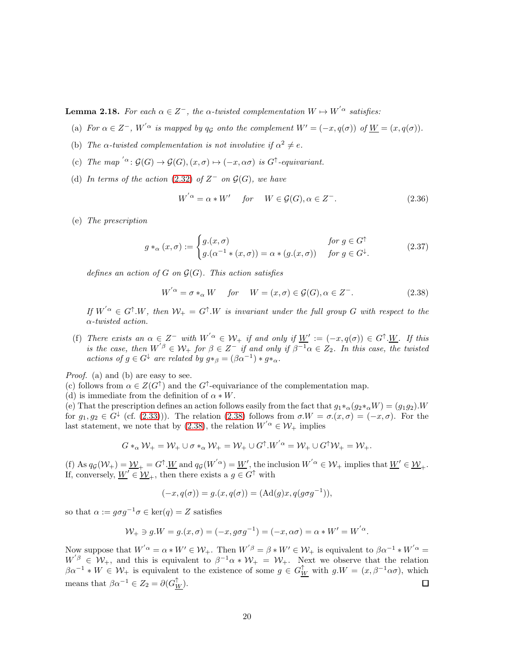<span id="page-19-2"></span>**Lemma 2.18.** For each  $\alpha \in \mathbb{Z}^-$ , the  $\alpha$ -twisted complementation  $W \mapsto W^{'\alpha}$  satisfies:

- (a) For  $\alpha \in \mathbb{Z}^-$ ,  $W^{'\alpha}$  is mapped by  $q_{\mathcal{G}}$  onto the complement  $W' = (-x, q(\sigma))$  of  $\underline{W} = (x, q(\sigma))$ .
- (b) The  $\alpha$ -twisted complementation is not involutive if  $\alpha^2 \neq e$ .
- (c) The map ' $\alpha$ :  $\mathcal{G}(G) \to \mathcal{G}(G), (x, \sigma) \mapsto (-x, \alpha\sigma)$  is  $G^{\uparrow}$ -equivariant.
- (d) In terms of the action [\(2.32\)](#page-17-3) of  $Z^-$  on  $\mathcal{G}(G)$ , we have

$$
W^{'\alpha} = \alpha * W' \quad \text{for} \quad W \in \mathcal{G}(G), \alpha \in Z^-.
$$
 (2.36)

(e) The prescription

<span id="page-19-0"></span>
$$
g *_{\alpha} (x, \sigma) := \begin{cases} g.(x, \sigma) & \text{for } g \in G^{\uparrow} \\ g.( \alpha^{-1} * (x, \sigma)) = \alpha * (g.(x, \sigma)) & \text{for } g \in G^{\downarrow}. \end{cases}
$$
(2.37)

defines an action of G on  $\mathcal{G}(G)$ . This action satisfies

<span id="page-19-1"></span>
$$
W^{'\alpha} = \sigma *_{\alpha} W \quad \text{for} \quad W = (x, \sigma) \in \mathcal{G}(G), \alpha \in Z^{-}.
$$
 (2.38)

If  $W^{'\alpha} \in G^{\uparrow}.W$ , then  $\mathcal{W}_+ = G^{\uparrow}.W$  is invariant under the full group G with respect to the α-twisted action.

(f) There exists an  $\alpha \in Z^-$  with  $W^{'\alpha} \in \mathcal{W}_+$  if and only if  $\underline{W}' := (-x, q(\sigma)) \in G^{\uparrow} \cdot \underline{W}$ . If this is the case, then  $W^{'\beta} \in \mathcal{W}_+$  for  $\beta \in \mathbb{Z}^-$  if and only if  $\beta^{-1}\alpha \in \mathbb{Z}_2$ . In this case, the twisted actions of  $g \in G^{\downarrow}$  are related by  $g *_{\beta} = (\beta \alpha^{-1}) * g *_{\alpha}$ .

Proof. (a) and (b) are easy to see.

(c) follows from  $\alpha \in Z(G^{\uparrow})$  and the  $G^{\uparrow}$ -equivariance of the complementation map.

(d) is immediate from the definition of  $\alpha * W$ .

(e) That the prescription defines an action follows easily from the fact that  $g_1*_\alpha(g_2*_\alpha W) = (g_1g_2)$ . for  $g_1, g_2 \in G^{\downarrow}$  (cf. [\(2.33\)](#page-17-4))). The relation [\(2.38\)](#page-19-1) follows from  $\sigma.W = \sigma(x, \sigma) = (-x, \sigma)$ . For the last statement, we note that by [\(2.38\)](#page-19-1), the relation  $W'{}^{\alpha} \in \mathcal{W}_+$  implies

$$
G*_{\alpha} \mathcal{W}_+ = \mathcal{W}_+ \cup \sigma *_{\alpha} \mathcal{W}_+ = \mathcal{W}_+ \cup G^\uparrow . W^{' \alpha} = \mathcal{W}_+ \cup G^\uparrow \mathcal{W}_+ = \mathcal{W}_+.
$$

(f) As  $q_{\mathcal{G}}(\mathcal{W}_+) = \underline{\mathcal{W}}_+ = G^{\uparrow} \cdot \underline{W}$  and  $q_{\mathcal{G}}(W^{'\alpha}) = \underline{W}'$ , the inclusion  $W^{'\alpha} \in \mathcal{W}_+$  implies that  $\underline{W}' \in \underline{\mathcal{W}}_+$ . If, conversely,  $W' \in W_+$ , then there exists a  $g \in G^{\uparrow}$  with

$$
(-x, q(\sigma)) = g.(x, q(\sigma)) = (\mathrm{Ad}(g)x, q(g\sigma g^{-1})),
$$

so that  $\alpha := g \sigma g^{-1} \sigma \in \ker(q) = Z$  satisfies

$$
\mathcal{W}_{+} \ni g.W = g.(x, \sigma) = (-x, g\sigma g^{-1}) = (-x, \alpha\sigma) = \alpha * W' = W^{'\alpha}.
$$

Now suppose that  $W^{'\alpha} = \alpha * W' \in \mathcal{W}_+$ . Then  $W^{'\beta} = \beta * W' \in \mathcal{W}_+$  is equivalent to  $\beta \alpha^{-1} * W^{'\alpha} =$  $W'^{\beta} \in W_+$ , and this is equivalent to  $\beta^{-1}\alpha * W_+ = W_+$ . Next we observe that the relation  $\beta\alpha^{-1} * W \in \mathcal{W}_+$  is equivalent to the existence of some  $g \in G^{\uparrow}_W$  with  $g.W = (x, \beta^{-1}\alpha\sigma)$ , which means that  $\beta \alpha^{-1} \in Z_2 = \partial (G_{\underline{W}}^{\uparrow}).$  $\Box$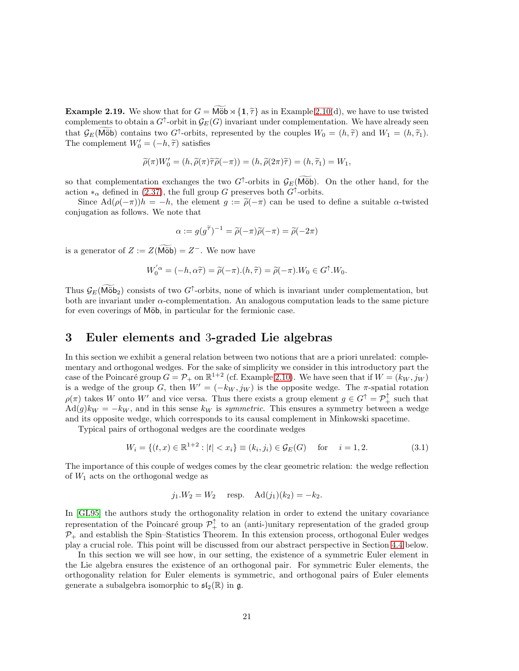**Example 2.19.** We show that for  $G = M\ddot{\theta} \times \{1, \tilde{\tau}\}\$ as in Example [2.10\(](#page-10-1)d), we have to use twisted complements to obtain a  $G^{\uparrow}$ -orbit in  $\mathcal{G}_{E}(G)$  invariant under complementation. We have already seen that  $\mathcal{G}_E(\widetilde{\text{M\"ob}})$  contains two  $G^{\uparrow}$ -orbits, represented by the couples  $W_0 = (h, \widetilde{\tau})$  and  $W_1 = (h, \widetilde{\tau}_1)$ . The complement  $W'_0 = (-h, \tilde{\tau})$  satisfies

$$
\widetilde{\rho}(\pi)W_0' = (h, \widetilde{\rho}(\pi)\widetilde{\tau}\widetilde{\rho}(-\pi)) = (h, \widetilde{\rho}(2\pi)\widetilde{\tau}) = (h, \widetilde{\tau}_1) = W_1,
$$

so that complementation exchanges the two  $G^{\uparrow}$ -orbits in  $\mathcal{G}_E(\widetilde{\text{M\"ob}})$ . On the other hand, for the action  $*_\alpha$  defined in [\(2.37\)](#page-19-0), the full group G preserves both  $G^\uparrow$ -orbits.

Since  $\text{Ad}(\rho(-\pi))h = -h$ , the element  $g := \tilde{\rho}(-\pi)$  can be used to define a suitable  $\alpha$ -twisted conjugation as follows. We note that

$$
\alpha := g(g^{\widetilde{\tau}})^{-1} = \widetilde{\rho}(-\pi)\widetilde{\rho}(-\pi) = \widetilde{\rho}(-2\pi)
$$

is a generator of  $Z := Z(\widetilde{\text{M\"ob}}) = Z^-$ . We now have

$$
W_0^{'\alpha} = (-h, \alpha \tilde{\tau}) = \tilde{\rho}(-\pi). (h, \tilde{\tau}) = \tilde{\rho}(-\pi). W_0 \in G^{\uparrow}. W_0.
$$

Thus  $\mathcal{G}_E(\widetilde{\text{M\"ob}}_2)$  consists of two  $G^{\uparrow}$ -orbits, none of which is invariant under complementation, but both are invariant under  $\alpha$ -complementation. An analogous computation leads to the same picture for even coverings of Möb, in particular for the fermionic case.

# <span id="page-20-0"></span>3 Euler elements and 3-graded Lie algebras

In this section we exhibit a general relation between two notions that are a priori unrelated: complementary and orthogonal wedges. For the sake of simplicity we consider in this introductory part the case of the Poincaré group  $G = \mathcal{P}_+$  on  $\mathbb{R}^{1+2}$  (cf. Example [2.10\)](#page-10-1). We have seen that if  $W = (k_W, j_W)$ is a wedge of the group G, then  $W' = (-k_W, j_W)$  is the opposite wedge. The  $\pi$ -spatial rotation  $\rho(\pi)$  takes W onto W' and vice versa. Thus there exists a group element  $g \in G^{\uparrow} = \mathcal{P}_{+}^{\uparrow}$  such that  $\text{Ad}(g)k_W = -k_W$ , and in this sense  $k_W$  is symmetric. This ensures a symmetry between a wedge and its opposite wedge, which corresponds to its causal complement in Minkowski spacetime.

Typical pairs of orthogonal wedges are the coordinate wedges

$$
W_i = \{(t, x) \in \mathbb{R}^{1+2} : |t| < x_i\} \equiv (k_i, j_i) \in \mathcal{G}_E(G) \quad \text{for} \quad i = 1, 2. \tag{3.1}
$$

The importance of this couple of wedges comes by the clear geometric relation: the wedge reflection of  $W_1$  acts on the orthogonal wedge as

$$
j_1.W_2 = W_2
$$
 resp.  $Ad(j_1)(k_2) = -k_2$ .

In [\[GL95\]](#page-46-2) the authors study the orthogonality relation in order to extend the unitary covariance representation of the Poincaré group  $\mathcal{P}_+^{\uparrow}$  to an (anti-)unitary representation of the graded group  $P_+$  and establish the Spin–Statistics Theorem. In this extension process, orthogonal Euler wedges play a crucial role. This point will be discussed from our abstract perspective in Section [4.4](#page-41-0) below.

In this section we will see how, in our setting, the existence of a symmetric Euler element in the Lie algebra ensures the existence of an orthogonal pair. For symmetric Euler elements, the orthogonality relation for Euler elements is symmetric, and orthogonal pairs of Euler elements generate a subalgebra isomorphic to  $\mathfrak{sl}_2(\mathbb{R})$  in g.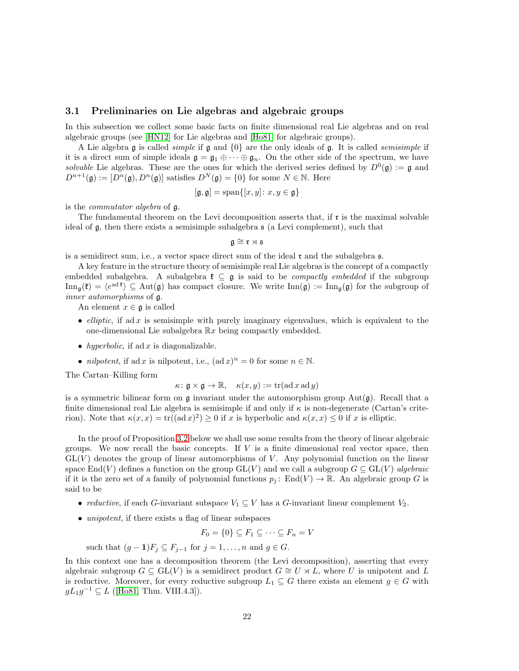#### <span id="page-21-0"></span>3.1 Preliminaries on Lie algebras and algebraic groups

In this subsection we collect some basic facts on finite dimensional real Lie algebras and on real algebraic groups (see [\[HN12\]](#page-46-13) for Lie algebras and [\[Ho81\]](#page-47-7) for algebraic groups).

A Lie algebra g is called *simple* if g and  $\{0\}$  are the only ideals of g. It is called *semisimple* if it is a direct sum of simple ideals  $\mathfrak{g} = \mathfrak{g}_1 \oplus \cdots \oplus \mathfrak{g}_n$ . On the other side of the spectrum, we have solvable Lie algebras. These are the ones for which the derived series defined by  $D^0(\mathfrak{g}) := \mathfrak{g}$  and  $D^{n+1}(\mathfrak{g}) := [D^n(\mathfrak{g}), D^n(\mathfrak{g})]$  satisfies  $D^N(\mathfrak{g}) = \{0\}$  for some  $N \in \mathbb{N}$ . Here

$$
[\mathfrak{g}, \mathfrak{g}] = \text{span}\{[x, y] \colon x, y \in \mathfrak{g}\}
$$

is the commutator algebra of g.

The fundamental theorem on the Levi decomposition asserts that, if r is the maximal solvable ideal of g, then there exists a semisimple subalgebra s (a Levi complement), such that

 $\mathfrak{g} \cong \mathfrak{r} \rtimes \mathfrak{s}$ 

is a semidirect sum, i.e., a vector space direct sum of the ideal  $\mathfrak{r}$  and the subalgebra  $\mathfrak{s}$ .

A key feature in the structure theory of semisimple real Lie algebras is the concept of a compactly embedded subalgebra. A subalgebra  $\mathfrak{k} \subseteq \mathfrak{g}$  is said to be *compactly embedded* if the subgroup  $\text{Inn}_{\mathfrak{g}}(\mathfrak{k}) = \langle e^{ad \mathfrak{k}} \rangle \subseteq \text{Aut}(\mathfrak{g})$  has compact closure. We write  $\text{Inn}(\mathfrak{g}) := \text{Inn}_{\mathfrak{g}}(\mathfrak{g})$  for the subgroup of inner automorphisms of g.

An element  $x \in \mathfrak{g}$  is called

- *elliptic*, if ad x is semisimple with purely imaginary eigenvalues, which is equivalent to the one-dimensional Lie subalgebra  $\mathbb{R}x$  being compactly embedded.
- hyperbolic, if ad x is diagonalizable.
- *nilpotent*, if ad x is nilpotent, i.e.,  $(\text{ad } x)^n = 0$  for some  $n \in \mathbb{N}$ .

The Cartan–Killing form

$$
\kappa: \mathfrak{g} \times \mathfrak{g} \to \mathbb{R}, \quad \kappa(x, y) := \text{tr}(\text{ad } x \text{ ad } y)
$$

is a symmetric bilinear form on  $\mathfrak g$  invariant under the automorphism group Aut $(\mathfrak g)$ . Recall that a finite dimensional real Lie algebra is semisimple if and only if  $\kappa$  is non-degenerate (Cartan's criterion). Note that  $\kappa(x, x) = \text{tr}((\text{ad }x)^2) \ge 0$  if x is hyperbolic and  $\kappa(x, x) \le 0$  if x is elliptic.

In the proof of Proposition [3.2](#page-22-1) below we shall use some results from the theory of linear algebraic groups. We now recall the basic concepts. If  $V$  is a finite dimensional real vector space, then  $GL(V)$  denotes the group of linear automorphisms of V. Any polynomial function on the linear space End(V) defines a function on the group  $GL(V)$  and we call a subgroup  $G \subseteq GL(V)$  algebraic if it is the zero set of a family of polynomial functions  $p_j$ : End $(V) \to \mathbb{R}$ . An algebraic group G is said to be

- reductive, if each G-invariant subspace  $V_1 \subseteq V$  has a G-invariant linear complement  $V_2$ .
- *unipotent*, if there exists a flag of linear subspaces

 $F_0 = \{0\} \subseteq F_1 \subseteq \cdots \subseteq F_n = V$ 

such that  $(g-1)F_j \subseteq F_{j-1}$  for  $j = 1, ..., n$  and  $g \in G$ .

In this context one has a decomposition theorem (the Levi decomposition), asserting that every algebraic subgroup  $G \subseteq GL(V)$  is a semidirect product  $G \cong U \rtimes L$ , where U is unipotent and L is reductive. Moreover, for every reductive subgroup  $L_1 \subseteq G$  there exists an element  $g \in G$  with  $gL_1g^{-1} \subseteq L$  ([\[Ho81,](#page-47-7) Thm. VIII.4.3]).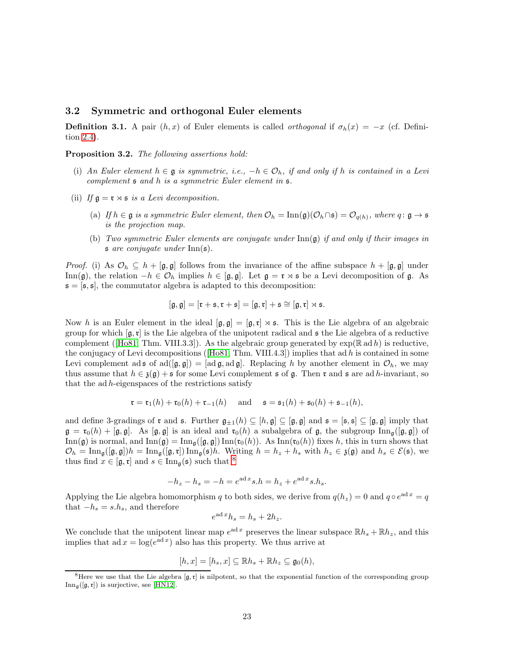#### <span id="page-22-0"></span>3.2 Symmetric and orthogonal Euler elements

**Definition 3.1.** A pair  $(h, x)$  of Euler elements is called *orthogonal* if  $\sigma_h(x) = -x$  (cf. Definition [2.4\)](#page-7-4).

<span id="page-22-1"></span>Proposition 3.2. The following assertions hold:

- (i) An Euler element  $h \in \mathfrak{g}$  is symmetric, i.e.,  $-h \in \mathcal{O}_h$ , if and only if h is contained in a Levi complement s and h is a symmetric Euler element in s.
- (ii) If  $\mathfrak{g} = \mathfrak{r} \rtimes \mathfrak{s}$  is a Levi decomposition.
	- (a) If  $h \in \mathfrak{g}$  is a symmetric Euler element, then  $\mathcal{O}_h = \text{Inn}(\mathfrak{g})(\mathcal{O}_h \cap \mathfrak{s}) = \mathcal{O}_{q(h)}$ , where  $q \colon \mathfrak{g} \to \mathfrak{s}$ is the projection map.
	- (b) Two symmetric Euler elements are conjugate under  $\text{Inn}(\mathfrak{g})$  if and only if their images in s are conjugate under Inn(s).

*Proof.* (i) As  $\mathcal{O}_h \subseteq h + [\mathfrak{g}, \mathfrak{g}]$  follows from the invariance of the affine subspace  $h + [\mathfrak{g}, \mathfrak{g}]$  under Inn(g), the relation  $-h \in \mathcal{O}_h$  implies  $h \in [\mathfrak{g}, \mathfrak{g}]$ . Let  $\mathfrak{g} = \mathfrak{r} \rtimes \mathfrak{s}$  be a Levi decomposition of  $\mathfrak{g}$ . As  $s = [s, s]$ , the commutator algebra is adapted to this decomposition:

$$
[\mathfrak{g},\mathfrak{g}]=[\mathfrak{r}+\mathfrak{s},\mathfrak{r}+\mathfrak{s}]=[\mathfrak{g},\mathfrak{r}]+\mathfrak{s}\cong [\mathfrak{g},\mathfrak{r}]\rtimes \mathfrak{s}.
$$

Now h is an Euler element in the ideal  $[\mathfrak{g}, \mathfrak{g}] = [\mathfrak{g}, \mathfrak{r}] \rtimes \mathfrak{s}$ . This is the Lie algebra of an algebraic group for which  $[q, r]$  is the Lie algebra of the unipotent radical and  $\epsilon$  the Lie algebra of a reductive complement([\[Ho81,](#page-47-7) Thm. VIII.3.3]). As the algebraic group generated by  $\exp(\mathbb{R} \text{ ad } h)$  is reductive, theconjugacy of Levi decompositions ([\[Ho81,](#page-47-7) Thm. VIII.4.3]) implies that ad h is contained in some Levi complement ad s of ad $([\mathfrak{g}, \mathfrak{g}]) = [\text{ad } \mathfrak{g}, \text{ad } \mathfrak{g}]$ . Replacing h by another element in  $\mathcal{O}_h$ , we may thus assume that  $h \in \mathfrak{z}(\mathfrak{g}) + \mathfrak{s}$  for some Levi complement  $\mathfrak{s}$  of  $\mathfrak{g}$ . Then  $\mathfrak{r}$  and  $\mathfrak{s}$  are ad h-invariant, so that the ad h-eigenspaces of the restrictions satisfy

$$
\mathfrak{r} = \mathfrak{r}_1(h) + \mathfrak{r}_0(h) + \mathfrak{r}_{-1}(h)
$$
 and  $\mathfrak{s} = \mathfrak{s}_1(h) + \mathfrak{s}_0(h) + \mathfrak{s}_{-1}(h)$ ,

and define 3-gradings of  $\mathfrak r$  and  $\mathfrak s$ . Further  $\mathfrak g_{\pm1}(h) \subseteq [h, \mathfrak g] \subseteq [\mathfrak g, \mathfrak g]$  and  $\mathfrak s = [\mathfrak s, \mathfrak s] \subseteq [\mathfrak g, \mathfrak g]$  imply that  $\mathfrak{g} = \mathfrak{r}_0(h) + [\mathfrak{g}, \mathfrak{g}]$ . As  $[\mathfrak{g}, \mathfrak{g}]$  is an ideal and  $\mathfrak{r}_0(h)$  a subalgebra of  $\mathfrak{g}$ , the subgroup  $\text{Inn}_{\mathfrak{g}}([\mathfrak{g}, \mathfrak{g}])$  of  $\text{Inn}(\mathfrak{g})$  is normal, and  $\text{Inn}(\mathfrak{g}) = \text{Inn}_{\mathfrak{g}}([\mathfrak{g}, \mathfrak{g}]) \text{Inn}(\mathfrak{r}_0(h))$ . As  $\text{Inn}(\mathfrak{r}_0(h))$  fixes h, this in turn shows that  $\mathcal{O}_h = \text{Inn}_{\mathfrak{g}}([\mathfrak{g},\mathfrak{g}])h = \text{Inn}_{\mathfrak{g}}([\mathfrak{g},\mathfrak{r}])\text{Inn}_{\mathfrak{g}}(\mathfrak{s})h$ . Writing  $h = h_z + h_s$  with  $h_z \in \mathfrak{z}(\mathfrak{g})$  and  $h_s \in \mathcal{E}(\mathfrak{s})$ , we thus find  $x \in [\mathfrak{g}, \mathfrak{r}]$  and  $s \in \text{Inn}_{\mathfrak{g}}(\mathfrak{s})$  such that <sup>[8](#page-22-2)</sup>

$$
-h_z - h_s = -h = e^{\operatorname{ad}x} s.h = h_z + e^{\operatorname{ad}x} s.h_s.
$$

Applying the Lie algebra homomorphism q to both sides, we derive from  $q(h_z) = 0$  and  $q \circ e^{ad x} = q$ that  $-h_s = s.h_s$ , and therefore

$$
e^{\operatorname{ad}x}h_s = h_s + 2h_z.
$$

We conclude that the unipotent linear map  $e^{ad x}$  preserves the linear subspace  $\mathbb{R}h_s + \mathbb{R}h_z$ , and this implies that  $ad x = log(e^{ad x})$  also has this property. We thus arrive at

$$
[h,x]=[h_s,x]\subseteq \mathbb{R}h_s+\mathbb{R}h_z\subseteq \mathfrak{g}_0(h),
$$

<span id="page-22-2"></span><sup>&</sup>lt;sup>8</sup>Here we use that the Lie algebra  $[g, r]$  is nilpotent, so that the exponential function of the corresponding group  $\text{Inn}_{\mathfrak{g}}([\mathfrak{g},\mathfrak{r}])$  is surjective, see [\[HN12\]](#page-46-13).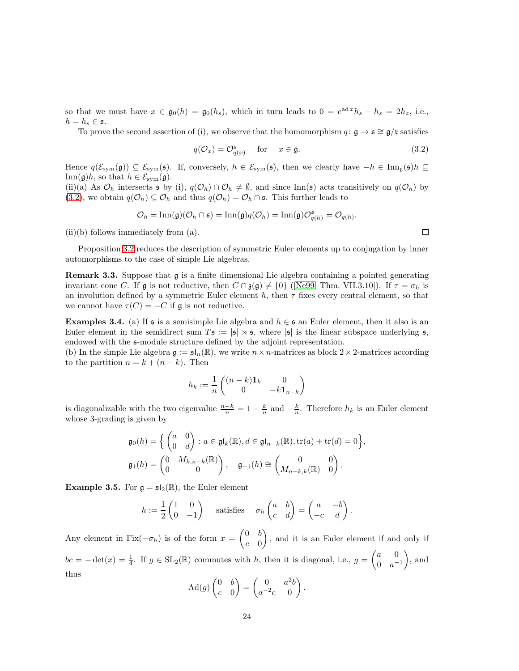so that we must have  $x \in \mathfrak{g}_0(h) = \mathfrak{g}_0(h_s)$ , which in turn leads to  $0 = e^{\mathrm{ad}x}h_s - h_s = 2h_z$ , i.e.,  $h = h_s \in \mathfrak{s}.$ 

To prove the second assertion of (i), we observe that the homomorphism  $q: \mathfrak{g} \to \mathfrak{s} \cong \mathfrak{g}/\mathfrak{r}$  satisfies

$$
q(\mathcal{O}_x) = \mathcal{O}_{q(x)}^{\mathfrak{s}} \quad \text{for} \quad x \in \mathfrak{g}.\tag{3.2}
$$

Hence  $q(\mathcal{E}_{sym}(\mathfrak{g})) \subseteq \mathcal{E}_{sym}(\mathfrak{s})$ . If, conversely,  $h \in \mathcal{E}_{sym}(\mathfrak{s})$ , then we clearly have  $-h \in \text{Inn}_{\mathfrak{g}}(\mathfrak{s})$   $h \subseteq$ Inn( $\mathfrak{g})h$ , so that  $h \in \mathcal{E}_{sym}(\mathfrak{g})$ .

(ii)(a) As  $\mathcal{O}_h$  intersects  $\mathfrak s$  by (i),  $q(\mathcal{O}_h) \cap \mathcal{O}_h \neq \emptyset$ , and since Inn( $\mathfrak s$ ) acts transitively on  $q(\mathcal{O}_h)$  by [\(3.2\)](#page-23-0), we obtain  $q(\mathcal{O}_h) \subseteq \mathcal{O}_h$  and thus  $q(\mathcal{O}_h) = \mathcal{O}_h \cap \mathfrak{s}$ . This further leads to

$$
\mathcal{O}_h = \text{Inn}(\mathfrak{g})(\mathcal{O}_h \cap \mathfrak{s}) = \text{Inn}(\mathfrak{g})q(\mathcal{O}_h) = \text{Inn}(\mathfrak{g})\mathcal{O}_{q(h)}^{\mathfrak{s}} = \mathcal{O}_{q(h)}.
$$

(ii)(b) follows immediately from (a).

Proposition [3.2](#page-22-1) reduces the description of symmetric Euler elements up to conjugation by inner automorphisms to the case of simple Lie algebras.

Remark 3.3. Suppose that g is a finite dimensional Lie algebra containing a pointed generating invariant cone C. If  $\mathfrak g$  is not reductive, then  $C \cap \mathfrak{z}(\mathfrak g) \neq \{0\}$  ([\[Ne99,](#page-47-8) Thm. VII.3.10]). If  $\tau = \sigma_h$  is an involution defined by a symmetric Euler element  $h$ , then  $\tau$  fixes every central element, so that we cannot have  $\tau(C) = -C$  if g is not reductive.

**Examples 3.4.** (a) If s is a semisimple Lie algebra and  $h \in \mathfrak{s}$  an Euler element, then it also is an Euler element in the semidirect sum  $T\mathfrak{s} := |\mathfrak{s}| \rtimes \mathfrak{s}$ , where  $|\mathfrak{s}|$  is the linear subspace underlying  $\mathfrak{s}$ , endowed with the s-module structure defined by the adjoint representation.

(b) In the simple Lie algebra  $\mathfrak{g} := \mathfrak{sl}_n(\mathbb{R})$ , we write  $n \times n$ -matrices as block  $2 \times 2$ -matrices according to the partition  $n = k + (n - k)$ . Then

$$
h_k := \frac{1}{n} \begin{pmatrix} (n-k)\mathbf{1}_k & 0\\ 0 & -k\mathbf{1}_{n-k} \end{pmatrix}
$$

is diagonalizable with the two eigenvalue  $\frac{n-k}{n} = 1 - \frac{k}{n}$  and  $-\frac{k}{n}$ . Therefore  $h_k$  is an Euler element whose 3-grading is given by

$$
\mathfrak{g}_0(h) = \left\{ \begin{pmatrix} a & 0 \\ 0 & d \end{pmatrix} : a \in \mathfrak{gl}_k(\mathbb{R}), d \in \mathfrak{gl}_{n-k}(\mathbb{R}), \text{tr}(a) + \text{tr}(d) = 0 \right\},\
$$

$$
\mathfrak{g}_1(h) = \begin{pmatrix} 0 & M_{k,n-k}(\mathbb{R}) \\ 0 & 0 \end{pmatrix}, \quad \mathfrak{g}_{-1}(h) \cong \begin{pmatrix} 0 & 0 \\ M_{n-k,k}(\mathbb{R}) & 0 \end{pmatrix}.
$$

<span id="page-23-1"></span>**Example 3.5.** For  $g = \mathfrak{sl}_2(\mathbb{R})$ , the Euler element

$$
h := \frac{1}{2} \begin{pmatrix} 1 & 0 \\ 0 & -1 \end{pmatrix} \quad \text{satisfies} \quad \sigma_h \begin{pmatrix} a & b \\ c & d \end{pmatrix} = \begin{pmatrix} a & -b \\ -c & d \end{pmatrix}.
$$

Any element in Fix $(-\sigma_h)$  is of the form  $x =$  $\begin{pmatrix} 0 & b \end{pmatrix}$  $c \quad 0$  $\overline{\phantom{0}}$ , and it is an Euler element if and only if  $bc = -\det(x) = \frac{1}{4}$ . If  $g \in SL_2(\mathbb{R})$  commutes with h, then it is diagonal, i.e.,  $g = \begin{pmatrix} a & 0 \\ 0 & a \end{pmatrix}$ 0  $a^{-1}$  $\overline{ }$ , and thus  $\sqrt{ }$  $\overline{\phantom{0}}$  $\sqrt{ }$ 2 <sup>1</sup>

$$
\mathrm{Ad}(g)\begin{pmatrix} 0 & b \\ c & 0 \end{pmatrix} = \begin{pmatrix} 0 & a^2b \\ a^{-2}c & 0 \end{pmatrix}.
$$

<span id="page-23-0"></span> $\Box$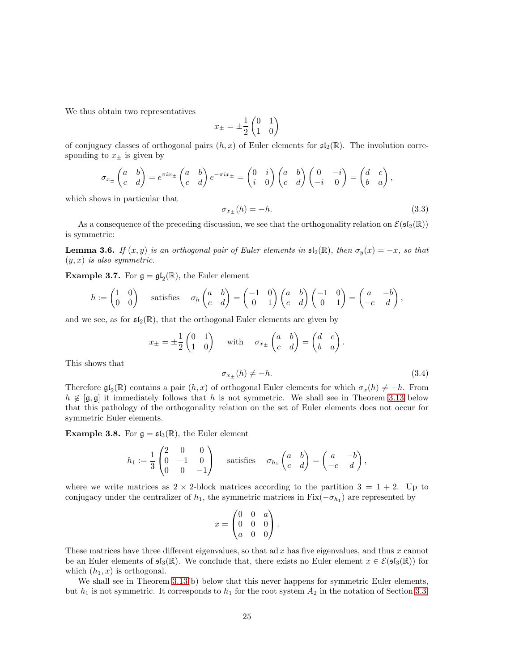We thus obtain two representatives

$$
x_{\pm}=\pm\frac{1}{2}\begin{pmatrix}0&1\\1&0\end{pmatrix}
$$

of conjugacy classes of orthogonal pairs  $(h, x)$  of Euler elements for  $\mathfrak{sl}_2(\mathbb{R})$ . The involution corresponding to  $x_{\pm}$  is given by

$$
\sigma_{x\pm} \begin{pmatrix} a & b \\ c & d \end{pmatrix} = e^{\pi i x \pm} \begin{pmatrix} a & b \\ c & d \end{pmatrix} e^{-\pi i x \pm} = \begin{pmatrix} 0 & i \\ i & 0 \end{pmatrix} \begin{pmatrix} a & b \\ c & d \end{pmatrix} \begin{pmatrix} 0 & -i \\ -i & 0 \end{pmatrix} = \begin{pmatrix} d & c \\ b & a \end{pmatrix},
$$

which shows in particular that

$$
\sigma_{x_{\pm}}(h) = -h. \tag{3.3}
$$

As a consequence of the preceding discussion, we see that the orthogonality relation on  $\mathcal{E}(\mathfrak{sl}_2(\mathbb{R}))$ is symmetric:

<span id="page-24-0"></span>**Lemma 3.6.** If  $(x, y)$  is an orthogonal pair of Euler elements in  $\mathfrak{sl}_2(\mathbb{R})$ , then  $\sigma_y(x) = -x$ , so that  $(y, x)$  is also symmetric.

**Example 3.7.** For  $\mathfrak{g} = \mathfrak{gl}_2(\mathbb{R})$ , the Euler element

$$
h := \begin{pmatrix} 1 & 0 \\ 0 & 0 \end{pmatrix} \quad \text{satisfies} \quad \sigma_h \begin{pmatrix} a & b \\ c & d \end{pmatrix} = \begin{pmatrix} -1 & 0 \\ 0 & 1 \end{pmatrix} \begin{pmatrix} a & b \\ c & d \end{pmatrix} \begin{pmatrix} -1 & 0 \\ 0 & 1 \end{pmatrix} = \begin{pmatrix} a & -b \\ -c & d \end{pmatrix},
$$

and we see, as for  $\mathfrak{sl}_2(\mathbb{R})$ , that the orthogonal Euler elements are given by

$$
x_{\pm} = \pm \frac{1}{2} \begin{pmatrix} 0 & 1 \\ 1 & 0 \end{pmatrix} \quad \text{with} \quad \sigma_{x_{\pm}} \begin{pmatrix} a & b \\ c & d \end{pmatrix} = \begin{pmatrix} d & c \\ b & a \end{pmatrix}.
$$

This shows that

$$
\sigma_{x_{\pm}}(h) \neq -h. \tag{3.4}
$$

Therefore  $\mathfrak{gl}_2(\mathbb{R})$  contains a pair  $(h, x)$  of orthogonal Euler elements for which  $\sigma_x(h) \neq -h$ . From  $h \notin [\mathfrak{g}, \mathfrak{g}]$  it immediately follows that h is not symmetric. We shall see in Theorem [3.13](#page-30-0) below that this pathology of the orthogonality relation on the set of Euler elements does not occur for symmetric Euler elements.

**Example 3.8.** For  $\mathfrak{g} = \mathfrak{sl}_3(\mathbb{R})$ , the Euler element

$$
h_1 := \frac{1}{3} \begin{pmatrix} 2 & 0 & 0 \\ 0 & -1 & 0 \\ 0 & 0 & -1 \end{pmatrix} \text{ satisfies } \sigma_{h_1} \begin{pmatrix} a & b \\ c & d \end{pmatrix} = \begin{pmatrix} a & -b \\ -c & d \end{pmatrix},
$$

where we write matrices as  $2 \times 2$ -block matrices according to the partition  $3 = 1 + 2$ . Up to conjugacy under the centralizer of  $h_1$ , the symmetric matrices in Fix $(-\sigma_{h_1})$  are represented by

$$
x = \begin{pmatrix} 0 & 0 & a \\ 0 & 0 & 0 \\ a & 0 & 0 \end{pmatrix}.
$$

These matrices have three different eigenvalues, so that ad  $x$  has five eigenvalues, and thus  $x$  cannot be an Euler elements of  $\mathfrak{sl}_3(\mathbb{R})$ . We conclude that, there exists no Euler element  $x \in \mathcal{E}(\mathfrak{sl}_3(\mathbb{R}))$  for which  $(h_1, x)$  is orthogonal.

We shall see in Theorem [3.13\(](#page-30-0)b) below that this never happens for symmetric Euler elements, but  $h_1$  is not symmetric. It corresponds to  $h_1$  for the root system  $A_2$  in the notation of Section [3.3.](#page-25-0)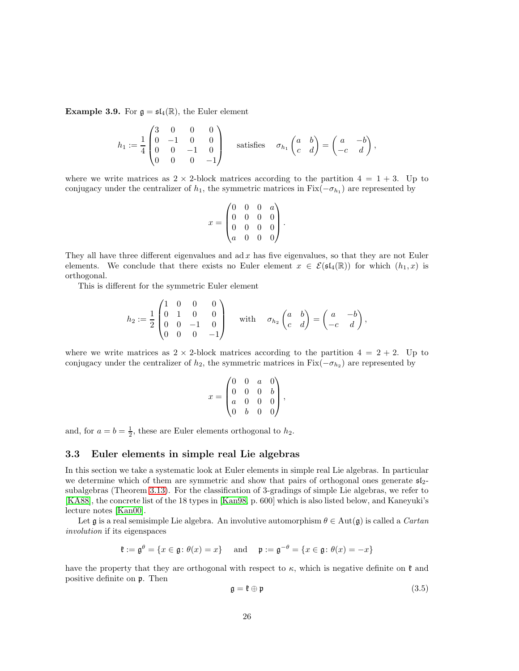**Example 3.9.** For  $\mathfrak{g} = \mathfrak{sl}_4(\mathbb{R})$ , the Euler element

$$
h_1 := \frac{1}{4} \begin{pmatrix} 3 & 0 & 0 & 0 \\ 0 & -1 & 0 & 0 \\ 0 & 0 & -1 & 0 \\ 0 & 0 & 0 & -1 \end{pmatrix} \text{ satisfies } \sigma_{h_1} \begin{pmatrix} a & b \\ c & d \end{pmatrix} = \begin{pmatrix} a & -b \\ -c & d \end{pmatrix},
$$

where we write matrices as  $2 \times 2$ -block matrices according to the partition  $4 = 1 + 3$ . Up to conjugacy under the centralizer of  $h_1$ , the symmetric matrices in Fix $(-\sigma_{h_1})$  are represented by

$$
x = \begin{pmatrix} 0 & 0 & 0 & a \\ 0 & 0 & 0 & 0 \\ 0 & 0 & 0 & 0 \\ a & 0 & 0 & 0 \end{pmatrix}.
$$

They all have three different eigenvalues and ad  $x$  has five eigenvalues, so that they are not Euler elements. We conclude that there exists no Euler element  $x \in \mathcal{E}(\mathfrak{sl}_4(\mathbb{R}))$  for which  $(h_1, x)$  is orthogonal.

This is different for the symmetric Euler element

$$
h_2 := \frac{1}{2} \begin{pmatrix} 1 & 0 & 0 & 0 \\ 0 & 1 & 0 & 0 \\ 0 & 0 & -1 & 0 \\ 0 & 0 & 0 & -1 \end{pmatrix} \text{ with } \sigma_{h_2} \begin{pmatrix} a & b \\ c & d \end{pmatrix} = \begin{pmatrix} a & -b \\ -c & d \end{pmatrix},
$$

where we write matrices as  $2 \times 2$ -block matrices according to the partition  $4 = 2 + 2$ . Up to conjugacy under the centralizer of  $h_2$ , the symmetric matrices in Fix $(-\sigma_{h_2})$  are represented by

$$
x = \begin{pmatrix} 0 & 0 & a & 0 \\ 0 & 0 & 0 & b \\ a & 0 & 0 & 0 \\ 0 & b & 0 & 0 \end{pmatrix},
$$

and, for  $a = b = \frac{1}{2}$ , these are Euler elements orthogonal to  $h_2$ .

#### <span id="page-25-0"></span>3.3 Euler elements in simple real Lie algebras

In this section we take a systematic look at Euler elements in simple real Lie algebras. In particular we determine which of them are symmetric and show that pairs of orthogonal ones generate  $\mathfrak{sl}_2$ subalgebras (Theorem [3.13\)](#page-30-0). For the classification of 3-gradings of simple Lie algebras, we refer to [\[KA88\]](#page-47-9), the concrete list of the 18 types in [\[Kan98,](#page-47-10) p. 600] which is also listed below, and Kaneyuki's lecture notes [\[Kan00\]](#page-47-11).

Let  $\mathfrak g$  is a real semisimple Lie algebra. An involutive automorphism  $\theta \in \mathrm{Aut}(\mathfrak g)$  is called a *Cartan* involution if its eigenspaces

 $\mathfrak{k} := \mathfrak{g}^\theta = \{x \in \mathfrak{g} : \theta(x) = x\} \quad \text{ and } \quad \mathfrak{p} := \mathfrak{g}^{-\theta} = \{x \in \mathfrak{g} : \theta(x) = -x\}$ 

have the property that they are orthogonal with respect to  $\kappa$ , which is negative definite on  $\mathfrak k$  and positive definite on p. Then

$$
\mathfrak{g} = \mathfrak{k} \oplus \mathfrak{p} \tag{3.5}
$$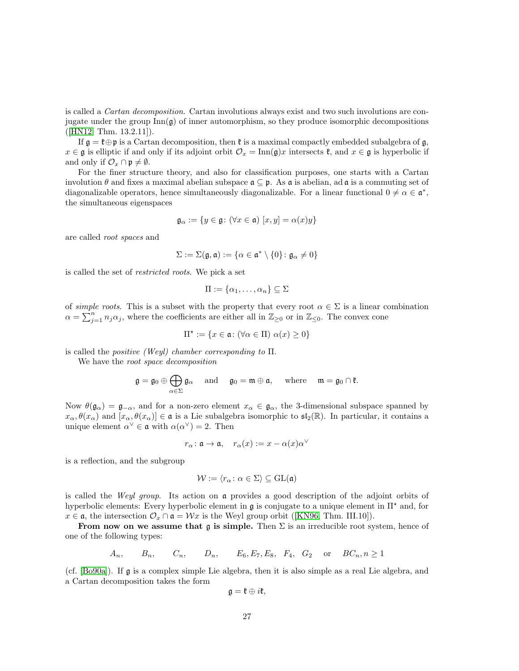is called a Cartan decomposition. Cartan involutions always exist and two such involutions are conjugate under the group  $\text{Inn}(\mathfrak{g})$  of inner automorphism, so they produce isomorphic decompositions ([\[HN12,](#page-46-13) Thm. 13.2.11]).

If  $\mathfrak{g} = \mathfrak{k} \oplus \mathfrak{p}$  is a Cartan decomposition, then  $\mathfrak{k}$  is a maximal compactly embedded subalgebra of  $\mathfrak{g}$ ,  $x \in \mathfrak{g}$  is elliptic if and only if its adjoint orbit  $\mathcal{O}_x = \text{Inn}(\mathfrak{g})x$  intersects  $\mathfrak{k}$ , and  $x \in \mathfrak{g}$  is hyperbolic if and only if  $\mathcal{O}_x \cap \mathfrak{p} \neq \emptyset$ .

For the finer structure theory, and also for classification purposes, one starts with a Cartan involution  $\theta$  and fixes a maximal abelian subspace  $\mathfrak{a} \subseteq \mathfrak{p}$ . As  $\mathfrak{a}$  is abelian, ad  $\mathfrak{a}$  is a commuting set of diagonalizable operators, hence simultaneously diagonalizable. For a linear functional  $0 \neq \alpha \in \mathfrak{a}^*$ , the simultaneous eigenspaces

$$
\mathfrak{g}_{\alpha} := \{ y \in \mathfrak{g} \colon (\forall x \in \mathfrak{a}) \ [x, y] = \alpha(x)y \}
$$

are called root spaces and

$$
\Sigma := \Sigma(\mathfrak{g}, \mathfrak{a}) := \{ \alpha \in \mathfrak{a}^* \setminus \{0\} \colon \mathfrak{g}_{\alpha} \neq 0 \}
$$

is called the set of restricted roots. We pick a set

$$
\Pi:=\{\alpha_1,\ldots,\alpha_n\}\subseteq\Sigma
$$

of *simple roots*. This is a subset with the property that every root  $\alpha \in \Sigma$  is a linear combination  $\alpha = \sum_{j=1}^n n_j \alpha_j$ , where the coefficients are either all in  $\mathbb{Z}_{\geq 0}$  or in  $\mathbb{Z}_{\leq 0}$ . The convex cone

$$
\Pi^\star := \{ x \in \mathfrak{a} \colon (\forall \alpha \in \Pi) \ \alpha(x) \ge 0 \}
$$

is called the *positive (Weyl)* chamber corresponding to  $\Pi$ .

We have the root space decomposition

$$
\mathfrak{g}=\mathfrak{g}_0\oplus\bigoplus_{\alpha\in\Sigma}\mathfrak{g}_\alpha\quad\text{ and }\quad\mathfrak{g}_0=\mathfrak{m}\oplus\mathfrak{a},\quad\text{ where }\quad\mathfrak{m}=\mathfrak{g}_0\cap\mathfrak{k}.
$$

Now  $\theta(\mathfrak{g}_{\alpha}) = \mathfrak{g}_{-\alpha}$ , and for a non-zero element  $x_{\alpha} \in \mathfrak{g}_{\alpha}$ , the 3-dimensional subspace spanned by  $x_\alpha, \theta(x_\alpha)$  and  $[x_\alpha, \theta(x_\alpha)] \in \mathfrak{a}$  is a Lie subalgebra isomorphic to  $\mathfrak{sl}_2(\mathbb{R})$ . In particular, it contains a unique element  $\alpha^{\vee} \in \mathfrak{a}$  with  $\alpha(\alpha^{\vee}) = 2$ . Then

$$
r_{\alpha} \colon \mathfrak{a} \to \mathfrak{a}, \quad r_{\alpha}(x) := x - \alpha(x)\alpha^{\vee}
$$

is a reflection, and the subgroup

$$
\mathcal{W}:=\langle r_\alpha\colon \alpha\in\Sigma\rangle\subseteq \operatorname{GL}(\mathfrak{a})
$$

is called the Weyl group. Its action on a provides a good description of the adjoint orbits of hyperbolic elements: Every hyperbolic element in  $\mathfrak g$  is conjugate to a unique element in  $\Pi^\star$  and, for  $x \in \mathfrak{a}$  $x \in \mathfrak{a}$  $x \in \mathfrak{a}$ , the intersection  $\mathcal{O}_x \cap \mathfrak{a} = \mathcal{W}x$  is the Weyl group orbit ([\[KN96,](#page-47-12) Thm. III.10]).

From now on we assume that g is simple. Then  $\Sigma$  is an irreducible root system, hence of one of the following types:

$$
A_n
$$
,  $B_n$ ,  $C_n$ ,  $D_n$ ,  $E_6$ ,  $E_7$ ,  $E_8$ ,  $F_4$ ,  $G_2$  or  $BC_n$ ,  $n \ge 1$ 

(cf. [\[Bo90a\]](#page-46-14)). If g is a complex simple Lie algebra, then it is also simple as a real Lie algebra, and a Cartan decomposition takes the form

$$
\mathfrak{g}=\mathfrak{k}\oplus i\mathfrak{k,}
$$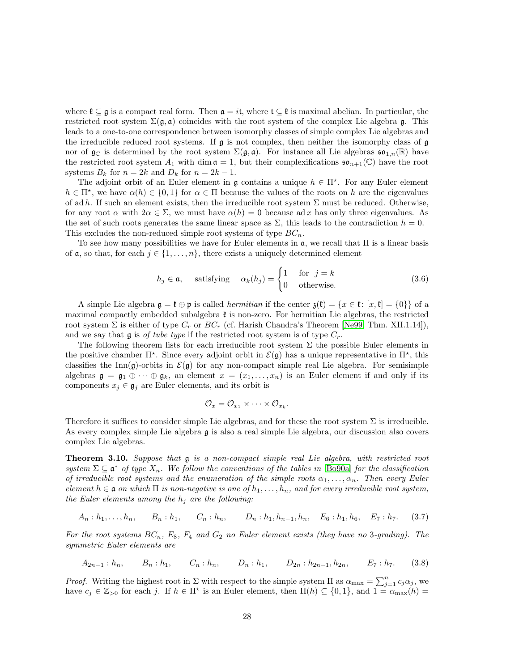where  $\mathfrak{k} \subseteq \mathfrak{g}$  is a compact real form. Then  $\mathfrak{a} = i\mathfrak{t}$ , where  $\mathfrak{t} \subseteq \mathfrak{k}$  is maximal abelian. In particular, the restricted root system  $\Sigma(\mathfrak{g},\mathfrak{a})$  coincides with the root system of the complex Lie algebra g. This leads to a one-to-one correspondence between isomorphy classes of simple complex Lie algebras and the irreducible reduced root systems. If  $\mathfrak g$  is not complex, then neither the isomorphy class of  $\mathfrak g$ nor of  $\mathfrak{g}_{\mathbb{C}}$  is determined by the root system  $\Sigma(\mathfrak{g},\mathfrak{a})$ . For instance all Lie algebras  $\mathfrak{so}_{1,n}(\mathbb{R})$  have the restricted root system  $A_1$  with dim  $\mathfrak{a} = 1$ , but their complexifications  $\mathfrak{so}_{n+1}(\mathbb{C})$  have the root systems  $B_k$  for  $n = 2k$  and  $D_k$  for  $n = 2k - 1$ .

The adjoint orbit of an Euler element in  $\mathfrak g$  contains a unique  $h \in \Pi^*$ . For any Euler element  $h \in \Pi^*$ , we have  $\alpha(h) \in \{0,1\}$  for  $\alpha \in \Pi$  because the values of the roots on h are the eigenvalues of ad h. If such an element exists, then the irreducible root system  $\Sigma$  must be reduced. Otherwise, for any root  $\alpha$  with  $2\alpha \in \Sigma$ , we must have  $\alpha(h) = 0$  because ad x has only three eigenvalues. As the set of such roots generates the same linear space as  $\Sigma$ , this leads to the contradiction  $h = 0$ . This excludes the non-reduced simple root systems of type  $BC_n$ .

To see how many possibilities we have for Euler elements in  $\mathfrak{a}$ , we recall that  $\Pi$  is a linear basis of **a**, so that, for each  $j \in \{1, \ldots, n\}$ , there exists a uniquely determined element

$$
h_j \in \mathfrak{a}, \quad \text{satisfying} \quad \alpha_k(h_j) = \begin{cases} 1 & \text{for } j = k \\ 0 & \text{otherwise.} \end{cases} \tag{3.6}
$$

A simple Lie algebra  $\mathfrak{g} = \mathfrak{k} \oplus \mathfrak{p}$  is called *hermitian* if the center  $\mathfrak{z}(\mathfrak{k}) = \{x \in \mathfrak{k} : [x, \mathfrak{k}] = \{0\}\}\$  of a maximal compactly embedded subalgebra  $\mathfrak k$  is non-zero. For hermitian Lie algebras, the restricted root system  $\Sigma$  is either of type  $C_r$  or  $BC_r$  (cf. Harish Chandra's Theorem [\[Ne99,](#page-47-8) Thm. XII.1.14]), and we say that g is of tube type if the restricted root system is of type  $C_r$ .

The following theorem lists for each irreducible root system  $\Sigma$  the possible Euler elements in the positive chamber  $\Pi^*$ . Since every adjoint orbit in  $\mathcal{E}(\mathfrak{g})$  has a unique representative in  $\Pi^*$ , this classifies the Inn(g)-orbits in  $\mathcal{E}(\mathfrak{g})$  for any non-compact simple real Lie algebra. For semisimple algebras  $\mathfrak{g} = \mathfrak{g}_1 \oplus \cdots \oplus \mathfrak{g}_k$ , an element  $x = (x_1, \ldots, x_n)$  is an Euler element if and only if its components  $x_j \in \mathfrak{g}_j$  are Euler elements, and its orbit is

<span id="page-27-1"></span>
$$
\mathcal{O}_x=\mathcal{O}_{x_1}\times\cdots\times\mathcal{O}_{x_k}.
$$

Therefore it suffices to consider simple Lie algebras, and for these the root system  $\Sigma$  is irreducible. As every complex simple Lie algebra g is also a real simple Lie algebra, our discussion also covers complex Lie algebras.

<span id="page-27-0"></span>Theorem 3.10. Suppose that  $g$  is a non-compact simple real Lie algebra, with restricted root system  $\Sigma \subseteq \mathfrak{a}^*$  of type  $X_n$ . We follow the conventions of the tables in [\[Bo90a\]](#page-46-14) for the classification of irreducible root systems and the enumeration of the simple roots  $\alpha_1, \ldots, \alpha_n$ . Then every Euler element  $h \in \mathfrak{a}$  on which  $\Pi$  is non-negative is one of  $h_1, \ldots, h_n$ , and for every irreducible root system, the Euler elements among the  $h_i$  are the following:

$$
A_n : h_1, \ldots, h_n, \qquad B_n : h_1, \qquad C_n : h_n, \qquad D_n : h_1, h_{n-1}, h_n, \quad E_6 : h_1, h_6, \quad E_7 : h_7. \tag{3.7}
$$

For the root systems  $BC_n$ ,  $E_8$ ,  $F_4$  and  $G_2$  no Euler element exists (they have no 3-grading). The symmetric Euler elements are

<span id="page-27-2"></span>
$$
A_{2n-1} : h_n, \qquad B_n : h_1, \qquad C_n : h_n, \qquad D_n : h_1, \qquad D_{2n} : h_{2n-1}, h_{2n}, \qquad E_7 : h_7. \tag{3.8}
$$

*Proof.* Writing the highest root in  $\Sigma$  with respect to the simple system  $\Pi$  as  $\alpha_{\text{max}} = \sum_{j=1}^{n} c_j \alpha_j$ , we have  $c_j \in \mathbb{Z}_{>0}$  for each j. If  $h \in \Pi^*$  is an Euler element, then  $\Pi(h) \subseteq \{0,1\}$ , and  $1 = \alpha_{\max}(h) =$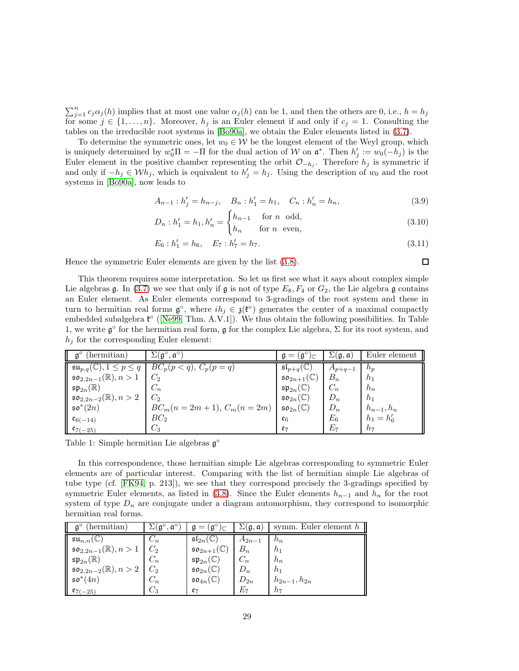$\sum_{j=1}^{n} c_j \alpha_j(h)$  implies that at most one value  $\alpha_j(h)$  can be 1, and then the others are 0, i.e.,  $h = h_j$ for some  $j \in \{1, \ldots, n\}$ . Moreover,  $h_j$  is an Euler element if and only if  $c_j = 1$ . Consulting the tables on the irreducible root systems in [\[Bo90a\]](#page-46-14), we obtain the Euler elements listed in [\(3.7\)](#page-27-1).

To determine the symmetric ones, let  $w_0 \in \mathcal{W}$  be the longest element of the Weyl group, which is uniquely determined by  $w_0^* \Pi = -\Pi$  for the dual action of W on  $\mathfrak{a}^*$ . Then  $h'_j := w_0(-h_j)$  is the Euler element in the positive chamber representing the orbit  $\mathcal{O}_{-h_j}$ . Therefore  $h_j$  is symmetric if and only if  $-h_j \in \mathcal{W}h_j$ , which is equivalent to  $h'_j = h_j$ . Using the description of  $w_0$  and the root systems in [\[Bo90a\]](#page-46-14), now leads to

$$
A_{n-1}: h'_j = h_{n-j}, \quad B_n: h'_1 = h_1, \quad C_n: h'_n = h_n,
$$
\n(3.9)

$$
D_n : h'_1 = h_1, h'_n = \begin{cases} h_{n-1} & \text{for } n \text{ odd,} \\ h_n & \text{for } n \text{ even,} \end{cases}
$$
 (3.10)

$$
E_6: h_1' = h_6, \quad E_7: h_7' = h_7. \tag{3.11}
$$

 $\Box$ 

Hence the symmetric Euler elements are given by the list [\(3.8\)](#page-27-2).

This theorem requires some interpretation. So let us first see what it says about complex simple Lie algebras g. In [\(3.7\)](#page-27-1) we see that only if g is not of type  $E_8$ ,  $F_4$  or  $G_2$ , the Lie algebra g contains an Euler element. As Euler elements correspond to 3-gradings of the root system and these in turn to hermitian real forms  $\mathfrak{g}^{\circ}$ , where  $ih_j \in \mathfrak{z}(\mathfrak{k}^{\circ})$  generates the center of a maximal compactly embedded subalgebra  $\mathfrak{k}^{\circ}$  ([\[Ne99,](#page-47-8) Thm. A.V.1]). We thus obtain the following possibilities. In Table 1, we write  $\mathfrak{g}^{\circ}$  for the hermitian real form,  $\mathfrak{g}$  for the complex Lie algebra,  $\Sigma$  for its root system, and  $h_j$  for the corresponding Euler element:

| $\mathfrak{g}^{\circ}$<br>$($ hermitian $)$                   | $\Sigma(\mathfrak{g}^{\circ}, \mathfrak{a}^{\circ})$ | $\mathbf{A} = (\overline{\mathfrak{g}}^{\circ})_{\mathcal{F}}$ | $\Sigma(\mathfrak{g},\mathfrak{a})$ | Euler element  |
|---------------------------------------------------------------|------------------------------------------------------|----------------------------------------------------------------|-------------------------------------|----------------|
| $\overline{\mathfrak{su}_{p,q}(\mathbb{C})}, 1 \leq p \leq q$ | $BC_p(p < q), C_p(p = q)$                            | $\mathfrak{sl}_{p+q}(\mathbb{C})$                              | $A_{p+q-1}$                         | $n_p$          |
| $\mathfrak{so}_{2,2n-1}(\mathbb{R}), n > 1$                   | $C_2$                                                | $\mathfrak{so}_{2n+1}(\mathbb{C})$                             | $B_n$                               | h <sub>1</sub> |
| $\mathfrak{sp}_{2n}(\mathbb{R})$                              | $C_n$                                                | $\mathfrak{sp}_{2n}(\mathbb C)$                                | $C_n$                               | $h_n$          |
| $\mathfrak{so}_{2,2n-2}(\mathbb{R}), n > 2$                   | $C_2$                                                | $\mathfrak{so}_{2n}(\mathbb{C})$                               | $D_n$                               | h <sub>1</sub> |
| $\mathfrak{so}^*(2n)$                                         | $BC_m(n = 2m + 1), C_m(n = 2m)$                      | $\mathfrak{so}_{2n}(\mathbb{C})$                               | $D_n$                               | $h_{n-1}, h_n$ |
| $\mathfrak{e}_{6(-14)}$                                       | BC <sub>2</sub>                                      | $\mathfrak{e}_6$                                               | $E_6$                               | $h_1 = h'_6$   |
| $\ell_{7(-25)}$                                               | $C_3$                                                | $e_7$                                                          | $E_7\,$                             | $h_7$          |

Table 1: Simple hermitian Lie algebras  $\mathfrak{g}^{\circ}$ 

In this correspondence, those hermitian simple Lie algebras corresponding to symmetric Euler elements are of particular interest. Comparing with the list of hermitian simple Lie algebras of tube type (cf. [\[FK94,](#page-46-15) p. 213]), we see that they correspond precisely the 3-gradings specified by symmetric Euler elements, as listed in [\(3.8\)](#page-27-2). Since the Euler elements  $h_{n-1}$  and  $h_n$  for the root system of type  $D_n$  are conjugate under a diagram automorphism, they correspond to isomorphic hermitian real forms.

| (hermitian)                                         | $\alpha^{\circ}$ | (gʻ<br>)C                          | $\Sigma(\mathfrak{g},\mathfrak{a})$ | symm. Euler element $h$ |
|-----------------------------------------------------|------------------|------------------------------------|-------------------------------------|-------------------------|
| $\mathfrak{su}_{n,n}(\mathbb{C})$                   | $\cup_n$         | $\mathfrak{sl}_{2n}(\mathbb{C})$   | $A_{2n-1}$                          | $n_n$                   |
| $\mathfrak{so}_{2,2n-1}(\mathbb{R}), n > 1$         | $C_2$            | $\mathfrak{so}_{2n+1}(\mathbb{C})$ | $B_n$                               | $h_1$                   |
| ' $\mathfrak{sp}_{2n}(\mathbb{R})$                  | $C_n$            | $\mathfrak{sp}_{2n}(\mathbb{C})$   | $C_n$                               | $h_n$                   |
| $\ $ 50 <sub>2,2n-2</sub> ( $\mathbb{R}$ ), $n > 2$ | $C_2$            | $\mathfrak{so}_{2n}(\mathbb{C})$   | $D_n$                               | h <sub>1</sub>          |
| $50^*(4n)$                                          | $C_n$            | $\mathfrak{so}_{4n}(\mathbb{C})$   | $D_{2n}$                            | $h_{2n-1}, h_{2n}$      |
| $\mathfrak{e}_{7(-25)}$                             | - 3              | $\mathfrak{e}_7$                   | $E_7$                               | $h_7$                   |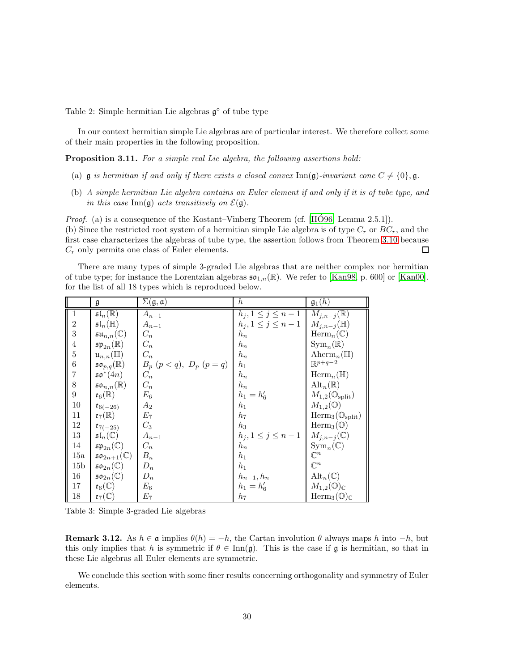Table 2: Simple hermitian Lie algebras  $\mathfrak{g}^{\circ}$  of tube type

In our context hermitian simple Lie algebras are of particular interest. We therefore collect some of their main properties in the following proposition.

<span id="page-29-0"></span>Proposition 3.11. For a simple real Lie algebra, the following assertions hold:

- (a)  $\mathfrak g$  is hermitian if and only if there exists a closed convex  $\text{Inn}(\mathfrak g)$ -invariant cone  $C \neq \{0\}$ ,  $\mathfrak g$ .
- (b) A simple hermitian Lie algebra contains an Euler element if and only if it is of tube type, and in this case Inn( $\mathfrak{g}$ ) acts transitively on  $\mathcal{E}(\mathfrak{g})$ .

*Proof.* (a) is a consequence of the Kostant–Vinberg Theorem (cf.  $[H\acute{O}96, Lemma 2.5.1]$ ). (b) Since the restricted root system of a hermitian simple Lie algebra is of type  $C_r$  or  $BC_r$ , and the first case characterizes the algebras of tube type, the assertion follows from Theorem [3.10](#page-27-0) because  $C_r$  only permits one class of Euler elements. 口

There are many types of simple 3-graded Lie algebras that are neither complex nor hermitian of tube type; for instance the Lorentzian algebras  $\mathfrak{so}_{1,n}(\mathbb{R})$ . We refer to [\[Kan98,](#page-47-10) p. 600] or [\[Kan00\]](#page-47-11). for the list of all 18 types which is reproduced below.

|                  | g                                        | $\Sigma(\mathfrak{g},\mathfrak{a})$ | $\hbar$                  | $\mathfrak{g}_1(h)$                        |
|------------------|------------------------------------------|-------------------------------------|--------------------------|--------------------------------------------|
| $\mathbf{1}$     | $\mathfrak{sl}_n(\mathbb{R})$            | $A_{n-1}$                           | $h_j, 1 \leq j \leq n-1$ | $M_{j,n-j}(\mathbb{R})$                    |
| $\overline{2}$   | $\mathfrak{sl}_n(\mathbb{H})$            | $\mathcal{A}_{n-1}$                 | $h_j, 1 \le j \le n-1$   | $M_{j,n-j}(\mathbb{H})$                    |
| 3                | $\mathfrak{su}_{n,n}(\mathbb{C})$        | $C_n$                               | $h_n$                    | $\text{Herm}_n(\mathbb{C})$                |
| $\overline{4}$   | $\mathfrak{sp}_{2n}(\mathbb{R})$         | $C_n$                               | $h_n$                    | $\mathrm{Sym}_n(\mathbb{R})$               |
| 5                | $\mathfrak{u}_{n,n}(\mathbb{H})$         | $C_n$                               | $h_n$                    | Aherm <sub>n</sub> ( $\mathbb{H}$ )        |
| 6                | $\mathfrak{so}_{p,q}(\mathbb R)$         | $B_p (p < q), D_p (p = q)$          | $h_1$                    | $\mathbb{R}^{p+q-2}$                       |
| 7                | $\mathfrak{so}^*(4n)$                    | $C_n$                               | $h_n$                    | $\text{Herm}_n(\mathbb{H})$                |
| 8                | $\mathfrak{so}_{n,n}(\mathbb{R})$        | $C_n$                               | $h_n$                    | $\mathrm{Alt}_n(\mathbb{R})$               |
| $\boldsymbol{9}$ | $\mathfrak{e}_6(\mathbb{R})$             | $E_6$                               | $h_1 = h'_6$             | $M_{1,2}(\mathbb{O}_{\text{split}})$       |
| 10               | $\mathfrak{e}_{6(-26)}$                  | $\scriptstyle A_2$                  | $h_1$                    | $M_{1,2}(\mathbb{O})$                      |
| 11               | $\mathfrak{e}_7(\mathbb{R})$             | $E_7$                               | $h_7$                    | $\text{Herm}_3(\mathbb{O}_{\text{split}})$ |
| 12               | $e_{7(-25)}$                             | $C_3$                               | $h_3$                    | $\text{Herm}_3(\mathbb{O})$                |
| 13               | $\mathfrak{sl}_n(\mathbb{C})$            | $\mathcal{A}_{n-1}$                 | $h_j, 1 \le j \le n-1$   | $M_{j,n-j}(\mathbb{C})$                    |
| 14               | $\mathfrak{sp}_{2n}(\mathbb{C})$         | $C_n$                               | $h_n$                    | $\mathrm{Sym}_n(\mathbb{C})$               |
| 15a              | $\mathfrak{so}_{2n+1}(\mathbb{C})$       | $B_n$                               | $h_1$                    | $\mathbb{C}^n$                             |
| 15 <sub>b</sub>  | $\mathfrak{so}_{2n}(\mathbb{C})$         | $D_n$                               | $h_1$                    | $\mathbb{C}^n$                             |
| 16               | $\mathfrak{so}_{2n}(\mathbb C)$          | $D_n$                               | $h_{n-1}, h_n$           | $\mathrm{Alt}_n(\mathbb{C})$               |
| 17               | $\mathfrak{e}_6(\mathbb{C})$             | $E_6$                               | $h_1 = h'_6$             | $M_{1,2}(\mathbb{O})_{\mathbb{C}}$         |
| 18               | $\underline{\mathfrak{e}}_7(\mathbb{C})$ | $E_7$                               | $h_7$                    | $\text{Herm}_3(\mathbb{O})_{\mathbb{C}}$   |

Table 3: Simple 3-graded Lie algebras

**Remark 3.12.** As  $h \in \mathfrak{a}$  implies  $\theta(h) = -h$ , the Cartan involution  $\theta$  always maps h into  $-h$ , but this only implies that h is symmetric if  $\theta \in \text{Inn(g)}$ . This is the case if g is hermitian, so that in these Lie algebras all Euler elements are symmetric.

We conclude this section with some finer results concerning orthogonality and symmetry of Euler elements.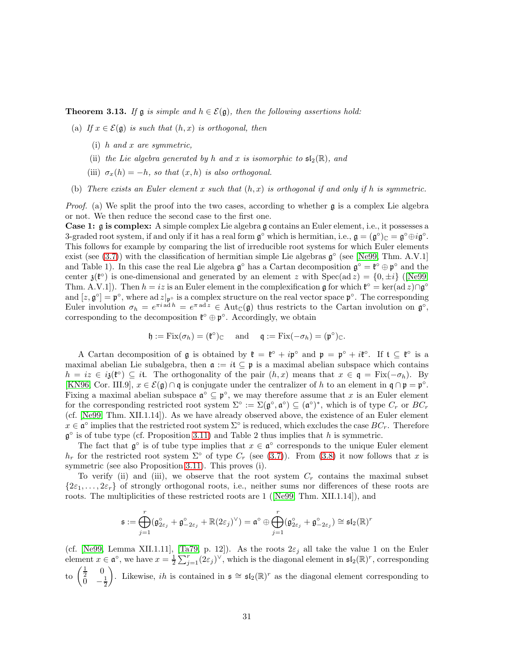<span id="page-30-0"></span>**Theorem 3.13.** If  $\mathfrak{g}$  is simple and  $h \in \mathcal{E}(\mathfrak{g})$ , then the following assertions hold:

- (a) If  $x \in \mathcal{E}(\mathfrak{g})$  is such that  $(h, x)$  is orthogonal, then
	- (i) h and x are symmetric,
	- (ii) the Lie algebra generated by h and x is isomorphic to  $\mathfrak{sl}_2(\mathbb{R})$ , and
	- (iii)  $\sigma_x(h) = -h$ , so that  $(x, h)$  is also orthogonal.
- (b) There exists an Euler element x such that  $(h, x)$  is orthogonal if and only if h is symmetric.

*Proof.* (a) We split the proof into the two cases, according to whether  $\alpha$  is a complex Lie algebra or not. We then reduce the second case to the first one.

Case 1: g is complex: A simple complex Lie algebra g contains an Euler element, i.e., it possesses a 3-graded root system, if and only if it has a real form  $\mathfrak{g}^{\circ}$  which is hermitian, i.e.,  $\mathfrak{g} = (\mathfrak{g}^{\circ})_{\mathbb{C}} = \mathfrak{g}^{\circ} \oplus i\mathfrak{g}^{\circ}$ . This follows for example by comparing the list of irreducible root systems for which Euler elements exist (see  $(3.7)$ ) with the classification of hermitian simple Lie algebras  $\mathfrak{g}^{\circ}$  (see [\[Ne99,](#page-47-8) Thm. A.V.1] and Table 1). In this case the real Lie algebra  $\mathfrak{g}^{\circ}$  has a Cartan decomposition  $\mathfrak{g}^{\circ} = \mathfrak{k}^{\circ} \oplus \mathfrak{p}^{\circ}$  and the center  $\mathfrak{z}(\mathfrak{k}^{\circ})$  is one-dimensional and generated by an element z with  $Spec(ad z) = \{0, \pm i\}$  ([\[Ne99,](#page-47-8) Thm. A.V.1]). Then  $h = iz$  is an Euler element in the complexification g for which  $\mathfrak{k}^{\circ} = \ker(\text{ad } z) \cap \mathfrak{g}^{\circ}$ and  $[z, \mathfrak{g}^{\circ}] = \mathfrak{p}^{\circ}$ , where ad  $z|_{\mathfrak{p}^{\circ}}$  is a complex structure on the real vector space  $\mathfrak{p}^{\circ}$ . The corresponding Euler involution  $\sigma_h = e^{\pi i a \cdot d h} = e^{\pi a d z} \in \text{Aut}_{\mathbb{C}}(\mathfrak{g})$  thus restricts to the Cartan involution on  $\mathfrak{g}^{\circ}$ , corresponding to the decomposition  $\mathfrak{k}^{\circ} \oplus \mathfrak{p}^{\circ}$ . Accordingly, we obtain

$$
\mathfrak{h} := \mathrm{Fix}(\sigma_h) = (\mathfrak{k}^\circ)_{\mathbb{C}} \quad \text{ and } \quad \mathfrak{q} := \mathrm{Fix}(-\sigma_h) = (\mathfrak{p}^\circ)_{\mathbb{C}}.
$$

A Cartan decomposition of  $\mathfrak g$  is obtained by  $\mathfrak k = \mathfrak k^\circ + i\mathfrak p^\circ$  and  $\mathfrak p = \mathfrak p^\circ + i\mathfrak k^\circ$ . If  $\mathfrak t \subseteq \mathfrak k^\circ$  is a maximal abelian Lie subalgebra, then  $\mathfrak{a} := i\mathfrak{t} \subseteq \mathfrak{p}$  is a maximal abelian subspace which contains  $h = iz \in i\mathfrak{z}(\mathfrak{k}^{\circ}) \subseteq it$ . The orthogonality of the pair  $(h, x)$  means that  $x \in \mathfrak{q} = \text{Fix}(-\sigma_h)$ . By [\[KN96,](#page-47-12) Cor. III.9],  $x \in \mathcal{E}(\mathfrak{g}) \cap \mathfrak{q}$  is conjugate under the centralizer of h to an element in  $\mathfrak{q} \cap \mathfrak{p} = \mathfrak{p}^{\circ}$ . Fixing a maximal abelian subspace  $\mathfrak{a}^{\circ} \subseteq \mathfrak{p}^{\circ}$ , we may therefore assume that x is an Euler element for the corresponding restricted root system  $\Sigma^{\circ} := \Sigma(\mathfrak{g}^{\circ}, \mathfrak{a}^{\circ}) \subseteq (\mathfrak{a}^{\circ})^*$ , which is of type  $C_r$  or  $BC_r$ (cf. [\[Ne99,](#page-47-8) Thm. XII.1.14]). As we have already observed above, the existence of an Euler element  $x \in \mathfrak{a}^{\circ}$  implies that the restricted root system  $\Sigma^{\circ}$  is reduced, which excludes the case  $BC_r$ . Therefore  $\mathfrak g^{\circ}$  is of tube type (cf. Proposition [3.11\)](#page-29-0) and Table 2 thus implies that h is symmetric.

The fact that  $\mathfrak{g}^{\circ}$  is of tube type implies that  $x \in \mathfrak{a}^{\circ}$  corresponds to the unique Euler element  $h_r$  for the restricted root system  $\Sigma^{\circ}$  of type  $C_r$  (see [\(3.7\)](#page-27-1)). From [\(3.8\)](#page-27-2) it now follows that x is symmetric (see also Proposition [3.11\)](#page-29-0). This proves (i).

To verify (ii) and (iii), we observe that the root system  $C_r$  contains the maximal subset  $\{2\varepsilon_1,\ldots,2\varepsilon_r\}$  of strongly orthogonal roots, i.e., neither sums nor differences of these roots are roots. The multiplicities of these restricted roots are 1([\[Ne99,](#page-47-8) Thm. XII.1.14]), and

$$
\mathfrak{s}:=\bigoplus_{j=1}^r (\mathfrak{g}^{\circ}_{2\varepsilon_j}+\mathfrak{g}^{\circ}_{-2\varepsilon_j}+\mathbb{R} (2\varepsilon_j)^{\vee})=\mathfrak{a}^{\circ} \oplus \bigoplus_{j=1}^r (\mathfrak{g}^{\circ}_{2\varepsilon_j}+\mathfrak{g}^{\circ}_{-2\varepsilon_j})\cong \mathfrak{sl}_2(\mathbb{R})^r
$$

(cf. [\[Ne99,](#page-47-8) Lemma XII.1.11], [\[Ta79,](#page-48-11) p. 12]). As the roots  $2\varepsilon_j$  all take the value 1 on the Euler element  $x \in \mathfrak{a}^{\circ}$ , we have  $x = \frac{1}{2} \sum_{j=1}^{r} (2 \varepsilon_j)^{\vee}$ , which is the diagonal element in  $\mathfrak{sl}_2(\mathbb{R})^r$ , corresponding to  $\begin{pmatrix} \frac{1}{2} & 0 \\ 0 & 0 \end{pmatrix}$  $\bar{0}$   $-\frac{1}{2}$ ). Likewise, *ih* is contained in  $\mathfrak{s} \cong \mathfrak{sl}_2(\mathbb{R})^r$  as the diagonal element corresponding to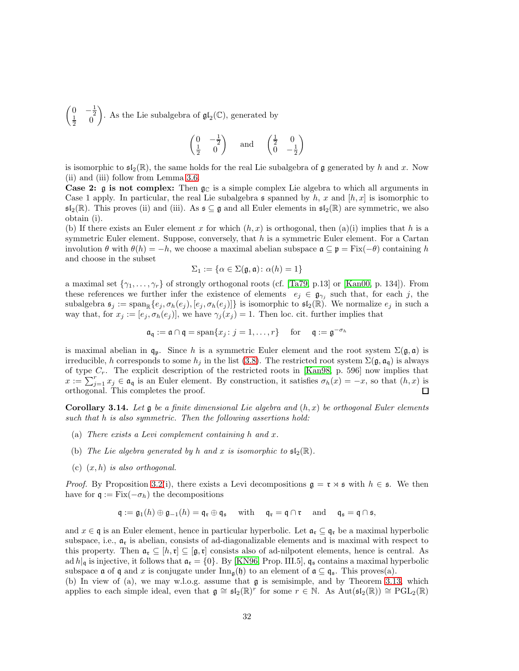$\begin{pmatrix} 0 & -\frac{1}{2} \\ \frac{1}{2} & 0 \end{pmatrix}$  $\overline{\phantom{0}}$ . As the Lie subalgebra of  $\mathfrak{gl}_2(\mathbb{C}),$  generated by

$$
\begin{pmatrix} 0 & -\frac{1}{2} \\ \frac{1}{2} & 0 \end{pmatrix} \quad \text{and} \quad \begin{pmatrix} \frac{1}{2} & 0 \\ 0 & -\frac{1}{2} \end{pmatrix}
$$

is isomorphic to  $\mathfrak{sl}_2(\mathbb{R})$ , the same holds for the real Lie subalgebra of g generated by h and x. Now (ii) and (iii) follow from Lemma [3.6.](#page-24-0)

**Case 2:**  $\mathfrak{g}$  is not complex: Then  $\mathfrak{g}_\mathbb{C}$  is a simple complex Lie algebra to which all arguments in Case 1 apply. In particular, the real Lie subalgebra s spanned by h, x and  $[h, x]$  is isomorphic to  $\mathfrak{sl}_2(\mathbb{R})$ . This proves (ii) and (iii). As  $\mathfrak{s} \subseteq \mathfrak{g}$  and all Euler elements in  $\mathfrak{sl}_2(\mathbb{R})$  are symmetric, we also obtain (i).

(b) If there exists an Euler element x for which  $(h, x)$  is orthogonal, then (a)(i) implies that h is a symmetric Euler element. Suppose, conversely, that  $h$  is a symmetric Euler element. For a Cartan involution  $\theta$  with  $\theta(h) = -h$ , we choose a maximal abelian subspace  $\mathfrak{a} \subseteq \mathfrak{p} = \text{Fix}(-\theta)$  containing h and choose in the subset

$$
\Sigma_1 := \{ \alpha \in \Sigma(\mathfrak{g}, \mathfrak{a}) \colon \alpha(h) = 1 \}
$$

a maximal set  $\{\gamma_1, \ldots, \gamma_r\}$  of strongly orthogonal roots (cf. [\[Ta79,](#page-48-11) p.13] or [\[Kan00,](#page-47-11) p. 134]). From these references we further infer the existence of elements  $e_j \in \mathfrak{g}_{\gamma_j}$  such that, for each j, the subalgebra  $\mathfrak{s}_j := \text{span}_{\mathbb{R}}\{e_j, \sigma_h(e_j), [e_j, \sigma_h(e_j)]\}$  is isomorphic to  $\mathfrak{s}l_2(\mathbb{R})$ . We normalize  $e_j$  in such a way that, for  $x_j := [e_j, \sigma_h(e_j)]$ , we have  $\gamma_j(x_j) = 1$ . Then loc. cit. further implies that

$$
\mathfrak{a}_{\mathfrak{q}} := \mathfrak{a} \cap \mathfrak{q} = \text{span}\{x_j : j = 1, \dots, r\} \quad \text{for} \quad \mathfrak{q} := \mathfrak{g}^{-\sigma_h}
$$

is maximal abelian in  $\mathfrak{q}_p$ . Since h is a symmetric Euler element and the root system  $\Sigma(\mathfrak{g},\mathfrak{a})$  is irreducible, h corresponds to some  $h_j$  in the list [\(3.8\)](#page-27-2). The restricted root system  $\Sigma(\mathfrak{g}, \mathfrak{a}_{\mathfrak{q}})$  is always of type  $C_r$ . The explicit description of the restricted roots in [\[Kan98,](#page-47-10) p. 596] now implies that  $x := \sum_{j=1}^r x_j \in \mathfrak{a}_{\mathfrak{q}}$  is an Euler element. By construction, it satisfies  $\sigma_h(x) = -x$ , so that  $(h, x)$  is orthogonal. This completes the proof.

<span id="page-31-0"></span>**Corollary 3.14.** Let  $\mathfrak g$  be a finite dimensional Lie algebra and  $(h, x)$  be orthogonal Euler elements such that h is also symmetric. Then the following assertions hold:

- (a) There exists a Levi complement containing h and x.
- (b) The Lie algebra generated by h and x is isomorphic to  $\mathfrak{sl}_2(\mathbb{R})$ .
- (c)  $(x, h)$  is also orthogonal.

*Proof.* By Proposition [3.2\(](#page-22-1)i), there exists a Levi decompositions  $\mathfrak{g} = \mathfrak{r} \rtimes \mathfrak{s}$  with  $h \in \mathfrak{s}$ . We then have for  $\mathfrak{q} := \text{Fix}(-\sigma_h)$  the decompositions

$$
\mathfrak{q} := \mathfrak{g}_1(h) \oplus \mathfrak{g}_{-1}(h) = \mathfrak{q}_{\mathfrak{r}} \oplus \mathfrak{q}_{\mathfrak{s}} \quad \text{ with } \quad \mathfrak{q}_{\mathfrak{r}} = \mathfrak{q} \cap \mathfrak{r} \quad \text{ and } \quad \mathfrak{q}_{\mathfrak{s}} = \mathfrak{q} \cap \mathfrak{s},
$$

and  $x \in \mathfrak{q}$  is an Euler element, hence in particular hyperbolic. Let  $\mathfrak{a}_{\mathfrak{r}} \subseteq \mathfrak{q}_{\mathfrak{r}}$  be a maximal hyperbolic subspace, i.e.,  $\mathfrak{a}_r$  is abelian, consists of ad-diagonalizable elements and is maximal with respect to this property. Then  $\mathfrak{a}_r \subseteq [h,r] \subseteq [\mathfrak{g},r]$  consists also of ad-nilpotent elements, hence is central. As ad  $h|_{\mathfrak{q}}$  is injective, it follows that  $\mathfrak{a}_{\mathfrak{r}} = \{0\}$ . By [\[KN96,](#page-47-12) Prop. III.5],  $\mathfrak{q}_{\mathfrak{s}}$  contains a maximal hyperbolic subspace  $\mathfrak a$  of  $\mathfrak q$  and x is conjugate under  $\text{Inn}_{\mathfrak g}(\mathfrak h)$  to an element of  $\mathfrak a \subseteq \mathfrak q_{\mathfrak s}$ . This proves(a).

(b) In view of (a), we may w.l.o.g. assume that g is semisimple, and by Theorem [3.13,](#page-30-0) which applies to each simple ideal, even that  $\mathfrak{g} \cong \mathfrak{sl}_2(\mathbb{R})^r$  for some  $r \in \mathbb{N}$ . As  $Aut(\mathfrak{sl}_2(\mathbb{R})) \cong \mathrm{PGL}_2(\mathbb{R})$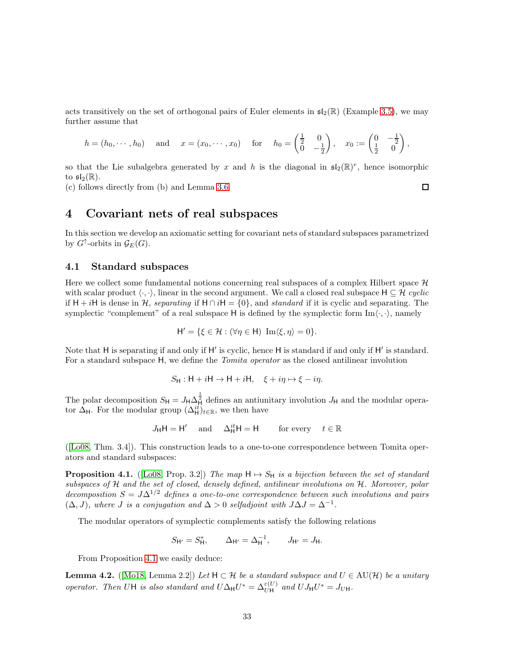acts transitively on the set of orthogonal pairs of Euler elements in  $\mathfrak{sl}_2(\mathbb{R})$  (Example [3.5\)](#page-23-1), we may further assume that

$$
h = (h_0, \dots, h_0)
$$
 and  $x = (x_0, \dots, x_0)$  for  $h_0 = \begin{pmatrix} \frac{1}{2} & 0 \\ 0 & -\frac{1}{2} \end{pmatrix}$ ,  $x_0 := \begin{pmatrix} 0 & -\frac{1}{2} \\ \frac{1}{2} & 0 \end{pmatrix}$ ,

so that the Lie subalgebra generated by x and h is the diagonal in  $\mathfrak{sl}_2(\mathbb{R})^r$ , hence isomorphic to  $\mathfrak{sl}_2(\mathbb{R})$ .

<span id="page-32-0"></span>(c) follows directly from (b) and Lemma [3.6.](#page-24-0)

# 4 Covariant nets of real subspaces

In this section we develop an axiomatic setting for covariant nets of standard subspaces parametrized by  $G^{\uparrow}$ -orbits in  $\mathcal{G}_E(G)$ .

#### <span id="page-32-1"></span>4.1 Standard subspaces

Here we collect some fundamental notions concerning real subspaces of a complex Hilbert space  $H$ with scalar product  $\langle \cdot, \cdot \rangle$ , linear in the second argument. We call a closed real subspace  $H \subseteq \mathcal{H}$  cyclic if H + iH is dense in H, separating if  $H \cap iH = \{0\}$ , and standard if it is cyclic and separating. The symplectic "complement" of a real subspace H is defined by the symplectic form  $Im \langle \cdot, \cdot \rangle$ , namely

$$
\mathsf{H}' = \{ \xi \in \mathcal{H} : (\forall \eta \in \mathsf{H}) \ \operatorname{Im} \langle \xi, \eta \rangle = 0 \}.
$$

Note that H is separating if and only if H' is cyclic, hence H is standard if and only if H' is standard. For a standard subspace H, we define the *Tomita operator* as the closed antilinear involution

$$
S_{\mathsf{H}} : \mathsf{H} + i\mathsf{H} \to \mathsf{H} + i\mathsf{H}, \quad \xi + i\eta \mapsto \xi - i\eta.
$$

The polar decomposition  $S_H = J_H \Delta_H^{\frac{1}{2}}$  defines an antiunitary involution  $J_H$  and the modular operator  $\Delta_{\mathsf{H}}$ . For the modular group  $(\Delta_{\mathsf{H}}^{it})_{t \in \mathbb{R}}$ , we then have

$$
J_{\mathsf{H}}\mathsf{H} = \mathsf{H}' \quad \text{and} \quad \Delta_{\mathsf{H}}^{it}\mathsf{H} = \mathsf{H} \qquad \text{for every} \quad t \in \mathbb{R}
$$

([\[Lo08,](#page-47-14) Thm. 3.4]). This construction leads to a one-to-one correspondence between Tomita operators and standard subspaces:

<span id="page-32-2"></span>**Proposition 4.1.** ([\[Lo08,](#page-47-14) Prop. 3.2]) The map  $H \mapsto S_H$  is a bijection between the set of standard subspaces of H and the set of closed, densely defined, antilinear involutions on H. Moreover, polar decomposition  $S = J\Delta^{1/2}$  defines a one-to-one correspondence between such involutions and pairs  $(\Delta, J)$ , where J is a conjugation and  $\Delta > 0$  selfadjoint with  $J\Delta J = \Delta^{-1}$ .

The modular operators of symplectic complements satisfy the following relations

$$
S_{H'} = S_H^*, \qquad \Delta_{H'} = \Delta_H^{-1}, \qquad J_{H'} = J_H.
$$

From Proposition [4.1](#page-32-2) we easily deduce:

<span id="page-32-3"></span>**Lemma 4.2.** ([\[Mo18,](#page-47-15) Lemma 2.2]) Let  $H \subset \mathcal{H}$  be a standard subspace and  $U \in \text{AU}(\mathcal{H})$  be a unitary operator. Then UH is also standard and  $U\Delta_H U^* = \Delta_{UH}^{\epsilon(U)}$  and  $UJ_H U^* = J_{UH}$ .

 $\Box$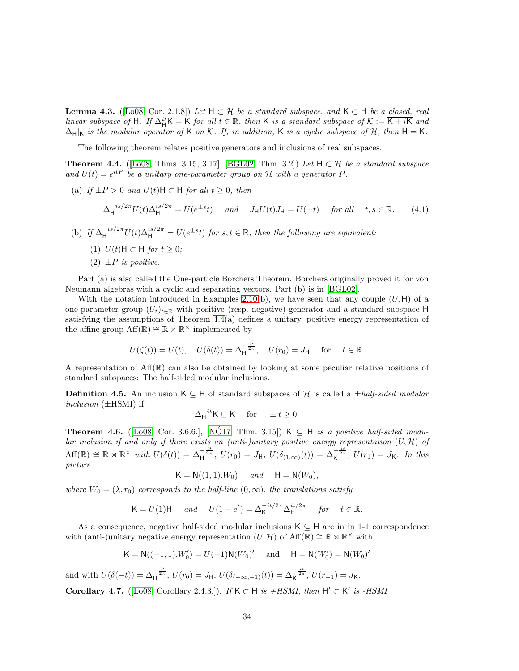<span id="page-33-1"></span>**Lemma 4.3.** ([\[Lo08,](#page-47-14) Cor. 2.1.8]) Let  $H \subset \mathcal{H}$  be a standard subspace, and  $K \subset H$  be a closed, real linear subspace of H. If  $\Delta_H^{it} K = K$  for all  $t \in \mathbb{R}$ , then K is a standard subspace of  $K := \overline{K + iK}$  and  $\Delta_H|_K$  is the modular operator of K on K. If, in addition, K is a cyclic subspace of H, then H = K.

The following theorem relates positive generators and inclusions of real subspaces.

<span id="page-33-0"></span>**Theorem 4.4.** ([\[Lo08,](#page-47-14) Thms. 3.15, 3.17], [\[BGL02,](#page-46-5) Thm. 3.2]) Let  $H \subset \mathcal{H}$  be a standard subspace and  $U(t) = e^{itP}$  be a unitary one-parameter group on H with a generator P.

(a) If  $\pm P > 0$  and  $U(t)H \subset H$  for all  $t \geq 0$ , then

$$
\Delta_{\mathsf{H}}^{-is/2\pi} U(t) \Delta_{\mathsf{H}}^{is/2\pi} = U(e^{\pm s}t) \quad \text{and} \quad J_{\mathsf{H}}U(t)J_{\mathsf{H}} = U(-t) \quad \text{for all} \quad t, s \in \mathbb{R}.\tag{4.1}
$$

- (b) If  $\Delta_{\rm H}^{-is/2\pi}U(t)\Delta_{\rm H}^{is/2\pi}=U(e^{\pm s}t)$  for  $s,t\in\mathbb{R}$ , then the following are equivalent:
	- (1)  $U(t)H \subset H$  for  $t > 0$ ;
	- (2)  $\pm P$  is positive.

Part (a) is also called the One-particle Borchers Theorem. Borchers originally proved it for von Neumann algebras with a cyclic and separating vectors. Part (b) is in [\[BGL02\]](#page-46-5).

With the notation introduced in Examples [2.10\(](#page-10-1)b), we have seen that any couple  $(U, H)$  of a one-parameter group  $(U_t)_{t\in\mathbb{R}}$  with positive (resp. negative) generator and a standard subspace H satisfying the assumptions of Theorem [4.4\(](#page-33-0)a) defines a unitary, positive energy representation of the affine group  $\mathrm{Aff}(\mathbb{R}) \cong \mathbb{R} \rtimes \mathbb{R}^\times$  implemented by

$$
U(\zeta(t)) = U(t), \quad U(\delta(t)) = \Delta_{\mathsf{H}}^{-\frac{it}{2\pi}}, \quad U(r_0) = J_{\mathsf{H}} \quad \text{for} \quad t \in \mathbb{R}.
$$

A representation of  $\text{Aff}(\mathbb{R})$  can also be obtained by looking at some peculiar relative positions of standard subspaces: The half-sided modular inclusions.

**Definition 4.5.** An inclusion  $K \subseteq H$  of standard subspaces of H is called a  $\pm$ half-sided modular inclusion  $(\pm HSMI)$  if

$$
\Delta_{\mathsf{H}}^{-it} \mathsf{K} \subseteq \mathsf{K} \quad \text{ for } \quad \pm t \ge 0.
$$

**Theorem 4.6.** ([\[Lo08,](#page-47-14) Cor. 3.6.6.], [NÓ17, Thm. 3.15])  $K \subseteq H$  is a positive half-sided modular inclusion if and only if there exists an (anti-)unitary positive energy representation  $(U, \mathcal{H})$  of  $\text{Aff}(\mathbb{R}) \cong \mathbb{R} \rtimes \mathbb{R}^{\times}$  with  $U(\delta(t)) = \Delta_{\text{H}}^{-\frac{it}{2\pi}}$ ,  $U(r_0) = J_{\text{H}}$ ,  $U(\delta_{(1,\infty)}(t)) = \Delta_{\text{K}}^{-\frac{it}{2\pi}}$ ,  $U(r_1) = J_{\text{K}}$ . In this picture

$$
\mathsf{K}=\mathsf{N}((1,1).W_0)\quad\text{ and }\quad \mathsf{H}=\mathsf{N}(W_0),
$$

where  $W_0 = (\lambda, r_0)$  corresponds to the half-line  $(0, \infty)$ , the translations satisfy

$$
\mathsf{K} = U(1)\mathsf{H} \quad \text{and} \quad U(1 - e^t) = \Delta_{\mathsf{K}}^{-it/2\pi} \Delta_{\mathsf{H}}^{it/2\pi} \quad \text{for} \quad t \in \mathbb{R}.
$$

As a consequence, negative half-sided modular inclusions  $K \subseteq H$  are in in 1-1 correspondence with (anti-)unitary negative energy representation  $(U, \mathcal{H})$  of Aff( $\mathbb{R} \cong \mathbb{R} \rtimes \mathbb{R}^{\times}$  with

$$
K = N((-1, 1).W'_0) = U(-1)N(W_0)'
$$
 and 
$$
H = N(W'_0) = N(W_0)'
$$

and with  $U(\delta(-t)) = \Delta_H^{-\frac{it}{2\pi}}$ ,  $U(r_0) = J_H$ ,  $U(\delta_{(-\infty, -1)}(t)) = \Delta_K^{-\frac{it}{2\pi}}$ ,  $U(r_{-1}) = J_K$ . Corollary 4.7. ([\[Lo08,](#page-47-14) Corollary 2.4.3.]). If  $K \subset H$  is +HSMI, then  $H' \subset K'$  is -HSMI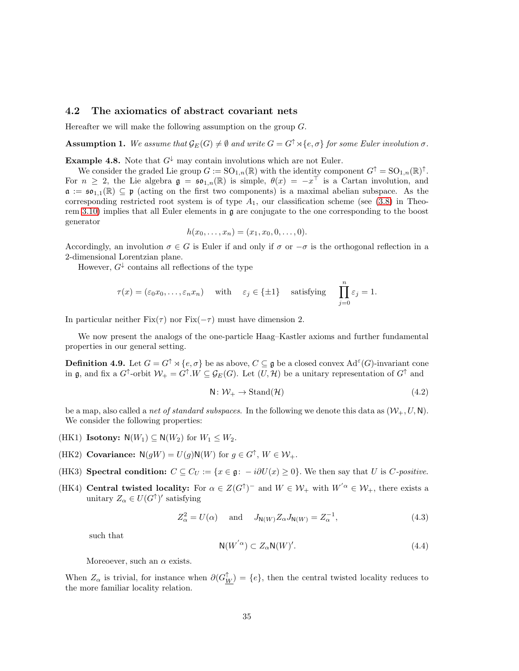#### <span id="page-34-0"></span>4.2 The axiomatics of abstract covariant nets

Hereafter we will make the following assumption on the group  $G$ .

**Assumption 1.** We assume that  $\mathcal{G}_E(G) \neq \emptyset$  and write  $G = G^{\uparrow} \rtimes \{e, \sigma\}$  for some Euler involution  $\sigma$ .

**Example 4.8.** Note that  $G^{\downarrow}$  may contain involutions which are not Euler.

We consider the graded Lie group  $G := SO_{1,n}(\mathbb{R})$  with the identity component  $G^{\uparrow} = SO_{1,n}(\mathbb{R})^{\uparrow}$ . For  $n \geq 2$ , the Lie algebra  $\mathfrak{g} = \mathfrak{so}_{1,n}(\mathbb{R})$  is simple,  $\theta(x) = -x^{\top}$  is a Cartan involution, and  $\mathfrak{a} := \mathfrak{so}_{1,1}(\mathbb{R}) \subseteq \mathfrak{p}$  (acting on the first two components) is a maximal abelian subspace. As the corresponding restricted root system is of type  $A_1$ , our classification scheme (see [\(3.8\)](#page-27-2) in Theorem [3.10\)](#page-27-0) implies that all Euler elements in g are conjugate to the one corresponding to the boost generator

$$
h(x_0,...,x_n) = (x_1,x_0,0,...,0).
$$

Accordingly, an involution  $\sigma \in G$  is Euler if and only if  $\sigma$  or  $-\sigma$  is the orthogonal reflection in a 2-dimensional Lorentzian plane.

However,  $G^{\downarrow}$  contains all reflections of the type

$$
\tau(x) = (\varepsilon_0 x_0, \dots, \varepsilon_n x_n) \quad \text{with} \quad \varepsilon_j \in \{\pm 1\} \quad \text{satisfying} \quad \prod_{j=0}^n \varepsilon_j = 1.
$$

In particular neither Fix( $\tau$ ) nor Fix( $-\tau$ ) must have dimension 2.

We now present the analogs of the one-particle Haag–Kastler axioms and further fundamental properties in our general setting.

**Definition 4.9.** Let  $G = G^{\uparrow} \rtimes \{e, \sigma\}$  be as above,  $C \subseteq \mathfrak{g}$  be a closed convex  $\text{Ad}^{\varepsilon}(G)$ -invariant cone in **g**, and fix a  $G^{\uparrow}$ -orbit  $W_{+} = G^{\uparrow}$ . W  $\subseteq \mathcal{G}_{E}(G)$ . Let  $(U, \mathcal{H})$  be a unitary representation of  $G^{\uparrow}$  and

$$
N: \mathcal{W}_+ \to \text{Stand}(\mathcal{H}) \tag{4.2}
$$

be a map, also called a *net of standard subspaces*. In the following we denote this data as  $(\mathcal{W}_+, U, \mathbf{N})$ . We consider the following properties:

- (HK1) **Isotony:**  $N(W_1) \subseteq N(W_2)$  for  $W_1 \leq W_2$ .
- (HK2) Covariance:  $N(gW) = U(g)N(W)$  for  $g \in G^{\uparrow}$ ,  $W \in \mathcal{W}_+$ .
- (HK3) Spectral condition:  $C \subseteq C_U := \{x \in \mathfrak{g}: -i\partial U(x) \geq 0\}$ . We then say that U is C-positive.
- (HK4) Central twisted locality: For  $\alpha \in Z(G^{\uparrow})^-$  and  $W \in \mathcal{W}_+$  with  $W^{'\alpha} \in \mathcal{W}_+$ , there exists a unitary  $Z_{\alpha} \in U(G^{\uparrow})'$  satisfying

<span id="page-34-1"></span>
$$
Z_{\alpha}^{2} = U(\alpha) \quad \text{and} \quad J_{\mathsf{N}(W)} Z_{\alpha} J_{\mathsf{N}(W)} = Z_{\alpha}^{-1}, \tag{4.3}
$$

such that

$$
N(W^{'\alpha}) \subset Z_{\alpha}N(W)'.
$$
\n(4.4)

Moreoever, such an  $\alpha$  exists.

When  $Z_{\alpha}$  is trivial, for instance when  $\partial(G_{\underline{W}}^{\uparrow}) = \{e\}$ , then the central twisted locality reduces to the more familiar locality relation.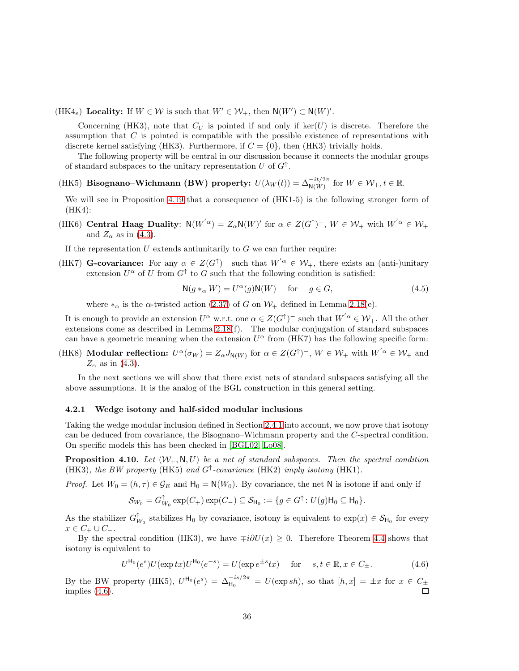(HK4<sub>e</sub>) **Locality:** If  $W \in \mathcal{W}$  is such that  $W' \in \mathcal{W}_+$ , then  $N(W') \subset N(W)'$ .

Concerning (HK3), note that  $C_U$  is pointed if and only if  $\ker(U)$  is discrete. Therefore the assumption that  $C$  is pointed is compatible with the possible existence of representations with discrete kernel satisfying (HK3). Furthermore, if  $C = \{0\}$ , then (HK3) trivially holds.

The following property will be central in our discussion because it connects the modular groups of standard subspaces to the unitary representation U of  $G^{\uparrow}$ .

(HK5) Bisognano–Wichmann (BW) property:  $U(\lambda_W(t)) = \Delta_{N(W)}^{-it/2\pi}$  for  $W \in \mathcal{W}_+, t \in \mathbb{R}$ .

We will see in Proposition [4.19](#page-39-0) that a consequence of (HK1-5) is the following stronger form of (HK4):

(HK6) Central Haag Duality:  $N(W^{'\alpha}) = Z_{\alpha}N(W)'$  for  $\alpha \in Z(G^{\uparrow})^-$ ,  $W \in \mathcal{W}_+$  with  $W^{'\alpha} \in \mathcal{W}_+$ and  $Z_{\alpha}$  as in [\(4.3\)](#page-34-1).

If the representation  $U$  extends antiunitarily to  $G$  we can further require:

(HK7) **G-covariance:** For any  $\alpha \in Z(G^{\uparrow})^-$  such that  $W'^{\alpha} \in \mathcal{W}_+$ , there exists an (anti-)unitary extension  $U^{\alpha}$  of U from  $G^{\dagger}$  to G such that the following condition is satisfied:

$$
\mathsf{N}(g *_{\alpha} W) = U^{\alpha}(g)\mathsf{N}(W) \quad \text{for} \quad g \in G,
$$
\n(4.5)

where  $*_\alpha$  is the  $\alpha$ -twisted action [\(2.37\)](#page-19-0) of G on  $\mathcal{W}_+$  defined in Lemma [2.18\(](#page-19-2)e).

It is enough to provide an extension  $U^{\alpha}$  w.r.t. one  $\alpha \in Z(G^{\uparrow})^-$  such that  $W^{'\alpha} \in \mathcal{W}_+$ . All the other extensions come as described in Lemma [2.18\(](#page-19-2)f). The modular conjugation of standard subspaces can have a geometric meaning when the extension  $U^{\alpha}$  from (HK7) has the following specific form:

(HK8) **Modular reflection:**  $U^{\alpha}(\sigma_W) = Z_{\alpha}J_{N(W)}$  for  $\alpha \in Z(G^{\uparrow})^{-}$ ,  $W \in \mathcal{W}_+$  with  $W^{'\alpha} \in \mathcal{W}_+$  and  $Z_{\alpha}$  as in [\(4.3\)](#page-34-1).

In the next sections we will show that there exist nets of standard subspaces satisfying all the above assumptions. It is the analog of the BGL construction in this general setting.

#### <span id="page-35-0"></span>4.2.1 Wedge isotony and half-sided modular inclusions

Taking the wedge modular inclusion defined in Section [2.4.1](#page-16-1) into account, we now prove that isotony can be deduced from covariance, the Bisognano–Wichmann property and the C-spectral condition. On specific models this has been checked in [\[BGL02,](#page-46-5) [Lo08\]](#page-47-14).

<span id="page-35-2"></span>**Proposition 4.10.** Let  $(W_+, N, U)$  be a net of standard subspaces. Then the spectral condition (HK3), the BW property (HK5) and  $G^{\uparrow}$ -covariance (HK2) imply isotony (HK1).

*Proof.* Let  $W_0 = (h, \tau) \in \mathcal{G}_E$  and  $H_0 = N(W_0)$ . By covariance, the net N is isotone if and only if

$$
\mathcal{S}_{W_0}=G_{W_0}^{\uparrow}\exp(C_+) \exp(C_-)\subseteq \mathcal{S}_{\mathsf{H}_0}:=\{g\in G^{\uparrow}\colon U(g)\mathsf{H}_0\subseteq \mathsf{H}_0\}.
$$

As the stabilizer  $G_{W_0}^{\uparrow}$  stabilizes  $H_0$  by covariance, isotony is equivalent to  $\exp(x) \in S_{H_0}$  for every  $x \in C_+ \cup C_-.$ 

By the spectral condition (HK3), we have  $\mp i\partial U(x) \geq 0$ . Therefore Theorem [4.4](#page-33-0) shows that isotony is equivalent to

<span id="page-35-1"></span>
$$
U^{\mathsf{H}_{0}}(e^{s})U(\exp tx)U^{\mathsf{H}_{0}}(e^{-s}) = U(\exp e^{\pm s}tx) \quad \text{ for } \quad s, t \in \mathbb{R}, x \in C_{\pm}.
$$
 (4.6)

By the BW property (HK5),  $U^{\mathsf{H}_{0}}(e^{s}) = \Delta_{\mathsf{H}_{0}}^{-is/2\pi} = U(\exp sh)$ , so that  $[h, x] = \pm x$  for  $x \in C_{\pm}$ implies [\(4.6\)](#page-35-1).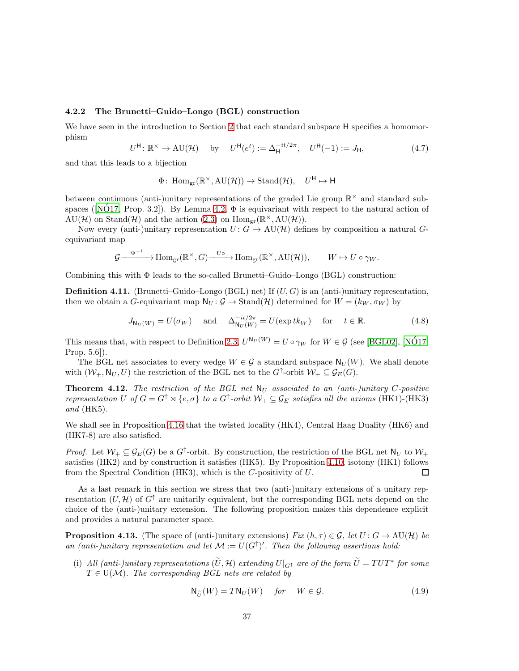#### <span id="page-36-0"></span>4.2.2 The Brunetti–Guido–Longo (BGL) construction

We have seen in the introduction to Section [2](#page-5-0) that each standard subspace H specifies a homomorphism

$$
U^{\mathsf{H}}\colon \mathbb{R}^{\times} \to \mathrm{AU}(\mathcal{H}) \quad \text{ by } \quad U^{\mathsf{H}}(e^{t}) := \Delta_{\mathsf{H}}^{-it/2\pi}, \quad U^{\mathsf{H}}(-1) := J_{\mathsf{H}}, \tag{4.7}
$$

and that this leads to a bijection

$$
\Phi\colon \operatorname{Hom}_{\mathrm{gr}}(\mathbb{R}^{\times}, \mathrm{AU}(\mathcal{H})) \to \operatorname{Stand}(\mathcal{H}), \quad U^{\mathsf{H}} \mapsto \mathsf{H}
$$

between continuous (anti-)unitary representations of the graded Lie group  $\mathbb{R}^{\times}$  and standard sub-spaces([\[NO17,](#page-48-5) Prop. 3.2]). By Lemma [4.2,](#page-32-3)  $\Phi$  is equivariant with respect to the natural action of  $\text{AU}(\mathcal{H})$  on Stand $(\mathcal{H})$  and the action [\(2.3\)](#page-5-3) on  $\text{Hom}_{\text{gr}}(\mathbb{R}^{\times}, \text{AU}(\mathcal{H}))$ .

Now every (anti-)unitary representation  $U: G \to \mathrm{AU}(\mathcal{H})$  defines by composition a natural Gequivariant map

$$
\mathcal{G} \xrightarrow{\Psi^{-1}} \text{Hom}_{\text{gr}}(\mathbb{R}^{\times}, G) \xrightarrow{U_{\circ}} \text{Hom}_{\text{gr}}(\mathbb{R}^{\times}, \text{AU}(\mathcal{H})), \qquad W \mapsto U \circ \gamma_W.
$$

Combining this with  $\Phi$  leads to the so-called Brunetti–Guido–Longo (BGL) construction:

**Definition 4.11.** (Brunetti–Guido–Longo (BGL) net) If  $(U, G)$  is an (anti-)unitary representation, then we obtain a G-equivariant map  $N_U : \mathcal{G} \to \text{Stand}(\mathcal{H})$  determined for  $W = (k_W, \sigma_W)$  by

$$
J_{N_U(W)} = U(\sigma_W) \quad \text{and} \quad \Delta_{N_U(W)}^{-it/2\pi} = U(\exp tk_W) \quad \text{for} \quad t \in \mathbb{R}.
$$
 (4.8)

This means that, with respect to Definition [2.3,](#page-6-7)  $U^{\mathsf{N}_U(W)} = U \circ \gamma_W$  for  $W \in \mathcal{G}$  (see [\[BGL02\]](#page-46-5), [\[NO17,](#page-48-5) Prop. 5.6]).

The BGL net associates to every wedge  $W \in \mathcal{G}$  a standard subspace  $\mathsf{N}_U(W)$ . We shall denote with  $(W_+, N_U, U)$  the restriction of the BGL net to the  $G^{\uparrow}$ -orbit  $W_+ \subseteq \mathcal{G}_E(G)$ .

**Theorem 4.12.** The restriction of the BGL net  $N_U$  associated to an (anti-)unitary C-positive representation U of  $G = G^{\uparrow} \rtimes \{e, \sigma\}$  to a  $G^{\uparrow}$ -orbit  $\mathcal{W}_+ \subseteq \mathcal{G}_E$  satisfies all the axioms (HK1)-(HK3) and (HK5).

We shall see in Proposition [4.16](#page-38-0) that the twisted locality (HK4), Central Haag Duality (HK6) and (HK7-8) are also satisfied.

*Proof.* Let  $W_+ \subseteq \mathcal{G}_E(G)$  be a  $G^{\uparrow}$ -orbit. By construction, the restriction of the BGL net  $\mathsf{N}_U$  to  $\mathcal{W}_+$ satisfies (HK2) and by construction it satisfies (HK5). By Proposition [4.10,](#page-35-2) isotony (HK1) follows from the Spectral Condition (HK3), which is the C-positivity of U. П

As a last remark in this section we stress that two (anti-)unitary extensions of a unitary representation  $(U, \mathcal{H})$  of  $G^{\uparrow}$  are unitarily equivalent, but the corresponding BGL nets depend on the choice of the (anti-)unitary extension. The following proposition makes this dependence explicit and provides a natural parameter space.

**Proposition 4.13.** (The space of (anti-)unitary extensions) Fix  $(h, \tau) \in \mathcal{G}$ , let  $U : G \to \mathrm{AU}(\mathcal{H})$  be an (anti-)unitary representation and let  $\mathcal{M} := U(G^{\uparrow})'$ . Then the following assertions hold:

(i) All (anti-)unitary representations  $(\tilde{U}, \mathcal{H})$  extending  $U|_{G^{\uparrow}}$  are of the form  $\tilde{U} = TUT^*$  for some  $T \in U(\mathcal{M})$ . The corresponding BGL nets are related by

$$
\mathsf{N}_{\widetilde{U}}(W)=T\mathsf{N}_{U}(W) \quad \textit{for} \quad W\in \mathcal{G}. \tag{4.9}
$$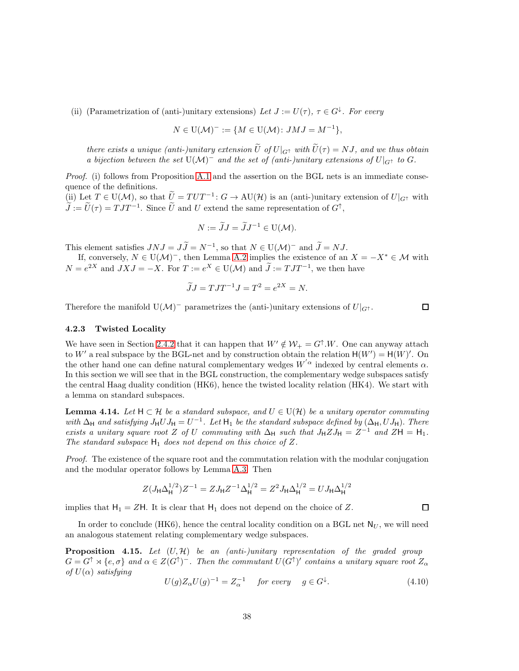(ii) (Parametrization of (anti-)unitary extensions) Let  $J := U(\tau)$ ,  $\tau \in G^{\downarrow}$ . For every

$$
N \in \mathrm{U}(\mathcal{M})^- := \{ M \in \mathrm{U}(\mathcal{M}) : JMJ = M^{-1} \},
$$

there exists a unique (anti-)unitary extension  $\tilde{U}$  of  $U|_{G^{\uparrow}}$  with  $\tilde{U}(\tau) = NJ$ , and we thus obtain a bijection between the set  $U(\mathcal{M})^-$  and the set of (anti-)unitary extensions of  $U|_{G^{\uparrow}}$  to G.

Proof. (i) follows from Proposition [A.1](#page-45-3) and the assertion on the BGL nets is an immediate consequence of the definitions.

(ii) Let  $T \in U(\mathcal{M})$ , so that  $\widetilde{U} = TUT^{-1} : G \to \mathrm{AU}(\mathcal{H})$  is an (anti-)unitary extension of  $U|_{G^{\uparrow}}$  with  $\tilde{J} := \tilde{U}(\tau) = T J T^{-1}$ . Since  $\tilde{U}$  and U extend the same representation of  $G^{\uparrow}$ ,

$$
N := \widetilde{J}J = \widetilde{J}J^{-1} \in U(\mathcal{M}).
$$

This element satisfies  $JNJ = JJ = N^{-1}$ , so that  $N \in U(\mathcal{M})^-$  and  $J = NJ$ .

If, conversely,  $N \in U(\mathcal{M})^-$ , then Lemma [A.2](#page-45-4) implies the existence of an  $X = -X^* \in \mathcal{M}$  with  $N = e^{2X}$  and  $JXJ = -X$ . For  $T := e^{X} \in U(\mathcal{M})$  and  $\tilde{J} := TJT^{-1}$ , we then have

$$
\widetilde{J}J = TJT^{-1}J = T^2 = e^{2X} = N.
$$

Therefore the manifold U( $\mathcal{M}$ )<sup>-</sup> parametrizes the (anti-)unitary extensions of  $U|_{G}$ <sup>\*</sup>.

 $\Box$ 

 $\Box$ 

#### <span id="page-37-0"></span>4.2.3 Twisted Locality

We have seen in Section [2.4.2](#page-16-2) that it can happen that  $W' \notin \mathcal{W}_+ = G^{\uparrow}.W$ . One can anyway attach to W' a real subspace by the BGL-net and by construction obtain the relation  $H(W') = H(W)'$ . On the other hand one can define natural complementary wedges  $W'{}^{\alpha}$  indexed by central elements  $\alpha$ . In this section we will see that in the BGL construction, the complementary wedge subspaces satisfy the central Haag duality condition (HK6), hence the twisted locality relation (HK4). We start with a lemma on standard subspaces.

**Lemma 4.14.** Let  $H \subset \mathcal{H}$  be a standard subspace, and  $U \in U(\mathcal{H})$  be a unitary operator commuting with  $\Delta_H$  and satisfying  $J_H U J_H = U^{-1}$ . Let  $H_1$  be the standard subspace defined by  $(\Delta_H, U J_H)$ . There exists a unitary square root Z of U commuting with  $\Delta_H$  such that  $J_H Z J_H = Z^{-1}$  and  $ZH = H_1$ . The standard subspace  $H_1$  does not depend on this choice of Z.

Proof. The existence of the square root and the commutation relation with the modular conjugation and the modular operator follows by Lemma [A.3.](#page-45-5) Then

$$
Z(J_{\rm H}\Delta_{\rm H}^{1/2})Z^{-1} = ZJ_{\rm H}Z^{-1}\Delta_{\rm H}^{1/2} = Z^2J_{\rm H}\Delta_{\rm H}^{1/2} = UJ_{\rm H}\Delta_{\rm H}^{1/2}
$$

implies that  $H_1 = ZH$ . It is clear that  $H_1$  does not depend on the choice of Z.

In order to conclude (HK6), hence the central locality condition on a BGL net  $N_U$ , we will need an analogous statement relating complementary wedge subspaces.

<span id="page-37-1"></span>**Proposition 4.15.** Let  $(U, \mathcal{H})$  be an (anti-)unitary representation of the graded group  $G = G^{\uparrow} \rtimes \{e, \sigma\}$  and  $\alpha \in Z(G^{\uparrow})^{-}$ . Then the commutant  $U(G^{\uparrow})'$  contains a unitary square root  $Z_{\alpha}$ of  $U(\alpha)$  satisfying

$$
U(g)Z_{\alpha}U(g)^{-1} = Z_{\alpha}^{-1} \quad \text{for every} \quad g \in G^{\downarrow}.
$$
 (4.10)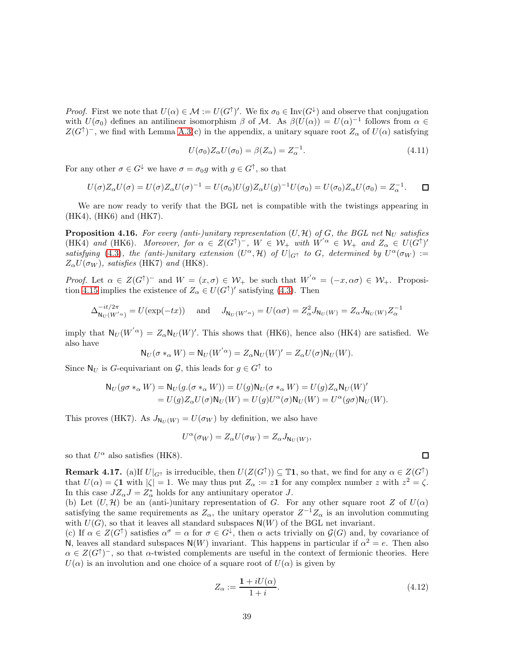*Proof.* First we note that  $U(\alpha) \in \mathcal{M} := U(G^{\uparrow})'$ . We fix  $\sigma_0 \in Inv(G^{\downarrow})$  and observe that conjugation with  $U(\sigma_0)$  defines an antilinear isomorphism  $\beta$  of M. As  $\beta(U(\alpha)) = U(\alpha)^{-1}$  follows from  $\alpha \in$  $Z(G^{\uparrow})^-$ , we find with Lemma [A.3\(](#page-45-5)c) in the appendix, a unitary square root  $Z_{\alpha}$  of  $U(\alpha)$  satisfying

$$
U(\sigma_0)Z_{\alpha}U(\sigma_0) = \beta(Z_{\alpha}) = Z_{\alpha}^{-1}.
$$
\n(4.11)

For any other  $\sigma \in G^{\downarrow}$  we have  $\sigma = \sigma_0 g$  with  $g \in G^{\uparrow}$ , so that

$$
U(\sigma)Z_{\alpha}U(\sigma) = U(\sigma)Z_{\alpha}U(\sigma)^{-1} = U(\sigma_0)U(g)Z_{\alpha}U(g)^{-1}U(\sigma_0) = U(\sigma_0)Z_{\alpha}U(\sigma_0) = Z_{\alpha}^{-1}.\quad \Box
$$

We are now ready to verify that the BGL net is compatible with the twistings appearing in (HK4), (HK6) and (HK7).

<span id="page-38-0"></span>**Proposition 4.16.** For every (anti-)unitary representation  $(U, \mathcal{H})$  of G, the BGL net  $N_U$  satisfies (HK4) and (HK6). Moreover, for  $\alpha \in Z(G^{\uparrow})^-$ ,  $W \in \mathcal{W}_+$  with  $W^{'\alpha} \in \mathcal{W}_+$  and  $Z_{\alpha} \in U(G^{\uparrow})'$ satisfying [\(4.3\)](#page-34-1), the (anti-)unitary extension  $(U^{\alpha}, \mathcal{H})$  of  $U|_{G^{\uparrow}}$  to G, determined by  $U^{\alpha}(\sigma_W) :=$  $Z_{\alpha}U(\sigma_W)$ , satisfies (HK7) and (HK8).

*Proof.* Let  $\alpha \in Z(G^{\uparrow})^-$  and  $W = (x, \sigma) \in W_+$  be such that  $W^{'\alpha} = (-x, \alpha\sigma) \in W_+$ . Proposi-tion [4.15](#page-37-1) implies the existence of  $Z_{\alpha} \in U(G^{\uparrow})'$  satisfying [\(4.3\)](#page-34-1). Then

$$
\Delta_{\mathsf{N}_U(W'^{\alpha})}^{-it/2\pi} = U(\exp(-tx)) \quad \text{and} \quad J_{\mathsf{N}_U(W'^{\alpha})} = U(\alpha \sigma) = Z_\alpha^2 J_{\mathsf{N}_U(W)} = Z_\alpha J_{\mathsf{N}_U(W)} Z_\alpha^{-1}
$$

imply that  $N_U(W^{'\alpha}) = Z_{\alpha}N_U(W)'$ . This shows that (HK6), hence also (HK4) are satisfied. We also have

$$
N_U(\sigma *_\alpha W) = N_U(W^{'\alpha}) = Z_{\alpha}N_U(W)' = Z_{\alpha}U(\sigma)N_U(W).
$$

Since  $\mathsf{N}_U$  is G-equivariant on  $\mathcal{G}$ , this leads for  $g \in G^{\uparrow}$  to

$$
N_U(g\sigma *_\alpha W) = N_U(g.(\sigma *_\alpha W)) = U(g)N_U(\sigma *_\alpha W) = U(g)Z_{\alpha}N_U(W)'
$$
  
= 
$$
U(g)Z_{\alpha}U(\sigma)N_U(W) = U(g)U^{\alpha}(\sigma)N_U(W) = U^{\alpha}(g\sigma)N_U(W).
$$

This proves (HK7). As  $J_{N_U(W)} = U(\sigma_W)$  by definition, we also have

$$
U^{\alpha}(\sigma_W) = Z_{\alpha} U(\sigma_W) = Z_{\alpha} J_{N_U(W)},
$$

so that  $U^{\alpha}$  also satisfies (HK8).

**Remark 4.17.** (a) If  $U|_{G}$  is irreducible, then  $U(Z(G^{\uparrow})) \subseteq \mathbb{T}1$ , so that, we find for any  $\alpha \in Z(G^{\uparrow})$ that  $U(\alpha) = \zeta \mathbf{1}$  with  $|\zeta| = 1$ . We may thus put  $Z_{\alpha} := z \mathbf{1}$  for any complex number z with  $z^2 = \zeta$ . In this case  $JZ_{\alpha}J = Z_{\alpha}^*$  holds for any antiunitary operator  $J$ .

(b) Let  $(U, \mathcal{H})$  be an (anti-)unitary representation of G. For any other square root Z of  $U(\alpha)$ satisfying the same requirements as  $Z_{\alpha}$ , the unitary operator  $Z^{-1}Z_{\alpha}$  is an involution commuting with  $U(G)$ , so that it leaves all standard subspaces  $N(W)$  of the BGL net invariant.

(c) If  $\alpha \in Z(G^{\uparrow})$  satisfies  $\alpha^{\sigma} = \alpha$  for  $\sigma \in G^{\downarrow}$ , then  $\alpha$  acts trivially on  $\mathcal{G}(G)$  and, by covariance of N, leaves all standard subspaces  $N(W)$  invariant. This happens in particular if  $\alpha^2 = e$ . Then also  $\alpha \in Z(G^{\uparrow})^-$ , so that  $\alpha$ -twisted complements are useful in the context of fermionic theories. Here  $U(\alpha)$  is an involution and one choice of a square root of  $U(\alpha)$  is given by

$$
Z_{\alpha} := \frac{\mathbf{1} + iU(\alpha)}{1 + i}.
$$
\n(4.12)

 $\Box$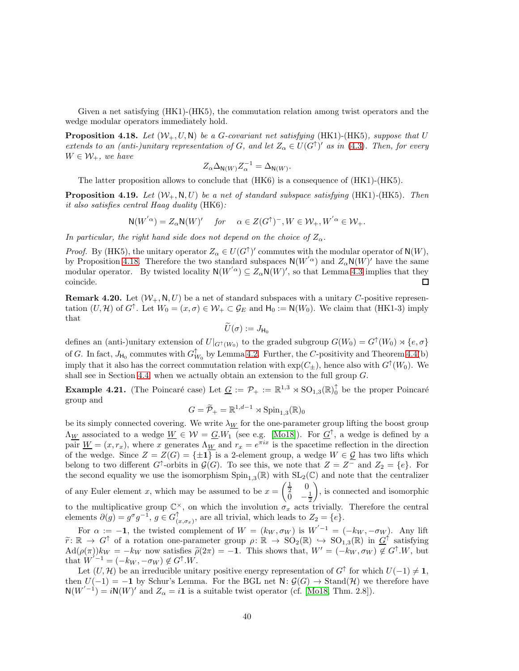Given a net satisfying (HK1)-(HK5), the commutation relation among twist operators and the wedge modular operators immediately hold.

<span id="page-39-1"></span>**Proposition 4.18.** Let  $(W_+, U, N)$  be a G-covariant net satisfying (HK1)-(HK5), suppose that U extends to an (anti-)unitary representation of G, and let  $Z_{\alpha} \in U(G^{\uparrow})'$  as in [\(4.3\)](#page-34-1). Then, for every  $W \in \mathcal{W}_+$ , we have

$$
Z_{\alpha} \Delta_{\mathsf{N}(W)} Z_{\alpha}^{-1} = \Delta_{\mathsf{N}(W)}.
$$

The latter proposition allows to conclude that (HK6) is a consequence of (HK1)-(HK5).

<span id="page-39-0"></span>**Proposition 4.19.** Let  $(W_+, N, U)$  be a net of standard subspace satisfying (HK1)-(HK5). Then it also satisfies central Haag duality (HK6):

$$
\mathsf{N}(W^{' \alpha}) = Z_\alpha \mathsf{N}(W)' \quad \textit{for } \quad \alpha \in Z(G^\uparrow)^-, W \in \mathcal{W}_+, W^{' \alpha} \in \mathcal{W}_+.
$$

In particular, the right hand side does not depend on the choice of  $Z_{\alpha}$ .

*Proof.* By (HK5), the unitary operator  $Z_{\alpha} \in U(G^{\uparrow})'$  commutes with the modular operator of  $N(W)$ , by Proposition [4.18.](#page-39-1) Therefore the two standard subspaces  $N(W^{'}{}^{\alpha})$  and  $Z_{\alpha}N(W)^{'}$  have the same modular operator. By twisted locality  $N(W^{'\alpha}) \subseteq Z_{\alpha}N(W)'$ , so that Lemma [4.3](#page-33-1) implies that they coincide. 口

**Remark 4.20.** Let  $(W_+, N, U)$  be a net of standard subspaces with a unitary C-positive representation  $(U, \mathcal{H})$  of  $G^{\uparrow}$ . Let  $W_0 = (x, \sigma) \in \mathcal{W}_+ \subset \mathcal{G}_E$  and  $H_0 := \mathsf{N}(W_0)$ . We claim that  $(HK1-3)$  imply that

$$
U(\sigma):=J_{\mathsf{H}_0}
$$

defines an (anti-)unitary extension of  $U|_{G^{\uparrow}(W_0)}$  to the graded subgroup  $G(W_0) = G^{\uparrow}(W_0) \rtimes \{e, \sigma\}$ of G. In fact,  $J_{\text{H}_0}$  commutes with  $G_{W_0}^{\uparrow}$  by Lemma [4.2.](#page-32-3) Further, the C-positivity and Theorem [4.4\(](#page-33-0)b) imply that it also has the correct commutation relation with  $\exp(C_{\pm})$ , hence also with  $G^{\uparrow}(W_0)$ . We shall see in Section [4.4,](#page-41-0) when we actually obtain an extension to the full group G.

**Example 4.21.** (The Poincaré case) Let  $\underline{G} := \mathcal{P}_+ := \mathbb{R}^{1,3} \rtimes \text{SO}_{1,3}(\mathbb{R})_0^{\uparrow}$  be the proper Poincaré group and

$$
G = \widetilde{\mathcal{P}}_+ = \mathbb{R}^{1, d-1} \rtimes \text{Spin}_{1,3}(\mathbb{R})_0
$$

be its simply connected covering. We write  $\lambda_W$  for the one-parameter group lifting the boost group  $\Lambda_W$  associated to a wedge  $W \in \mathcal{W} = \underline{G} . W_1$  (see e.g. [\[Mo18\]](#page-47-15)). For  $\underline{G}^{\uparrow}$ , a wedge is defined by a pair  $\underline{W} = (x, r_x)$ , where x generates  $\Lambda_{\underline{W}}$  and  $r_x = e^{\pi ix}$  is the spacetime reflection in the direction of the wedge. Since  $Z = Z(G) = \{\pm 1\}$  is a 2-element group, a wedge  $W \in \mathcal{G}$  has two lifts which belong to two different  $G^{\uparrow}$ -orbits in  $\mathcal{G}(G)$ . To see this, we note that  $Z = Z^-$  and  $Z_2 = \{e\}$ . For the second equality we use the isomorphism  $\text{Spin}_{1,3}(\mathbb{R})$  with  $\text{SL}_2(\mathbb{C})$  and note that the centralizer of any Euler element x, which may be assumed to be  $x =$  $\left(\frac{1}{2} \quad 0\right)$  $\bar{0}$   $-\frac{1}{2}$  $\setminus$ , is connected and isomorphic to the multiplicative group  $\mathbb{C}^{\times}$ , on which the involution  $\sigma_x$  acts trivially. Therefore the central elements  $\partial(g) = g^{\sigma} g^{-1}, g \in G_{\alpha}^{\uparrow}$  $\{(\mathbf{x}, \sigma_x), \text{ are all trivial, which leads to } Z_2 = \{e\}.$ 

For  $\alpha := -1$ , the twisted complement of  $W = (k_W, \sigma_W)$  is  $W^{-1} = (-k_W, -\sigma_W)$ . Any lift  $\widetilde{r}: \mathbb{R} \to G^{\uparrow}$  of a rotation one-parameter group  $\rho: \mathbb{R} \to SO_2(\mathbb{R}) \to SO_{1,3}(\mathbb{R})$  in  $G^{\uparrow}$  satisfying  $\text{Ad}(\rho(\pi))k_W = -k_W$  now satisfies  $\tilde{\rho}(2\pi) = -1$ . This shows that,  $W' = (-k_W, \sigma_W) \notin G^{\uparrow}.W$ , but that  $W^{(-1)} = (-k_W, -\sigma_W) \notin G^{\uparrow} . W$ .

Let  $(U, \mathcal{H})$  be an irreducible unitary positive energy representation of  $G^{\uparrow}$  for which  $U(-1) \neq 1$ , then  $U(-1) = -1$  by Schur's Lemma. For the BGL net  $N: \mathcal{G}(G) \to \text{Stand}(\mathcal{H})$  we therefore have  $N(W<sup>′-1</sup>) = iN(W)<sup>′</sup>$  and  $Z_{\alpha} = i1$  is a suitable twist operator (cf. [\[Mo18,](#page-47-15) Thm. 2.8]).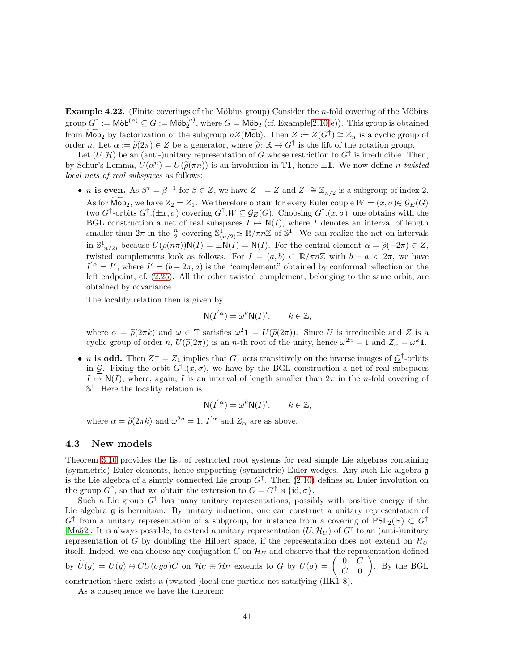Example 4.22. (Finite coverings of the Möbius group) Consider the *n*-fold covering of the Möbius  $\text{group } G^{\uparrow} := \textsf{M\"ob}^{(n)} \subseteq G := \textsf{M\"ob}_2^{(n)}$ , where  $\underline{G} = \textsf{M\"ob}_2$  (cf. Example [2.10\(](#page-10-1)e)). This group is obtained from  $\widetilde{\text{M\"ob}}_2$  by factorization of the subgroup  $nZ(\widetilde{\text{M\"ob}})$ . Then  $Z := Z(G^{\uparrow}) \cong \mathbb{Z}_n$  is a cyclic group of order n. Let  $\alpha := \widetilde{\rho}(2\pi) \in Z$  be a generator, where  $\widetilde{\rho}: \mathbb{R} \to G^{\uparrow}$  is the lift of the rotation group.

Let  $(U, \mathcal{H})$  be an (anti-)unitary representation of G whose restriction to  $G^{\uparrow}$  is irreducible. Then, by Schur's Lemma,  $U(\alpha^n) = U(\tilde{\rho}(\pi n))$  is an involution in T1, hence  $\pm 1$ . We now define *n*-twisted local nets of real subspaces as follows:

• *n* is even. As  $\beta^{\tau} = \beta^{-1}$  for  $\beta \in \mathbb{Z}$ , we have  $\mathbb{Z}^{-} = \mathbb{Z}$  and  $\mathbb{Z}_1 \cong \mathbb{Z}_{n/2}$  is a subgroup of index 2. As for Möb<sub>2</sub>, we have  $Z_2 = Z_1$ . We therefore obtain for every Euler couple  $W = (x, \sigma) \in \mathcal{G}_E(G)$ two G<sup>†</sup>-orbits  $G^{\uparrow}(\pm x, \sigma)$  covering  $\underline{G}^{\uparrow} \cdot \underline{W} \subseteq \mathcal{G}_E(\underline{G})$ . Choosing  $G^{\uparrow} \cdot (x, \sigma)$ , one obtains with the BGL construction a net of real subspaces  $I \mapsto N(I)$ , where I denotes an interval of length smaller than  $2\pi$  in the  $\frac{n}{2}$ -covering  $\mathbb{S}^1_{(n/2)} \simeq \mathbb{R}/\pi n \mathbb{Z}$  of  $\mathbb{S}^1$ . We can realize the net on intervals in  $\mathbb{S}^1_{(n/2)}$  because  $U(\tilde{\rho}(n\pi))\mathsf{N}(I) = \pm \mathsf{N}(I) = \mathsf{N}(I)$ . For the central element  $\alpha = \tilde{\rho}(-2\pi) \in Z$ , twisted complements look as follows. For  $I = (a, b) \subset \mathbb{R}/\pi n \mathbb{Z}$  with  $b - a < 2\pi$ , we have  $I^{'\alpha} = I^c$ , where  $I^c = (b - 2\pi, a)$  is the "complement" obtained by conformal reflection on the left endpoint, cf. [\(2.25\)](#page-14-0). All the other twisted complement, belonging to the same orbit, are obtained by covariance.

The locality relation then is given by

$$
N(I^{'\alpha}) = \omega^k N(I)', \qquad k \in \mathbb{Z},
$$

where  $\alpha = \tilde{\rho}(2\pi k)$  and  $\omega \in \mathbb{T}$  satisfies  $\omega^2 \mathbf{1} = U(\tilde{\rho}(2\pi))$ . Since U is irreducible and Z is a cyclic group of order n,  $U(\tilde{\rho}(2\pi))$  is an n-th root of the unity, hence  $\omega^{2n} = 1$  and  $Z_{\alpha} = \omega^k \mathbf{1}$ .

• *n* is odd. Then  $Z^- = Z_1$  implies that  $G^{\uparrow}$  acts transitively on the inverse images of  $\underline{G}^{\uparrow}$ -orbits in  $\mathcal{G}$ . Fixing the orbit  $G^{\uparrow}(x,\sigma)$ , we have by the BGL construction a net of real subspaces  $I \mapsto N(I)$ , where, again, I is an interval of length smaller than  $2\pi$  in the *n*-fold covering of  $\mathbb{S}^1$ . Here the locality relation is

$$
N(I^{'\alpha}) = \omega^k N(I)', \qquad k \in \mathbb{Z},
$$

where  $\alpha = \tilde{\rho}(2\pi k)$  and  $\omega^{2n} = 1$ ,  $I'^{\alpha}$  and  $Z_{\alpha}$  are as above.

#### <span id="page-40-0"></span>4.3 New models

Theorem [3.10](#page-27-0) provides the list of restricted root systems for real simple Lie algebras containing (symmetric) Euler elements, hence supporting (symmetric) Euler wedges. Any such Lie algebra g is the Lie algebra of a simply connected Lie group  $G^{\uparrow}$ . Then  $(2.10)$  defines an Euler involution on the group  $G^{\uparrow}$ , so that we obtain the extension to  $G = G^{\uparrow} \rtimes {\text{id}, \sigma}$ .

Such a Lie group  $G^{\dagger}$  has many unitary representations, possibly with positive energy if the Lie algebra g is hermitian. By unitary induction, one can construct a unitary representation of  $G^{\uparrow}$  from a unitary representation of a subgroup, for instance from a covering of  $PSL_2(\mathbb{R}) \subset G^{\uparrow}$ [\[Ma52\]](#page-47-16). It is always possible, to extend a unitary representation  $(U, \mathcal{H}_U)$  of  $G^{\uparrow}$  to an (anti-)unitary representation of G by doubling the Hilbert space, if the representation does not extend on  $\mathcal{H}_U$ itself. Indeed, we can choose any conjugation C on  $\mathcal{H}_U$  and observe that the representation defined by  $\widetilde{U}(g) = U(g) \oplus CU(\sigma g\sigma)C$  on  $\mathcal{H}_U \oplus \mathcal{H}_U$  extends to G by  $U(\sigma) = \begin{pmatrix} 0 & C \\ C & 0 \end{pmatrix}$  $C=0$  $\overline{ }$ . By the BGL

construction there exists a (twisted-)local one-particle net satisfying (HK1-8).

As a consequence we have the theorem: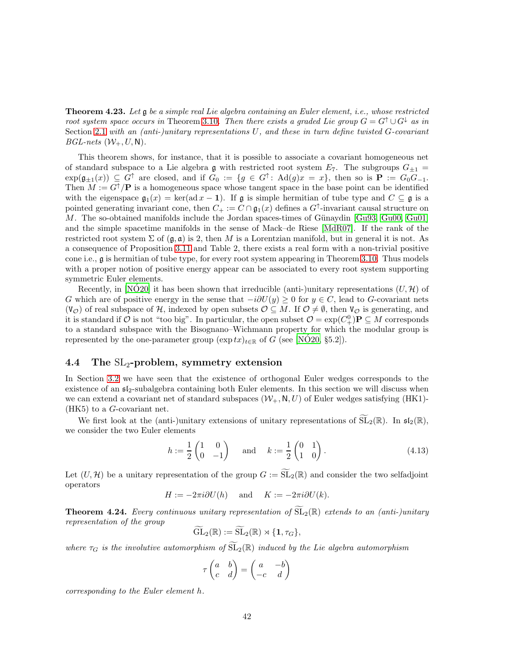**Theorem 4.23.** Let  $\mathfrak{g}$  be a simple real Lie algebra containing an Euler element, i.e., whose restricted root system space occurs in Theorem [3.10](#page-27-0). Then there exists a graded Lie group  $G = G^{\dagger} \cup G^{\dagger}$  as in Section [2.1](#page-5-1) with an (anti-)unitary representations U, and these in turn define twisted G-covariant  $BGL-nets$   $(\mathcal{W}_+, U, \mathbb{N}).$ 

This theorem shows, for instance, that it is possible to associate a covariant homogeneous net of standard subspace to a Lie algebra g with restricted root system  $E_7$ . The subgroups  $G_{\pm 1}$  =  $\exp(\mathfrak{g}_{\pm 1}(x)) \subseteq G^{\uparrow}$  are closed, and if  $G_0 := \{g \in G^{\uparrow} \colon \text{Ad}(g)x = x\}$ , then so is  $\mathbf{P} := G_0G_{-1}$ . Then  $M := G^{\dagger}/\mathbf{P}$  is a homogeneous space whose tangent space in the base point can be identified with the eigenspace  $\mathfrak{g}_1(x) = \ker(\text{ad }x - 1)$ . If g is simple hermitian of tube type and  $C \subseteq \mathfrak{g}$  is a pointed generating invariant cone, then  $C_+ := C \cap \mathfrak{g}_1(x)$  defines a  $G^{\uparrow}$ -invariant causal structure on M. The so-obtained manifolds include the Jordan spaces-times of Günaydin  $[Gu93, Gu00, Gu01]$  $[Gu93, Gu00, Gu01]$  $[Gu93, Gu00, Gu01]$ and the simple spacetime manifolds in the sense of Mack–de Riese [\[MdR07\]](#page-47-5). If the rank of the restricted root system  $\Sigma$  of  $(\mathfrak{g}, \mathfrak{a})$  is 2, then M is a Lorentzian manifold, but in general it is not. As a consequence of Proposition [3.11](#page-29-0) and Table 2, there exists a real form with a non-trivial positive cone i.e., g is hermitian of tube type, for every root system appearing in Theorem [3.10.](#page-27-0) Thus models with a proper notion of positive energy appear can be associated to every root system supporting symmetric Euler elements.

Recently, in [\[NO20\]](#page-48-10) it has been shown that irreducible (anti-)unitary representations  $(U, \mathcal{H})$  of G which are of positive energy in the sense that  $-i\partial U(y) \geq 0$  for  $y \in C$ , lead to G-covariant nets  $(V_{\mathcal{O}})$  of real subspace of H, indexed by open subsets  $\mathcal{O} \subseteq M$ . If  $\mathcal{O} \neq \emptyset$ , then  $V_{\mathcal{O}}$  is generating, and it is standard if  $\mathcal O$  is not "too big". In particular, the open subset  $\mathcal O = \exp(C_+^0) \mathbf{P} \subseteq M$  corresponds to a standard subspace with the Bisognano–Wichmann property for which the modular group is represented by the one-parameter group  $(\exp tx)_{t\in\mathbb{R}}$  of G (see [\[NO20,](#page-48-10) §5.2]).

#### <span id="page-41-0"></span>4.4 The  $SL<sub>2</sub>$ -problem, symmetry extension

In Section [3.2](#page-22-0) we have seen that the existence of orthogonal Euler wedges corresponds to the existence of an  $\mathfrak{sl}_2$ -subalgebra containing both Euler elements. In this section we will discuss when we can extend a covariant net of standard subspaces  $(W_+, N, U)$  of Euler wedges satisfying (HK1)-(HK5) to a G-covariant net.

We first look at the (anti-)unitary extensions of unitary representations of  $\widetilde{SL}_2(\mathbb{R})$ . In  $\mathfrak{sl}_2(\mathbb{R})$ , we consider the two Euler elements

$$
h := \frac{1}{2} \begin{pmatrix} 1 & 0 \\ 0 & -1 \end{pmatrix} \quad \text{and} \quad k := \frac{1}{2} \begin{pmatrix} 0 & 1 \\ 1 & 0 \end{pmatrix}.
$$
 (4.13)

Let  $(U, \mathcal{H})$  be a unitary representation of the group  $G := \widetilde{\mathrm{SL}}_2(\mathbb{R})$  and consider the two selfadjoint operators

$$
H := -2\pi i \partial U(h) \quad \text{and} \quad K := -2\pi i \partial U(k).
$$

<span id="page-41-1"></span>**Theorem 4.24.** Every continuous unitary representation of  $\widetilde{SL}_2(\mathbb{R})$  extends to an (anti-)unitary representation of the group

$$
\widetilde{\mathrm{GL}}_2(\mathbb{R}) := \widetilde{\mathrm{SL}}_2(\mathbb{R}) \rtimes \{1, \tau_G\},
$$

where  $\tau_G$  is the involutive automorphism of  $\widetilde{SL}_2(\mathbb{R})$  induced by the Lie algebra automorphism

$$
\tau \begin{pmatrix} a & b \\ c & d \end{pmatrix} = \begin{pmatrix} a & -b \\ -c & d \end{pmatrix}
$$

corresponding to the Euler element h.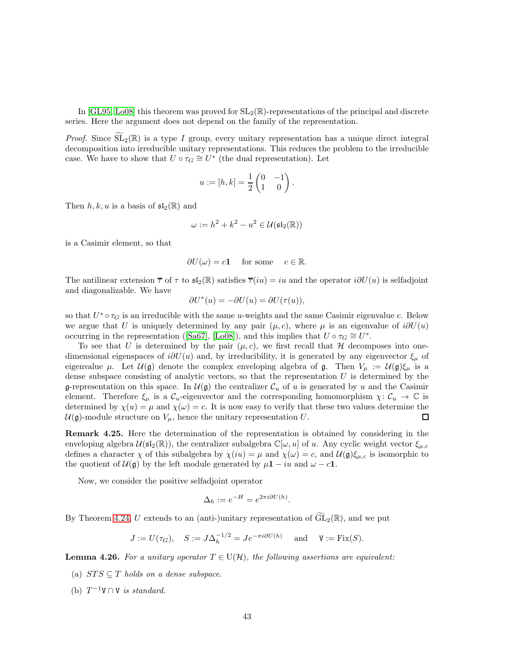In [\[GL95,](#page-46-2) [Lo08\]](#page-47-14) this theorem was proved for  $SL_2(\mathbb{R})$ -representations of the principal and discrete series. Here the argument does not depend on the family of the representation.

*Proof.* Since  $\widetilde{\mathrm{SL}}_2(\mathbb{R})$  is a type I group, every unitary representation has a unique direct integral decomposition into irreducible unitary representations. This reduces the problem to the irreducible case. We have to show that  $U \circ \tau_G \cong U^*$  (the dual representation). Let

$$
u:=[h,k]=\frac{1}{2}\begin{pmatrix}0&-1\\1&0\end{pmatrix}.
$$

Then  $h, k, u$  is a basis of  $\mathfrak{sl}_2(\mathbb{R})$  and

$$
\omega := h^2 + k^2 - u^2 \in \mathcal{U}(\mathfrak{sl}_2(\mathbb{R}))
$$

is a Casimir element, so that

$$
\partial U(\omega) = c\mathbf{1} \quad \text{for some} \quad c \in \mathbb{R}.
$$

The antilinear extension  $\bar{\tau}$  of  $\tau$  to  $\mathfrak{sl}_2(\mathbb{R})$  satisfies  $\bar{\tau}(iu) = iu$  and the operator  $i\partial U(u)$  is selfadjoint and diagonalizable. We have

$$
\partial U^*(u) = -\partial U(u) = \partial U(\tau(u)),
$$

so that  $U^* \circ \tau_G$  is an irreducible with the same u-weights and the same Casimir eigenvalue c. Below we argue that U is uniquely determined by any pair  $(\mu, c)$ , where  $\mu$  is an eigenvalue of  $i\partial U(u)$ occurring in the representation ([\[Sa67\]](#page-48-12), [\[Lo08\]](#page-47-14)), and this implies that  $U \circ \tau_G \cong U^*$ .

To see that U is determined by the pair  $(\mu, c)$ , we first recall that H decomposes into onedimensional eigenspaces of  $i\partial U(u)$  and, by irreducibility, it is generated by any eigenvector  $\xi_{\mu}$  of eigenvalue  $\mu$ . Let  $\mathcal{U}(\mathfrak{g})$  denote the complex enveloping algebra of  $\mathfrak{g}$ . Then  $V_{\mu} := \mathcal{U}(\mathfrak{g})\xi_{\mu}$  is a dense subspace consisting of analytic vectors, so that the representation  $U$  is determined by the g-representation on this space. In  $\mathcal{U}(\mathfrak{g})$  the centralizer  $\mathcal{C}_u$  of u is generated by u and the Casimir element. Therefore  $\xi_{\mu}$  is a  $\mathcal{C}_{u}$ -eigenvector and the corresponding homomorphism  $\chi: \mathcal{C}_{u} \to \mathbb{C}$  is determined by  $\chi(u) = \mu$  and  $\chi(\omega) = c$ . It is now easy to verify that these two values determine the  $U(\mathfrak{g})$ -module structure on  $V_\mu$ , hence the unitary representation U. 口

Remark 4.25. Here the determination of the representation is obtained by considering in the enveloping algebra  $\mathcal{U}(\mathfrak{sl}_2(\mathbb{R}))$ , the centralizer subalgebra  $\mathbb{C}[\omega, u]$  of u. Any cyclic weight vector  $\xi_{\mu,c}$ defines a character  $\chi$  of this subalgebra by  $\chi(iu) = \mu$  and  $\chi(\omega) = c$ , and  $\mathcal{U}(\mathfrak{g})\xi_{\mu,c}$  is isomorphic to the quotient of  $\mathcal{U}(\mathfrak{g})$  by the left module generated by  $\mu \mathbf{1} - iu$  and  $\omega - c\mathbf{1}$ .

Now, we consider the positive selfadjoint operator

$$
\Delta_h := e^{-H} = e^{2\pi i \partial U(h)}.
$$

By Theorem [4.24,](#page-41-1) U extends to an (anti-)unitary representation of  $\widetilde{GL}_2(\mathbb{R})$ , and we put

$$
J := U(\tau_G),
$$
  $S := J\Delta_h^{-1/2} = Je^{-\pi i \partial U(h)}$  and  $V := \text{Fix}(S).$ 

<span id="page-42-0"></span>**Lemma 4.26.** For a unitary operator  $T \in U(H)$ , the following assertions are equivalent:

- (a)  $STS \subseteq T$  holds on a dense subspace.
- (b)  $T^{-1}V \cap V$  is standard.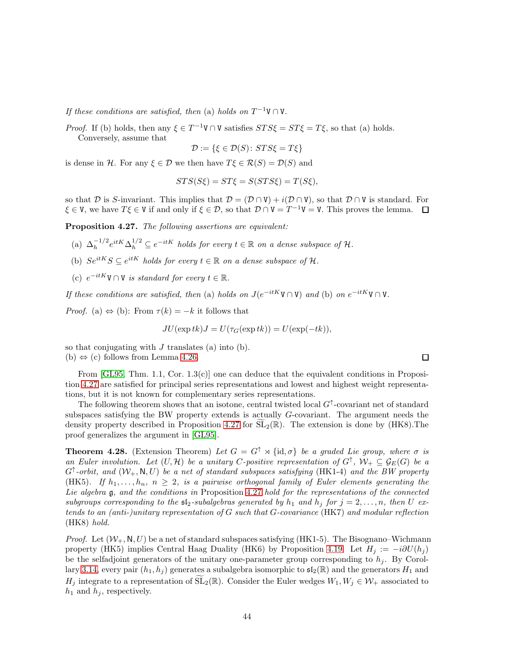If these conditions are satisfied, then (a) holds on  $T^{-1}V \cap V$ .

*Proof.* If (b) holds, then any  $\xi \in T^{-1}V \cap V$  satisfies  $STS\xi = ST\xi = T\xi$ , so that (a) holds. Conversely, assume that

$$
\mathcal{D} := \{ \xi \in \mathcal{D}(S) \colon STS\xi = T\xi \}
$$

is dense in H. For any  $\xi \in \mathcal{D}$  we then have  $T\xi \in \mathcal{R}(S) = \mathcal{D}(S)$  and

$$
STS(S\xi) = ST\xi = S(STS\xi) = T(S\xi),
$$

so that D is S-invariant. This implies that  $\mathcal{D} = (\mathcal{D} \cap V) + i(\mathcal{D} \cap V)$ , so that  $\mathcal{D} \cap V$  is standard. For  $\xi \in V$ , we have  $T\xi \in V$  if and only if  $\xi \in \mathcal{D}$ , so that  $\mathcal{D} \cap V = T^{-1}V = V$ . This proves the lemma.

<span id="page-43-0"></span>Proposition 4.27. The following assertions are equivalent:

- (a)  $\Delta_h^{-1/2} e^{itK} \Delta_h^{1/2} \subseteq e^{-itK}$  holds for every  $t \in \mathbb{R}$  on a dense subspace of  $\mathcal{H}$ .
- (b)  $Se^{itK}S \subseteq e^{itK}$  holds for every  $t \in \mathbb{R}$  on a dense subspace of  $\mathcal{H}$ .
- (c)  $e^{-itK} \mathbf{V} \cap \mathbf{V}$  is standard for every  $t \in \mathbb{R}$ .

If these conditions are satisfied, then (a) holds on  $J(e^{-itK}V \cap V)$  and (b) on  $e^{-itK}V \cap V$ .

*Proof.* (a)  $\Leftrightarrow$  (b): From  $\tau(k) = -k$  it follows that

$$
JU(\exp tk)J = U(\tau_G(\exp tk)) = U(\exp(-tk)),
$$

so that conjugating with  $J$  translates (a) into (b). (b)  $\Leftrightarrow$  (c) follows from Lemma [4.26.](#page-42-0)

From  $[GL95, Thm. 1.1, Cor. 1.3(c)]$  one can deduce that the equivalent conditions in Proposition [4.27](#page-43-0) are satisfied for principal series representations and lowest and highest weight representations, but it is not known for complementary series representations.

The following theorem shows that an isotone, central twisted local  $G^{\uparrow}$ -covariant net of standard subspaces satisfying the BW property extends is actually G-covariant. The argument needs the density property described in Proposition [4.27](#page-43-0) for  $SL_2(\mathbb{R})$ . The extension is done by (HK8). The proof generalizes the argument in [\[GL95\]](#page-46-2).

**Theorem 4.28.** (Extension Theorem) Let  $G = G^{\uparrow} \rtimes {\text{id}, \sigma}$  be a graded Lie group, where  $\sigma$  is an Euler involution. Let  $(U, \mathcal{H})$  be a unitary C-positive representation of  $G^{\uparrow}$ ,  $\mathcal{W}_+ \subseteq \mathcal{G}_E(G)$  be a  $G^{\uparrow}$ -orbit, and  $(W_{+}, \mathbb{N}, U)$  be a net of standard subspaces satisfying (HK1-4) and the BW property (HK5). If  $h_1, \ldots, h_n$ ,  $n \geq 2$ , is a pairwise orthogonal family of Euler elements generating the Lie algebra  $\mathfrak g$ , and the conditions in Proposition [4.27](#page-43-0) hold for the representations of the connected subgroups corresponding to the  $\mathfrak{sl}_2$ -subalgebras generated by  $h_1$  and  $h_j$  for  $j = 2, \ldots, n$ , then U extends to an (anti-)unitary representation of G such that G-covariance (HK7) and modular reflection (HK8) hold.

*Proof.* Let  $(\mathcal{W}_+, \mathsf{N}, U)$  be a net of standard subspaces satisfying (HK1-5). The Bisognano–Wichmann property (HK5) implies Central Haag Duality (HK6) by Proposition [4.19.](#page-39-0) Let  $H_i := -i\partial U(h_i)$ be the selfadjoint generators of the unitary one-parameter group corresponding to  $h_i$ . By Corol-lary [3.14,](#page-31-0) every pair  $(h_1, h_i)$  generates a subalgebra isomorphic to  $\mathfrak{sl}_2(\mathbb{R})$  and the generators  $H_1$  and H<sub>j</sub> integrate to a representation of  $\widetilde{\mathrm{SL}}_2(\mathbb{R})$ . Consider the Euler wedges  $W_1, W_j \in \mathcal{W}_+$  associated to  $h_1$  and  $h_j$ , respectively.

 $\Box$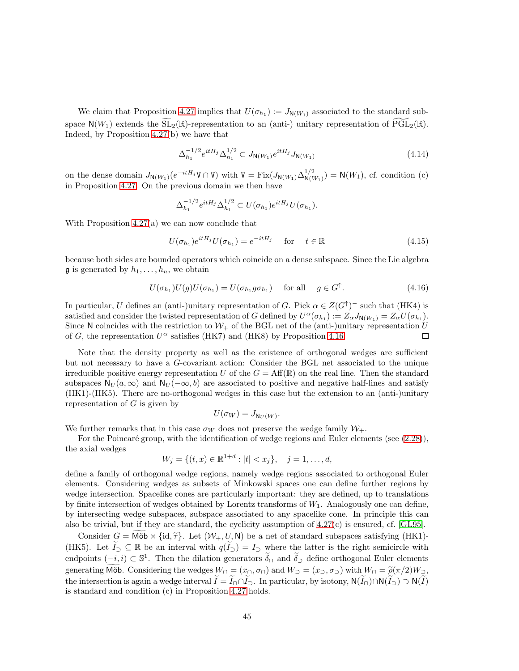We claim that Proposition [4.27](#page-43-0) implies that  $U(\sigma_{h_1}) := J_{N(W_1)}$  associated to the standard subspace  $N(W_1)$  extends the  $SL_2(\mathbb{R})$ -representation to an (anti-) unitary representation of  $PGL_2(\mathbb{R})$ . Indeed, by Proposition [4.27\(](#page-43-0)b) we have that

$$
\Delta_{h_1}^{-1/2} e^{itH_j} \Delta_{h_1}^{1/2} \subset J_{\mathsf{N}(W_1)} e^{itH_j} J_{\mathsf{N}(W_1)} \tag{4.14}
$$

on the dense domain  $J_{N(W_1)}(e^{-itH_j}\mathbf{V} \cap \mathbf{V})$  with  $\mathbf{V} = \text{Fix}(J_{N(W_1)} \Delta_{N(W_1)}^{1/2}) = \mathbf{N}(W_1)$ , cf. condition (c) in Proposition [4.27.](#page-43-0) On the previous domain we then have

$$
\Delta_{h_1}^{-1/2}e^{itH_j}\Delta_{h_1}^{1/2}\subset U(\sigma_{h_1})e^{itH_j}U(\sigma_{h_1}).
$$

With Proposition [4.27\(](#page-43-0)a) we can now conclude that

$$
U(\sigma_{h_1})e^{itH_j}U(\sigma_{h_1}) = e^{-itH_j} \quad \text{for} \quad t \in \mathbb{R}
$$
\n(4.15)

because both sides are bounded operators which coincide on a dense subspace. Since the Lie algebra  $\mathfrak g$  is generated by  $h_1, \ldots, h_n$ , we obtain

$$
U(\sigma_{h_1})U(g)U(\sigma_{h_1}) = U(\sigma_{h_1}g\sigma_{h_1}) \quad \text{for all} \quad g \in G^{\uparrow}.
$$
 (4.16)

In particular, U defines an (anti-)unitary representation of G. Pick  $\alpha \in Z(G^{\uparrow})^-$  such that (HK4) is satisfied and consider the twisted representation of G defined by  $U^{\alpha}(\sigma_{h_1}) := Z_{\alpha}J_{N(W_1)} = Z_{\alpha}U(\sigma_{h_1}).$ Since N coincides with the restriction to  $W_+$  of the BGL net of the (anti-)unitary representation U of G, the representation  $U^{\alpha}$  satisfies (HK7) and (HK8) by Proposition [4.16.](#page-38-0)  $\Box$ 

Note that the density property as well as the existence of orthogonal wedges are sufficient but not necessary to have a G-covariant action: Consider the BGL net associated to the unique irreducible positive energy representation U of the  $G = Aff(\mathbb{R})$  on the real line. Then the standard subspaces  $N_U(a,\infty)$  and  $N_U(-\infty,b)$  are associated to positive and negative half-lines and satisfy (HK1)-(HK5). There are no-orthogonal wedges in this case but the extension to an (anti-)unitary representation of  $G$  is given by

$$
U(\sigma_W) = J_{\mathsf{N}_U(W)}.
$$

We further remarks that in this case  $\sigma_W$  does not preserve the wedge family  $\mathcal{W}_+$ .

For the Poincaré group, with the identification of wedge regions and Euler elements (see  $(2.28)$ ),

the axial wedges

$$
W_j = \{ (t, x) \in \mathbb{R}^{1+d} : |t| < x_j \}, \quad j = 1, \dots, d,
$$

define a family of orthogonal wedge regions, namely wedge regions associated to orthogonal Euler elements. Considering wedges as subsets of Minkowski spaces one can define further regions by wedge intersection. Spacelike cones are particularly important: they are defined, up to translations by finite intersection of wedges obtained by Lorentz transforms of  $W_1$ . Analogously one can define, by intersecting wedge subspaces, subspace associated to any spacelike cone. In principle this can also be trivial, but if they are standard, the cyclicity assumption of [4.27\(](#page-43-0)c) is ensured, cf. [\[GL95\]](#page-46-2).

Consider  $G = M\ddot{\omega} \times {\rm id}, \tilde{\tau}$ . Let  $(\mathcal{W}_+, U, N)$  be a net of standard subspaces satisfying (HK1)-(HK5). Let  $\tilde{I}_\supset \subseteq \mathbb{R}$  be an interval with  $q(\tilde{I}_\supset) = I_\supset$  where the latter is the right semicircle with endpoints  $(-i, i) \subset \mathbb{S}^1$ . Then the dilation generators  $\widetilde{\delta}_{\cap}$  and  $\widetilde{\delta}_{\supset}$  define orthogonal Euler elements generating Möb. Considering the wedges  $W_{\cap} = (x_{\cap}, \sigma_{\cap})$  and  $W_{\supset} = (x_{\supset}, \sigma_{\supset})$  with  $W_{\cap} = \widetilde{\rho}(\pi/2)W_{\supset}$ , the intersection is again a wedge interval  $\widetilde{I}=\widetilde{I}_{\cap}\cap\widetilde{I}_{\supset}$ . In particular, by isotony,  $\mathsf{N}(\widetilde{I}_{\cap})\cap\mathsf{N}(\widetilde{I}_{\supset}\supset\mathsf{N}(\widetilde{I})$ is standard and condition (c) in Proposition [4.27](#page-43-0) holds.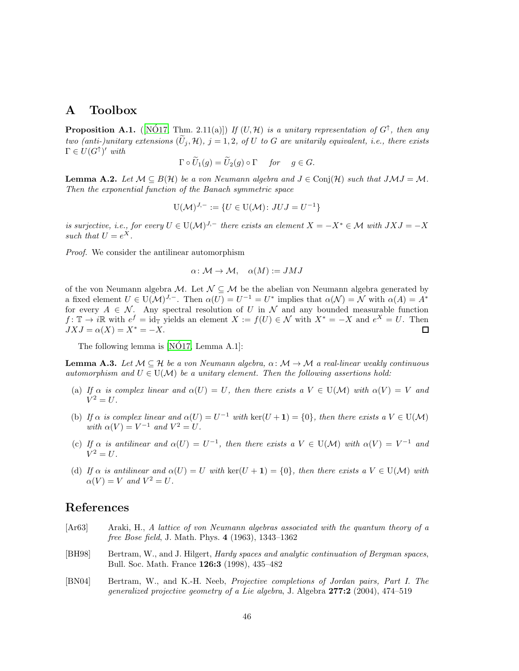### <span id="page-45-0"></span>A Toolbox

<span id="page-45-3"></span>**Proposition A.1.** ([NOT7, Thm. 2.11(a)]) If  $(U, \mathcal{H})$  is a unitary representation of  $G^{\uparrow}$ , then any two (anti-)unitary extensions  $(\widetilde{U}_i, \mathcal{H})$ ,  $j = 1, 2$ , of U to G are unitarily equivalent, i.e., there exists  $\Gamma \in U(G^{\uparrow})'$  with

$$
\Gamma \circ \widetilde{U}_1(g) = \widetilde{U}_2(g) \circ \Gamma \quad \text{for} \quad g \in G.
$$

<span id="page-45-4"></span>**Lemma A.2.** Let  $M \subseteq B(H)$  be a von Neumann algebra and  $J \in \text{Conj}(\mathcal{H})$  such that  $JMJ = M$ . Then the exponential function of the Banach symmetric space

$$
U(\mathcal{M})^{J,-} := \{ U \in U(\mathcal{M}) : JUJ = U^{-1} \}
$$

is surjective, i.e., for every  $U \in U(\mathcal{M})^{J,-}$  there exists an element  $X = -X^* \in \mathcal{M}$  with  $JXJ = -X$ such that  $U = e^X$ .

Proof. We consider the antilinear automorphism

$$
\alpha\colon \mathcal{M}\to \mathcal{M},\quad \alpha(M):=JMJ
$$

of the von Neumann algebra  $\mathcal{M}$ . Let  $\mathcal{N} \subseteq \mathcal{M}$  be the abelian von Neumann algebra generated by a fixed element  $U \in U(\mathcal{M})^{J,-}$ . Then  $\alpha(U) = U^{-1} = U^*$  implies that  $\alpha(\mathcal{N}) = \mathcal{N}$  with  $\alpha(A) = A^*$ for every  $A \in \mathcal{N}$ . Any spectral resolution of U in  $\mathcal N$  and any bounded measurable function  $f: \mathbb{T} \to i\mathbb{R}$  with  $e^f = id_{\mathbb{T}}$  yields an element  $X := f(U) \in \mathcal{N}$  with  $X^* = -X$  and  $e^X = U$ . Then  $JXJ = \alpha(X) = X^* = -X.$  $\Box$ 

The following lemma is  $[N\acute{O}17, \mathrm{Lemma~A}.1]$ :

<span id="page-45-5"></span>**Lemma A.3.** Let  $M \subseteq \mathcal{H}$  be a von Neumann algebra,  $\alpha \colon M \to M$  a real-linear weakly continuous automorphism and  $U \in U(\mathcal{M})$  be a unitary element. Then the following assertions hold:

- (a) If  $\alpha$  is complex linear and  $\alpha(U) = U$ , then there exists a  $V \in U(\mathcal{M})$  with  $\alpha(V) = V$  and  $V^2 = U$ .
- (b) If  $\alpha$  is complex linear and  $\alpha(U) = U^{-1}$  with  $\ker(U + 1) = \{0\}$ , then there exists a  $V \in U(\mathcal{M})$ with  $\alpha(V) = V^{-1}$  and  $V^2 = U$ .
- (c) If  $\alpha$  is antilinear and  $\alpha(U) = U^{-1}$ , then there exists  $a V \in U(\mathcal{M})$  with  $\alpha(V) = V^{-1}$  and  $V^2 = U$ .
- (d) If  $\alpha$  is antilinear and  $\alpha(U) = U$  with  $\text{ker}(U + 1) = \{0\}$ , then there exists  $a V \in U(\mathcal{M})$  with  $\alpha(V) = V$  and  $V^2 = U$ .

### References

- <span id="page-45-1"></span>[Ar63] Araki, H., A lattice of von Neumann algebras associated with the quantum theory of a free Bose field, J. Math. Phys. 4 (1963), 1343–1362
- [BH98] Bertram, W., and J. Hilgert, *Hardy spaces and analytic continuation of Bergman spaces*, Bull. Soc. Math. France 126:3 (1998), 435–482
- <span id="page-45-2"></span>[BN04] Bertram, W., and K.-H. Neeb, Projective completions of Jordan pairs, Part I. The generalized projective geometry of a Lie algebra, J. Algebra 277:2 (2004), 474–519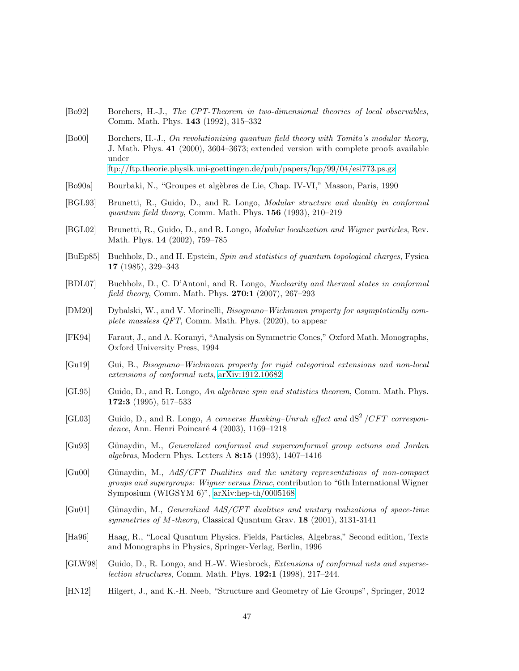- <span id="page-46-6"></span>[Bo92] Borchers, H.-J., The CPT-Theorem in two-dimensional theories of local observables, Comm. Math. Phys. 143 (1992), 315–332
- <span id="page-46-7"></span>[Bo00] Borchers, H.-J., On revolutionizing quantum field theory with Tomita's modular theory, J. Math. Phys. 41 (2000), 3604–3673; extended version with complete proofs available under

<ftp://ftp.theorie.physik.uni-goettingen.de/pub/papers/lqp/99/04/esi773.ps.gz>

- <span id="page-46-14"></span>[Bo90a] Bourbaki, N., "Groupes et alg`ebres de Lie, Chap. IV-VI," Masson, Paris, 1990
- [BGL93] Brunetti, R., Guido, D., and R. Longo, Modular structure and duality in conformal quantum field theory, Comm. Math. Phys. 156 (1993), 210–219
- <span id="page-46-5"></span>[BGL02] Brunetti, R., Guido, D., and R. Longo, Modular localization and Wigner particles, Rev. Math. Phys. 14 (2002), 759–785
- [BuEp85] Buchholz, D., and H. Epstein, Spin and statistics of quantum topological charges, Fysica 17 (1985), 329–343
- <span id="page-46-9"></span>[BDL07] Buchholz, D., C. D'Antoni, and R. Longo, Nuclearity and thermal states in conformal field theory, Comm. Math. Phys. 270:1 (2007), 267–293
- <span id="page-46-4"></span>[DM20] Dybalski, W., and V. Morinelli, Bisognano–Wichmann property for asymptotically complete massless QFT, Comm. Math. Phys. (2020), to appear
- <span id="page-46-15"></span>[FK94] Faraut, J., and A. Koranyi, "Analysis on Symmetric Cones," Oxford Math. Monographs, Oxford University Press, 1994
- <span id="page-46-3"></span>[Gu19] Gui, B., Bisognano–Wichmann property for rigid categorical extensions and non-local extensions of conformal nets, [arXiv:1912.10682](http://arxiv.org/abs/1912.10682)
- <span id="page-46-2"></span>[GL95] Guido, D., and R. Longo, An algebraic spin and statistics theorem, Comm. Math. Phys. 172:3 (1995), 517–533
- <span id="page-46-8"></span>[GL03] Guido, D., and R. Longo, A converse Hawking–Unruh effect and  $dS^2/CFT$  correspondence, Ann. Henri Poincaré 4 (2003), 1169-1218
- <span id="page-46-10"></span>[Gu93] G¨unaydin, M., Generalized conformal and superconformal group actions and Jordan algebras, Modern Phys. Letters A 8:15 (1993), 1407–1416
- <span id="page-46-11"></span>[Gu00] Günaydin, M., AdS/CFT Dualities and the unitary representations of non-compact groups and supergroups: Wigner versus Dirac, contribution to "6th International Wigner Symposium (WIGSYM 6)", [arXiv:hep-th/0005168](http://arxiv.org/abs/hep-th/0005168)
- <span id="page-46-12"></span>[Gu01] Günaydin, M., *Generalized AdS/CFT dualities and unitary realizations of space-time* symmetries of M-theory, Classical Quantum Grav. 18 (2001), 3131-3141
- <span id="page-46-0"></span>[Ha96] Haag, R., "Local Quantum Physics. Fields, Particles, Algebras," Second edition, Texts and Monographs in Physics, Springer-Verlag, Berlin, 1996
- <span id="page-46-1"></span>[GLW98] Guido, D., R. Longo, and H.-W. Wiesbrock, Extensions of conformal nets and superselection structures, Comm. Math. Phys. 192:1 (1998), 217–244.
- <span id="page-46-13"></span>[HN12] Hilgert, J., and K.-H. Neeb, "Structure and Geometry of Lie Groups", Springer, 2012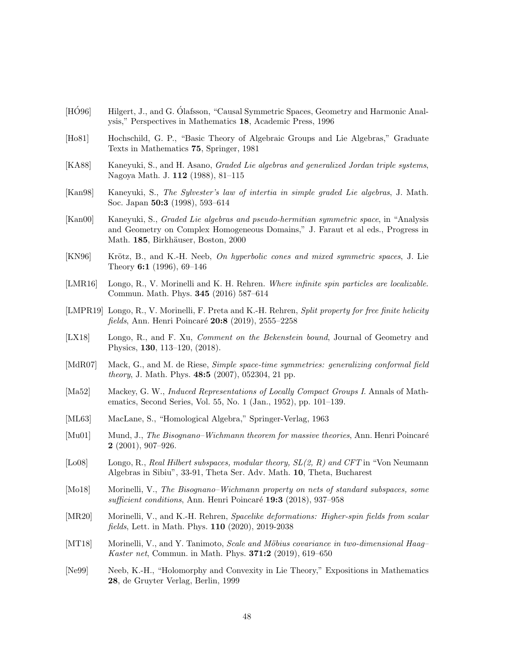- <span id="page-47-13"></span>[HO96] Hilgert, J., and G. Olafsson, "Causal Symmetric Spaces, Geometry and Harmonic Analysis," Perspectives in Mathematics 18, Academic Press, 1996
- <span id="page-47-7"></span>[Ho81] Hochschild, G. P., "Basic Theory of Algebraic Groups and Lie Algebras," Graduate Texts in Mathematics 75, Springer, 1981
- <span id="page-47-9"></span>[KA88] Kaneyuki, S., and H. Asano, *Graded Lie algebras and generalized Jordan triple systems*, Nagoya Math. J. 112 (1988), 81–115
- <span id="page-47-10"></span>[Kan98] Kaneyuki, S., The Sylvester's law of intertia in simple graded Lie algebras, J. Math. Soc. Japan 50:3 (1998), 593–614
- <span id="page-47-11"></span>[Kan00] Kaneyuki, S., Graded Lie algebras and pseudo-hermitian symmetric space, in "Analysis and Geometry on Complex Homogeneous Domains," J. Faraut et al eds., Progress in Math. 185, Birkhäuser, Boston, 2000
- <span id="page-47-12"></span>[KN96] Krötz, B., and K.-H. Neeb, On hyperbolic cones and mixed symmetric spaces, J. Lie Theory 6:1 (1996), 69–146
- <span id="page-47-4"></span>[LMR16] Longo, R., V. Morinelli and K. H. Rehren. Where infinite spin particles are localizable. Commun. Math. Phys. 345 (2016) 587–614
- <span id="page-47-1"></span>[LMPR19] Longo, R., V. Morinelli, F. Preta and K.-H. Rehren, *Split property for free finite helicity* fields, Ann. Henri Poincaré 20:8 (2019), 2555–2258
- <span id="page-47-3"></span>[LX18] Longo, R., and F. Xu, *Comment on the Bekenstein bound*, Journal of Geometry and Physics, 130, 113–120, (2018).
- <span id="page-47-5"></span>[MdR07] Mack, G., and M. de Riese, *Simple space-time symmetries: generalizing conformal field* theory, J. Math. Phys. 48:5 (2007), 052304, 21 pp.
- <span id="page-47-16"></span>[Ma52] Mackey, G. W., Induced Representations of Locally Compact Groups I. Annals of Mathematics, Second Series, Vol. 55, No. 1 (Jan., 1952), pp. 101–139.
- <span id="page-47-6"></span>[ML63] MacLane, S., "Homological Algebra," Springer-Verlag, 1963
- [Mu01] Mund, J., *The Bisognano–Wichmann theorem for massive theories*, Ann. Henri Poincaré 2 (2001), 907–926.
- <span id="page-47-14"></span>[Lo08] Longo, R., Real Hilbert subspaces, modular theory,  $SL(2, R)$  and CFT in "Von Neumann" Algebras in Sibiu", 33-91, Theta Ser. Adv. Math. 10, Theta, Bucharest
- <span id="page-47-15"></span>[Mo18] Morinelli, V., The Bisognano–Wichmann property on nets of standard subspaces, some sufficient conditions, Ann. Henri Poincaré 19:3 (2018), 937–958
- <span id="page-47-2"></span>[MR20] Morinelli, V., and K.-H. Rehren, Spacelike deformations: Higher-spin fields from scalar fields, Lett. in Math. Phys. 110 (2020), 2019-2038
- <span id="page-47-0"></span>[MT18] Morinelli, V., and Y. Tanimoto, Scale and Möbius covariance in two-dimensional Haag– Kaster net, Commun. in Math. Phys. 371:2 (2019), 619–650
- <span id="page-47-8"></span>[Ne99] Neeb, K.-H., "Holomorphy and Convexity in Lie Theory," Expositions in Mathematics 28, de Gruyter Verlag, Berlin, 1999